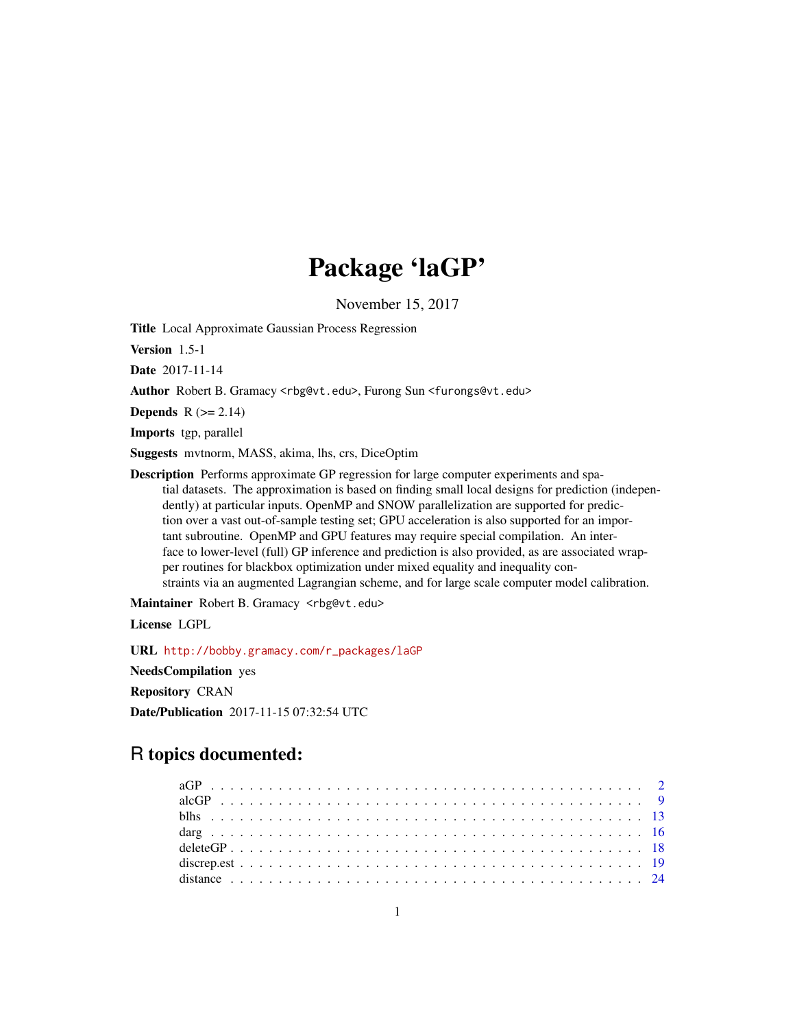# Package 'laGP'

November 15, 2017

<span id="page-0-0"></span>Title Local Approximate Gaussian Process Regression

Version 1.5-1

Date 2017-11-14

Author Robert B. Gramacy <rbg@vt.edu>, Furong Sun <furongs@vt.edu>

Depends  $R$  ( $>= 2.14$ )

Imports tgp, parallel

Suggests mvtnorm, MASS, akima, lhs, crs, DiceOptim

Description Performs approximate GP regression for large computer experiments and spatial datasets. The approximation is based on finding small local designs for prediction (independently) at particular inputs. OpenMP and SNOW parallelization are supported for prediction over a vast out-of-sample testing set; GPU acceleration is also supported for an important subroutine. OpenMP and GPU features may require special compilation. An interface to lower-level (full) GP inference and prediction is also provided, as are associated wrapper routines for blackbox optimization under mixed equality and inequality constraints via an augmented Lagrangian scheme, and for large scale computer model calibration.

Maintainer Robert B. Gramacy <rbg@vt.edu>

License LGPL

URL [http://bobby.gramacy.com/r\\_packages/laGP](http://bobby.gramacy.com/r_packages/laGP)

NeedsCompilation yes

Repository CRAN

Date/Publication 2017-11-15 07:32:54 UTC

# R topics documented: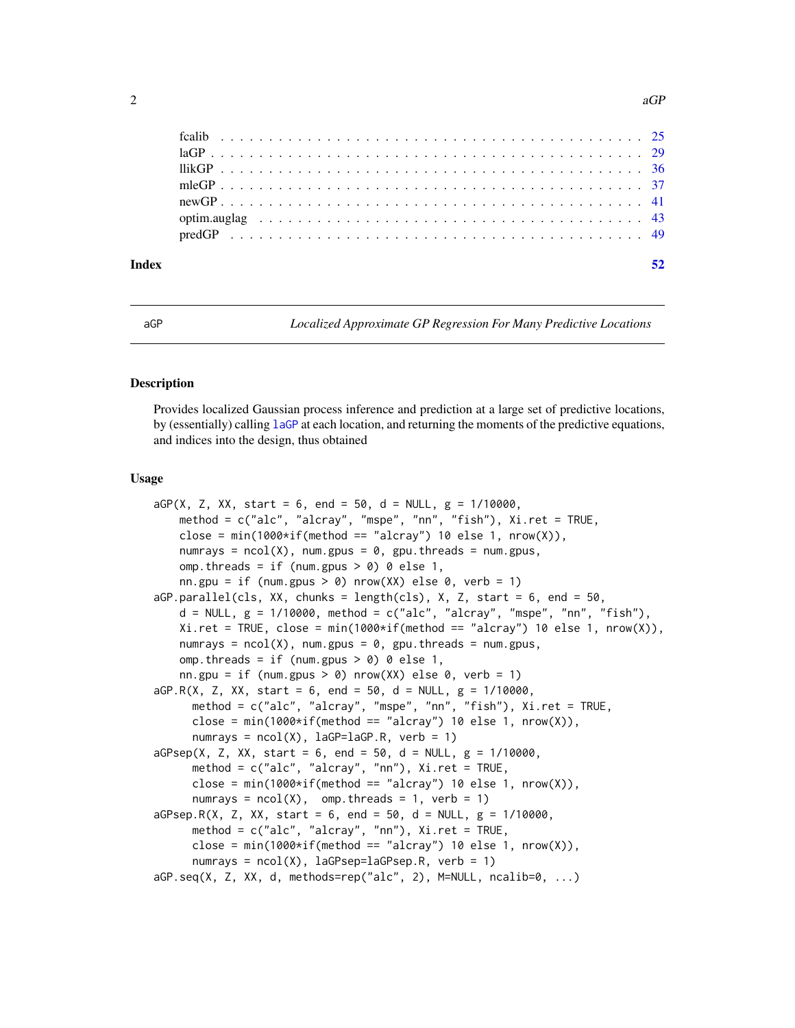<span id="page-1-0"></span>

| Index |  |
|-------|--|
|       |  |
|       |  |
|       |  |
|       |  |
|       |  |
|       |  |
|       |  |

<span id="page-1-1"></span>aGP *Localized Approximate GP Regression For Many Predictive Locations*

#### <span id="page-1-2"></span>**Description**

Provides localized Gaussian process inference and prediction at a large set of predictive locations, by (essentially) calling [laGP](#page-28-1) at each location, and returning the moments of the predictive equations, and indices into the design, thus obtained

#### Usage

```
aGP(X, Z, XX, start = 6, end = 50, d = NULL, g = 1/10000,method = c("alc", "alcray", "mspe", "nn", "fish"), Xi.ret = TRUE,
    close = min(1000*if(method == "alcray") 10 else 1, nrow(X)),numrays = ncol(X), num.gpus = 0, gpu.threads = num.gpus,
   omp. threads = if (num.gpus > 0) 0 else 1,
    nn.gpu = if (num.gpus > 0) nrow(XX) else 0, verb = 1)
aGP.parallel(cls, XX, chunks = length(cls), X, Z, start = 6, end = 50,
    d = NULL, g = 1/10000, method = c("alc", "alcray", "mspe", "nn", "fish"),
   Xi.ret = TRUE, close = min(1000*if(method == "alcray") 10 else 1, nrow(X)),numrays = ncol(X), num.gpus = \theta, gpu.threads = num.gpus,
   omp. threads = if (num.gpus > 0) 0 else 1,
    nn.gpu = if (num.gpus > 0) nrow(XX) else 0, verb = 1)
aGP.R(X, Z, XX, start = 6, end = 50, d = NULL, g = 1/10000,method = c("alc", "alcray", "mspe", "nn", "fish"), Xi.ret = TRUE,
     close = min(1000 \times if (method == "alcray") 10 else 1, nrow(X)),numrays = ncol(X), laGP=laGP.R, verb = 1)
aGPsep(X, Z, XX, start = 6, end = 50, d = NULL, g = 1/10000,method = c("alc", "alcray", "nn"), Xi.ret = TRUE,
     close = min(1000*if(method == "alcray") 10 else 1, nrow(X)),numrays = ncol(X), omp.threads = 1, verb = 1)
aGPsep.R(X, Z, XX, start = 6, end = 50, d = NULL, g = 1/10000,method = c("alc", "alcray", "nn"), Xi.ret = TRUE,close = min(1000\starif(method == "alcray") 10 else 1, nrow(X)),
     numrays = ncol(X), laGPsep=laGPsep.R, verb = 1)
aGP.seq(X, Z, XX, d, methods=rep("alc", 2), M=NULL, ncalib=0, ...)
```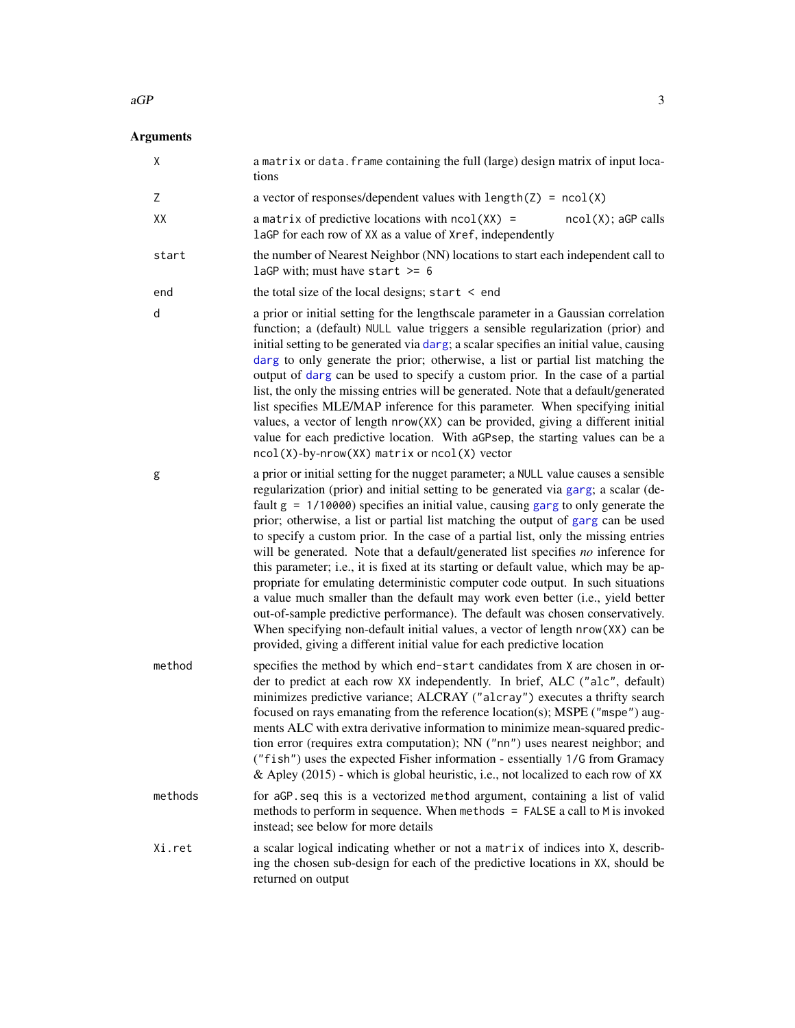# <span id="page-2-0"></span>Arguments

| Χ       | a matrix or data. frame containing the full (large) design matrix of input loca-<br>tions                                                                                                                                                                                                                                                                                                                                                                                                                                                                                                                                                                                                                                                                                                                                                                                                                                                                                                                                                |
|---------|------------------------------------------------------------------------------------------------------------------------------------------------------------------------------------------------------------------------------------------------------------------------------------------------------------------------------------------------------------------------------------------------------------------------------------------------------------------------------------------------------------------------------------------------------------------------------------------------------------------------------------------------------------------------------------------------------------------------------------------------------------------------------------------------------------------------------------------------------------------------------------------------------------------------------------------------------------------------------------------------------------------------------------------|
| Ζ       | a vector of responses/dependent values with $length(Z) = ncol(X)$                                                                                                                                                                                                                                                                                                                                                                                                                                                                                                                                                                                                                                                                                                                                                                                                                                                                                                                                                                        |
| XX      | a matrix of predictive locations with $ncol(XX)$ =<br>$ncol(X)$ ; aGP calls<br>laGP for each row of XX as a value of Xref, independently                                                                                                                                                                                                                                                                                                                                                                                                                                                                                                                                                                                                                                                                                                                                                                                                                                                                                                 |
| start   | the number of Nearest Neighbor (NN) locations to start each independent call to<br>laGP with; must have start $\ge$ = 6                                                                                                                                                                                                                                                                                                                                                                                                                                                                                                                                                                                                                                                                                                                                                                                                                                                                                                                  |
| end     | the total size of the local designs; start $\leq$ end                                                                                                                                                                                                                                                                                                                                                                                                                                                                                                                                                                                                                                                                                                                                                                                                                                                                                                                                                                                    |
| d       | a prior or initial setting for the lengthscale parameter in a Gaussian correlation<br>function; a (default) NULL value triggers a sensible regularization (prior) and<br>initial setting to be generated via darg; a scalar specifies an initial value, causing<br>darg to only generate the prior; otherwise, a list or partial list matching the<br>output of darg can be used to specify a custom prior. In the case of a partial<br>list, the only the missing entries will be generated. Note that a default/generated<br>list specifies MLE/MAP inference for this parameter. When specifying initial<br>values, a vector of length nrow(XX) can be provided, giving a different initial<br>value for each predictive location. With aGPsep, the starting values can be a<br>ncol(X)-by-nrow(XX) matrix or ncol(X) vector                                                                                                                                                                                                          |
| g       | a prior or initial setting for the nugget parameter; a NULL value causes a sensible<br>regularization (prior) and initial setting to be generated via garg; a scalar (de-<br>fault $g = 1/10000$ ) specifies an initial value, causing garg to only generate the<br>prior; otherwise, a list or partial list matching the output of garg can be used<br>to specify a custom prior. In the case of a partial list, only the missing entries<br>will be generated. Note that a default/generated list specifies no inference for<br>this parameter; i.e., it is fixed at its starting or default value, which may be ap-<br>propriate for emulating deterministic computer code output. In such situations<br>a value much smaller than the default may work even better (i.e., yield better<br>out-of-sample predictive performance). The default was chosen conservatively.<br>When specifying non-default initial values, a vector of length nrow(XX) can be<br>provided, giving a different initial value for each predictive location |
| method  | specifies the method by which end-start candidates from X are chosen in or-<br>der to predict at each row XX independently. In brief, ALC ("alc", default)<br>minimizes predictive variance; ALCRAY ("alcray") executes a thrifty search<br>focused on rays emanating from the reference location(s); MSPE ("mspe") aug-<br>ments ALC with extra derivative information to minimize mean-squared predic-<br>tion error (requires extra computation); NN ("nn") uses nearest neighbor; and<br>("fish") uses the expected Fisher information - essentially 1/G from Gramacy<br>& Apley (2015) - which is global heuristic, i.e., not localized to each row of XX                                                                                                                                                                                                                                                                                                                                                                           |
| methods | for aGP. seq this is a vectorized method argument, containing a list of valid<br>methods to perform in sequence. When methods = FALSE a call to M is invoked<br>instead; see below for more details                                                                                                                                                                                                                                                                                                                                                                                                                                                                                                                                                                                                                                                                                                                                                                                                                                      |
| Xi.ret  | a scalar logical indicating whether or not a matrix of indices into X, describ-<br>ing the chosen sub-design for each of the predictive locations in XX, should be<br>returned on output                                                                                                                                                                                                                                                                                                                                                                                                                                                                                                                                                                                                                                                                                                                                                                                                                                                 |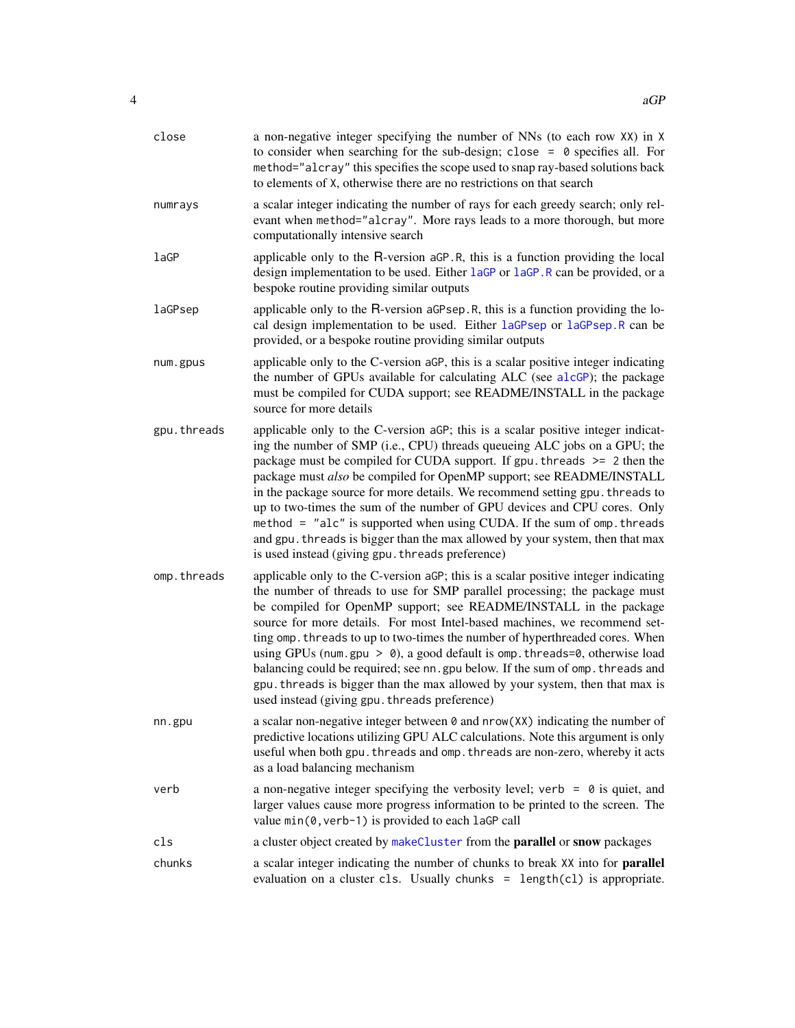<span id="page-3-0"></span>

| close       | a non-negative integer specifying the number of NNs (to each row XX) in X<br>to consider when searching for the sub-design; close = $\theta$ specifies all. For<br>method="alcray" this specifies the scope used to snap ray-based solutions back<br>to elements of X, otherwise there are no restrictions on that search                                                                                                                                                                                                                                                                                                                                                                           |
|-------------|-----------------------------------------------------------------------------------------------------------------------------------------------------------------------------------------------------------------------------------------------------------------------------------------------------------------------------------------------------------------------------------------------------------------------------------------------------------------------------------------------------------------------------------------------------------------------------------------------------------------------------------------------------------------------------------------------------|
| numrays     | a scalar integer indicating the number of rays for each greedy search; only rel-<br>evant when method="alcray". More rays leads to a more thorough, but more<br>computationally intensive search                                                                                                                                                                                                                                                                                                                                                                                                                                                                                                    |
| laGP        | applicable only to the R-version aGP.R, this is a function providing the local<br>design implementation to be used. Either laGP or laGP.R can be provided, or a<br>bespoke routine providing similar outputs                                                                                                                                                                                                                                                                                                                                                                                                                                                                                        |
| laGPsep     | applicable only to the R-version aGPsep.R, this is a function providing the lo-<br>cal design implementation to be used. Either laGPsep or laGPsep.R can be<br>provided, or a bespoke routine providing similar outputs                                                                                                                                                                                                                                                                                                                                                                                                                                                                             |
| num.gpus    | applicable only to the C-version aGP, this is a scalar positive integer indicating<br>the number of GPUs available for calculating ALC (see alcGP); the package<br>must be compiled for CUDA support; see README/INSTALL in the package<br>source for more details                                                                                                                                                                                                                                                                                                                                                                                                                                  |
| gpu.threads | applicable only to the C-version aGP; this is a scalar positive integer indicat-<br>ing the number of SMP (i.e., CPU) threads queueing ALC jobs on a GPU; the<br>package must be compiled for CUDA support. If $gpu$ threads $\ge$ 2 then the<br>package must also be compiled for OpenMP support; see README/INSTALL<br>in the package source for more details. We recommend setting gpu. threads to<br>up to two-times the sum of the number of GPU devices and CPU cores. Only<br>method = "alc" is supported when using CUDA. If the sum of omp. threads<br>and gpu. threads is bigger than the max allowed by your system, then that max<br>is used instead (giving gpu. threads preference)   |
| omp.threads | applicable only to the C-version aGP; this is a scalar positive integer indicating<br>the number of threads to use for SMP parallel processing; the package must<br>be compiled for OpenMP support; see README/INSTALL in the package<br>source for more details. For most Intel-based machines, we recommend set-<br>ting omp. threads to up to two-times the number of hyperthreaded cores. When<br>using GPUs (num.gpu > 0), a good default is omp. threads=0, otherwise load<br>balancing could be required; see nn. gpu below. If the sum of omp. threads and<br>gpu. threads is bigger than the max allowed by your system, then that max is<br>used instead (giving gpu. threads preference) |
| nn.gpu      | a scalar non-negative integer between $\theta$ and $nrow(XX)$ indicating the number of<br>predictive locations utilizing GPU ALC calculations. Note this argument is only<br>useful when both gpu. threads and omp. threads are non-zero, whereby it acts<br>as a load balancing mechanism                                                                                                                                                                                                                                                                                                                                                                                                          |
| verb        | a non-negative integer specifying the verbosity level; verb = $\theta$ is quiet, and<br>larger values cause more progress information to be printed to the screen. The<br>value min(0, verb-1) is provided to each laGP call                                                                                                                                                                                                                                                                                                                                                                                                                                                                        |
| cls         | a cluster object created by makeCluster from the <b>parallel</b> or snow packages                                                                                                                                                                                                                                                                                                                                                                                                                                                                                                                                                                                                                   |
| chunks      | a scalar integer indicating the number of chunks to break XX into for <b>parallel</b><br>evaluation on a cluster c1s. Usually chunks = length(c1) is appropriate.                                                                                                                                                                                                                                                                                                                                                                                                                                                                                                                                   |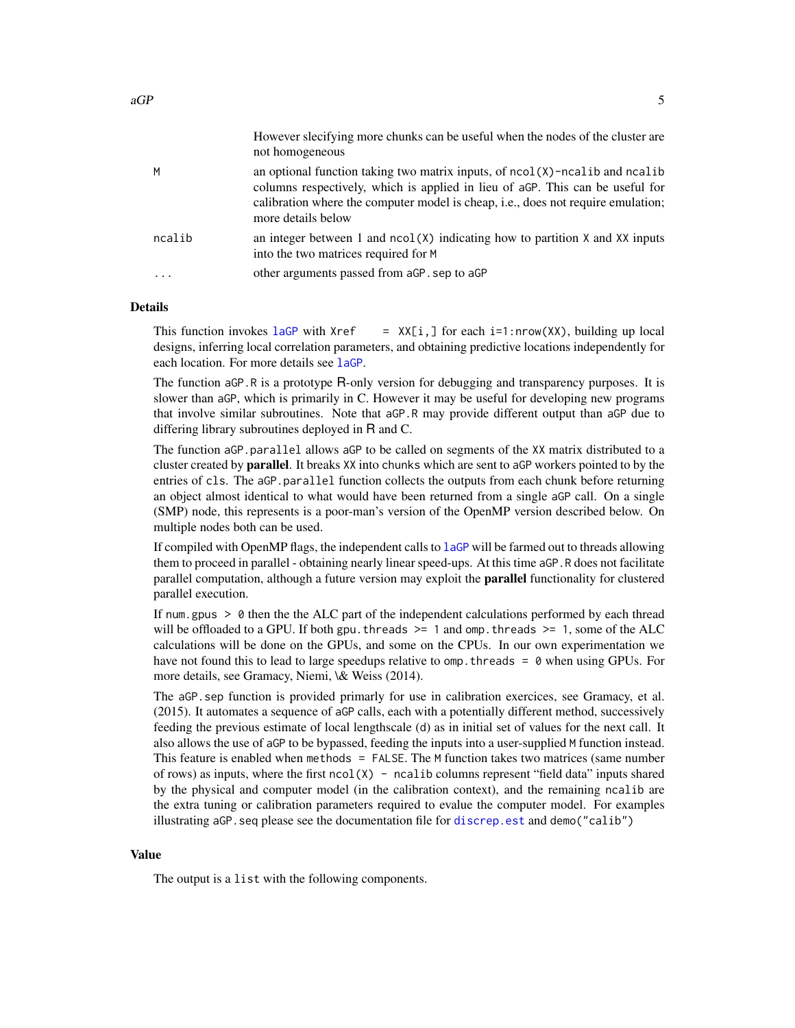<span id="page-4-0"></span>

|        | However slech ving more chunks can be useful when the houes of the cluster are<br>not homogeneous                                                                                                                                                                                   |
|--------|-------------------------------------------------------------------------------------------------------------------------------------------------------------------------------------------------------------------------------------------------------------------------------------|
| м      | an optional function taking two matrix inputs, of $ncol(X)$ -ncalib and $ncalib$<br>columns respectively, which is applied in lieu of aGP. This can be useful for<br>calibration where the computer model is cheap, <i>i.e.</i> , does not require emulation;<br>more details below |
| ncalib | an integer between 1 and $ncol(X)$ indicating how to partition X and XX inputs<br>into the two matrices required for M                                                                                                                                                              |
|        | other arguments passed from aGP, sep to aGP                                                                                                                                                                                                                                         |
|        |                                                                                                                                                                                                                                                                                     |

However slecifying more chunks can be useful when the nodes of the cluster are

#### Details

This function invokes [laGP](#page-28-1) with  $Xref = XX[i, ]$  for each i=1:nrow(XX), building up local designs, inferring local correlation parameters, and obtaining predictive locations independently for each location. For more details see [laGP](#page-28-1).

The function aGP.R is a prototype R-only version for debugging and transparency purposes. It is slower than aGP, which is primarily in C. However it may be useful for developing new programs that involve similar subroutines. Note that aGP.R may provide different output than aGP due to differing library subroutines deployed in R and C.

The function aGP.parallel allows aGP to be called on segments of the XX matrix distributed to a cluster created by **parallel**. It breaks XX into chunks which are sent to aGP workers pointed to by the entries of cls. The aGP.parallel function collects the outputs from each chunk before returning an object almost identical to what would have been returned from a single aGP call. On a single (SMP) node, this represents is a poor-man's version of the OpenMP version described below. On multiple nodes both can be used.

If compiled with OpenMP flags, the independent calls to [laGP](#page-28-1) will be farmed out to threads allowing them to proceed in parallel - obtaining nearly linear speed-ups. At this time aGP.R does not facilitate parallel computation, although a future version may exploit the parallel functionality for clustered parallel execution.

If num.gpus > 0 then the the ALC part of the independent calculations performed by each thread will be offloaded to a GPU. If both gpu. threads  $\ge$  1 and omp. threads  $\ge$  1, some of the ALC calculations will be done on the GPUs, and some on the CPUs. In our own experimentation we have not found this to lead to large speedups relative to omp. threads  $= 0$  when using GPUs. For more details, see Gramacy, Niemi, \& Weiss (2014).

The aGP.sep function is provided primarly for use in calibration exercices, see Gramacy, et al. (2015). It automates a sequence of aGP calls, each with a potentially different method, successively feeding the previous estimate of local lengthscale (d) as in initial set of values for the next call. It also allows the use of aGP to be bypassed, feeding the inputs into a user-supplied M function instead. This feature is enabled when methods = FALSE. The M function takes two matrices (same number of rows) as inputs, where the first  $ncol(X)$  - ncalib columns represent "field data" inputs shared by the physical and computer model (in the calibration context), and the remaining ncalib are the extra tuning or calibration parameters required to evalue the computer model. For examples illustrating aGP. seq please see the documentation file for discrep. est and demo("calib")

#### Value

The output is a list with the following components.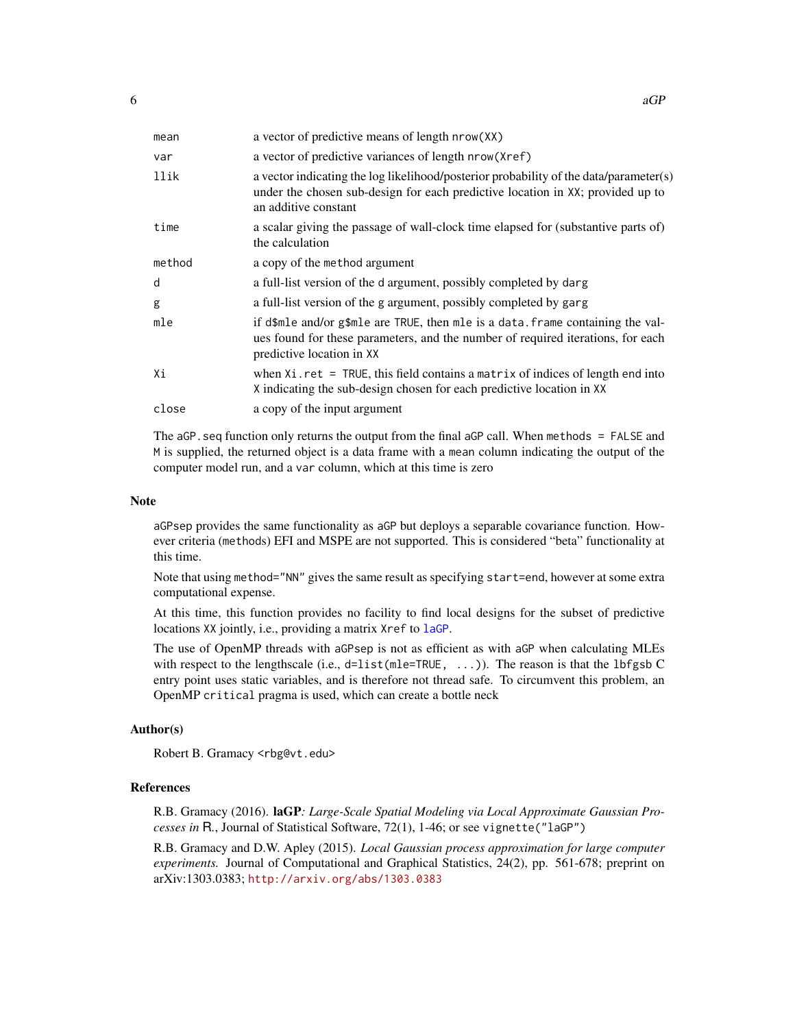| mean   | a vector of predictive means of length nrow(XX)                                                                                                                                                 |
|--------|-------------------------------------------------------------------------------------------------------------------------------------------------------------------------------------------------|
| var    | a vector of predictive variances of length nrow(Xref)                                                                                                                                           |
| llik   | a vector indicating the log likelihood/posterior probability of the data/parameter(s)<br>under the chosen sub-design for each predictive location in XX; provided up to<br>an additive constant |
| time   | a scalar giving the passage of wall-clock time elapsed for (substantive parts of)<br>the calculation                                                                                            |
| method | a copy of the method argument                                                                                                                                                                   |
| d      | a full-list version of the d argument, possibly completed by darg                                                                                                                               |
| g      | a full-list version of the g argument, possibly completed by garg                                                                                                                               |
| mle    | if d\$mle and/or g\$mle are TRUE, then mle is a data. frame containing the val-<br>ues found for these parameters, and the number of required iterations, for each<br>predictive location in XX |
| Xi     | when $Xi$ ret = TRUE, this field contains a matrix of indices of length end into<br>X indicating the sub-design chosen for each predictive location in XX                                       |
| close  | a copy of the input argument                                                                                                                                                                    |

The aGP.seq function only returns the output from the final aGP call. When methods = FALSE and M is supplied, the returned object is a data frame with a mean column indicating the output of the computer model run, and a var column, which at this time is zero

# Note

aGPsep provides the same functionality as aGP but deploys a separable covariance function. However criteria (methods) EFI and MSPE are not supported. This is considered "beta" functionality at this time.

Note that using method="NN" gives the same result as specifying start=end, however at some extra computational expense.

At this time, this function provides no facility to find local designs for the subset of predictive locations XX jointly, i.e., providing a matrix Xref to [laGP](#page-28-1).

The use of OpenMP threads with aGPsep is not as efficient as with aGP when calculating MLEs with respect to the lengthscale (i.e., d=list(mle=TRUE, ...)). The reason is that the lbfgsb C entry point uses static variables, and is therefore not thread safe. To circumvent this problem, an OpenMP critical pragma is used, which can create a bottle neck

#### Author(s)

Robert B. Gramacy <rbg@vt.edu>

#### References

R.B. Gramacy (2016). laGP*: Large-Scale Spatial Modeling via Local Approximate Gaussian Processes in* R*.*, Journal of Statistical Software, 72(1), 1-46; or see vignette("laGP")

R.B. Gramacy and D.W. Apley (2015). *Local Gaussian process approximation for large computer experiments.* Journal of Computational and Graphical Statistics, 24(2), pp. 561-678; preprint on arXiv:1303.0383; <http://arxiv.org/abs/1303.0383>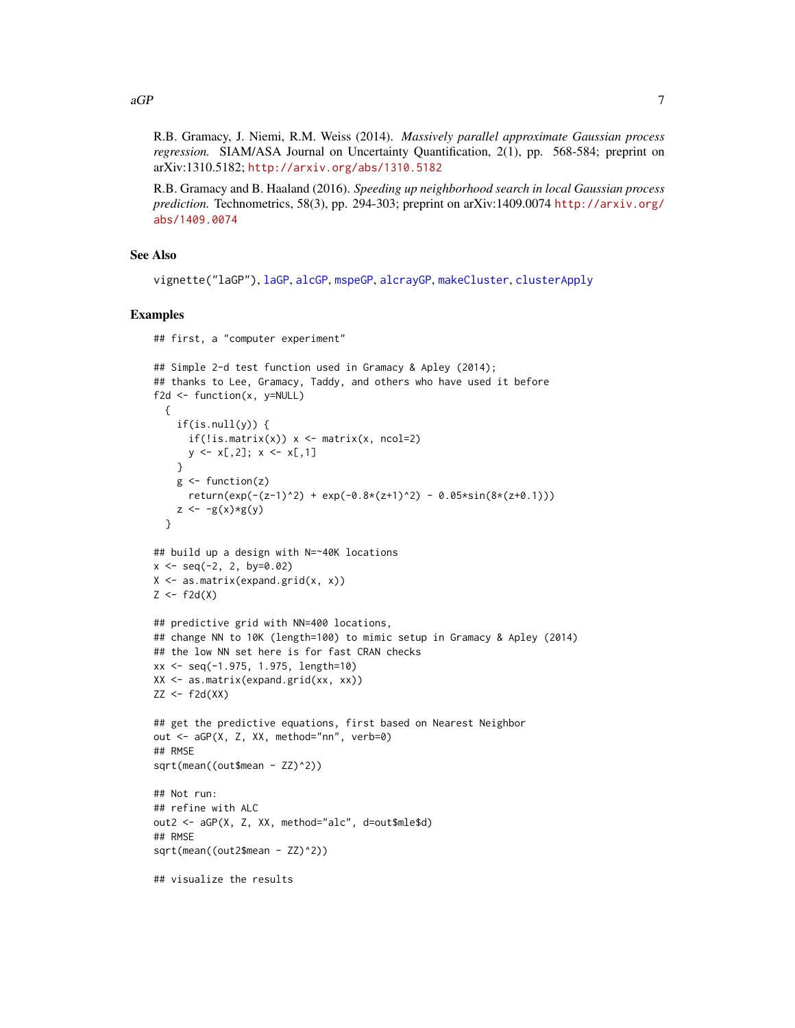<span id="page-6-0"></span> $aGP$  7

R.B. Gramacy, J. Niemi, R.M. Weiss (2014). *Massively parallel approximate Gaussian process regression.* SIAM/ASA Journal on Uncertainty Quantification, 2(1), pp. 568-584; preprint on arXiv:1310.5182; <http://arxiv.org/abs/1310.5182>

R.B. Gramacy and B. Haaland (2016). *Speeding up neighborhood search in local Gaussian process prediction.* Technometrics, 58(3), pp. 294-303; preprint on arXiv:1409.0074 [http://arxiv.org/](http://arxiv.org/abs/1409.0074) [abs/1409.0074](http://arxiv.org/abs/1409.0074)

# See Also

vignette("laGP"), [laGP](#page-28-1), [alcGP](#page-8-1), [mspeGP](#page-8-2), [alcrayGP](#page-8-2), [makeCluster](#page-0-0), [clusterApply](#page-0-0)

## Simple 2-d test function used in Gramacy & Apley (2014);

# Examples

```
## first, a "computer experiment"
```

```
## thanks to Lee, Gramacy, Taddy, and others who have used it before
f2d <- function(x, y=NULL)
  {
    if(is.null(y)) {
      if(!is.mathrix(x)) x <- matrix(x, ncol=2)
      y \le x[, 2]; x \le x[, 1]}
    g \leftarrow function(z)
      return(exp(-(z-1)^2) + exp(-0.8*(z+1)^2) - 0.05*sin(8*(z+0.1)))z \leftarrow -g(x)*g(y)}
## build up a design with N=~40K locations
x \le - seq(-2, 2, by=0.02)
X \leftarrow \text{as_matrix}(\text{expand.grid}(x, x))Z \leftarrow f2d(X)## predictive grid with NN=400 locations,
## change NN to 10K (length=100) to mimic setup in Gramacy & Apley (2014)
## the low NN set here is for fast CRAN checks
xx <- seq(-1.975, 1.975, length=10)
XX <- as.matrix(expand.grid(xx, xx))
ZZ < - f2d(XX)## get the predictive equations, first based on Nearest Neighbor
out <- aGP(X, Z, XX, method="nn", verb=0)
## RMSE
sqrt(mean((out$mean - ZZ)^2))
## Not run:
## refine with ALC
out2 <- aGP(X, Z, XX, method="alc", d=out$mle$d)
## RMSE
sqrt(mean((out2$mean - ZZ)^2))
## visualize the results
```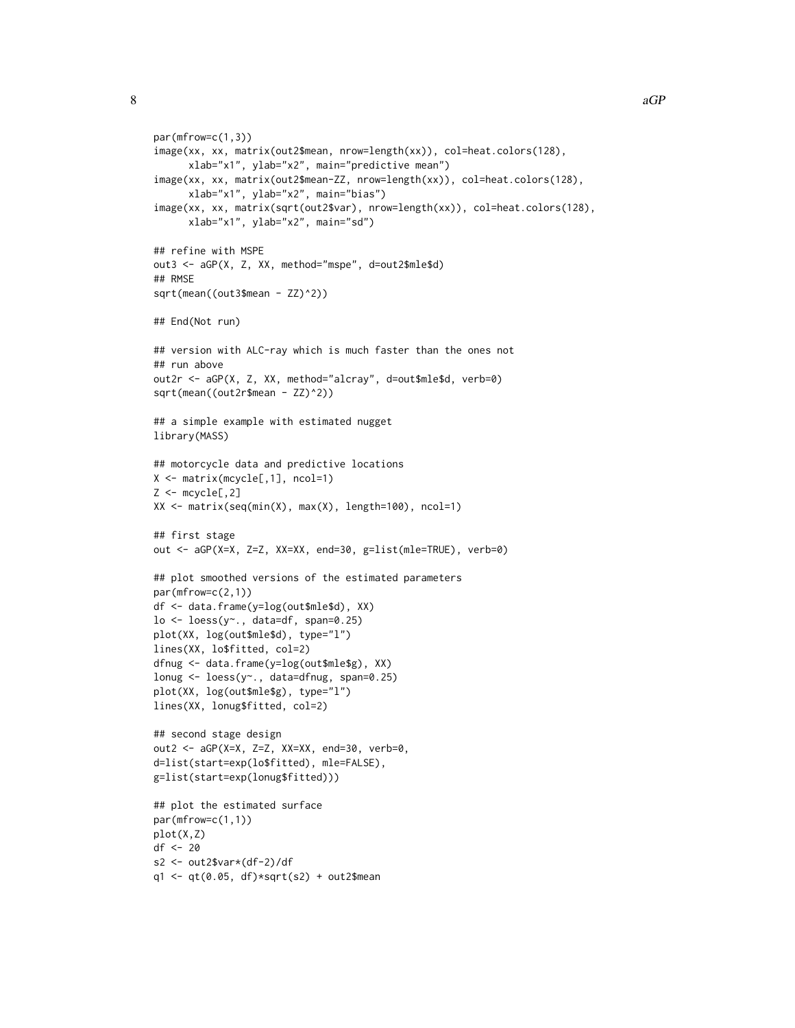```
par(mfrow=c(1,3))
image(xx, xx, matrix(out2$mean, nrow=length(xx)), col=heat.colors(128),
      xlab="x1", ylab="x2", main="predictive mean")
image(xx, xx, matrix(out2$mean-ZZ, nrow=length(xx)), col=heat.colors(128),
      xlab="x1", ylab="x2", main="bias")
image(xx, xx, matrix(sqrt(out2$var), nrow=length(xx)), col=heat.colors(128),
      xlab="x1", ylab="x2", main="sd")
## refine with MSPE
out3 <- aGP(X, Z, XX, method="mspe", d=out2$mle$d)
## RMSE
sqrt(mean((out3$mean - ZZ)^2))
## End(Not run)
## version with ALC-ray which is much faster than the ones not
## run above
out2r <- aGP(X, Z, XX, method="alcray", d=out$mle$d, verb=0)
sqrt(mean((out2r$mean - ZZ)^2))
## a simple example with estimated nugget
library(MASS)
## motorcycle data and predictive locations
X <- matrix(mcycle[,1], ncol=1)
Z \leftarrow \text{mcycle}[, 2]XX \le matrix(seq(min(X), max(X), length=100), ncol=1)
## first stage
out <- aGP(X=X, Z=Z, XX=XX, end=30, g=list(mle=TRUE), verb=0)
## plot smoothed versions of the estimated parameters
par(mfrow=c(2,1))
df <- data.frame(y=log(out$mle$d), XX)
\log 2 - \log 2(y^2), data=df, span=0.25)
plot(XX, log(out$mle$d), type="l")
lines(XX, lo$fitted, col=2)
dfnug <- data.frame(y=log(out$mle$g), XX)
lonug <- loess(y~., data=dfnug, span=0.25)
plot(XX, log(out$mle$g), type="l")
lines(XX, lonug$fitted, col=2)
## second stage design
out2 <- aGP(X=X, Z=Z, XX=XX, end=30, verb=0,
d=list(start=exp(lo$fitted), mle=FALSE),
g=list(start=exp(lonug$fitted)))
## plot the estimated surface
par(mfrow=c(1,1))
plot(X,Z)
df <- 20
s2 <- out2$var*(df-2)/df
q1 \leq -qt(0.05, df) * sqrt(s2) + out2$mean
```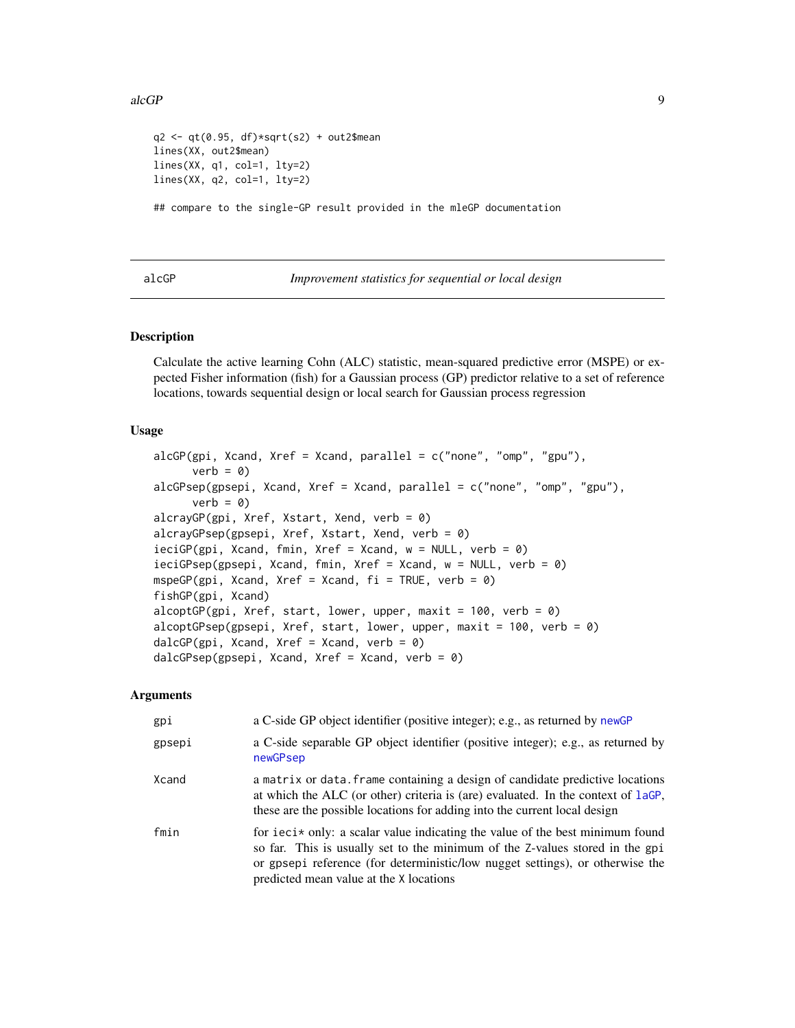#### <span id="page-8-0"></span> $alcGP$  9

```
q2 < -qt(0.95, df)*sqrt(s2) + out2$mean
lines(XX, out2$mean)
lines(XX, q1, col=1, lty=2)
lines(XX, q2, col=1, lty=2)
```
## compare to the single-GP result provided in the mleGP documentation

<span id="page-8-1"></span>alcGP *Improvement statistics for sequential or local design*

# <span id="page-8-2"></span>**Description**

Calculate the active learning Cohn (ALC) statistic, mean-squared predictive error (MSPE) or expected Fisher information (fish) for a Gaussian process (GP) predictor relative to a set of reference locations, towards sequential design or local search for Gaussian process regression

#### Usage

```
alcGP(gpi, Xcand, Xref = Xcand, parallel = c("none", "omp", "gpu"),verb = <math>\emptyset</math>)alcGPsep(gpsepi, Xcand, Xref = Xcand, parallel = c("none", "omp", "gpu"),verb = <math>\emptyset</math>)alcrayGP(gpi, Xref, Xstart, Xend, verb = 0)alcrayGPsep(gpsepi, Xref, Xstart, Xend, verb = 0)
ieciGP(gpi, Xcand, fmin, Xref = Xcand, w = NULL, verb = 0)
ieciGPsep(gpsepi, Xcand, fmin, Xref = Xcand, w = NULL, verb = 0)
mspeGP(gpi, Xcand, Xref = Xcand, fi = TRUE, verb = 0)
fishGP(gpi, Xcand)
alcoptGP(gpi, Xref, start, lower, upper, maxit = 100, verb = 0)alcoptGPsep(gpsepi, Xref, start, lower, upper, maxit = 100, verb = 0)
dalcGP(gpi, Xcand, Xref = Xcand, verb = 0)dalcGPsep(gpsepi, Xcand, Xref = Xcand, verb = 0)
```
#### Arguments

| gpi    | a C-side GP object identifier (positive integer); e.g., as returned by newGP                                                                                                                                                                                                                           |
|--------|--------------------------------------------------------------------------------------------------------------------------------------------------------------------------------------------------------------------------------------------------------------------------------------------------------|
| gpsepi | a C-side separable GP object identifier (positive integer); e.g., as returned by<br>newGPsep                                                                                                                                                                                                           |
| Xcand  | a matrix or data. Frame containing a design of candidate predictive locations<br>at which the ALC (or other) criteria is (are) evaluated. In the context of laGP,<br>these are the possible locations for adding into the current local design                                                         |
| fmin   | for $\text{ici} \star$ only: a scalar value indicating the value of the best minimum found<br>so far. This is usually set to the minimum of the Z-values stored in the gpi<br>or gpsepi reference (for deterministic/low nugget settings), or otherwise the<br>predicted mean value at the X locations |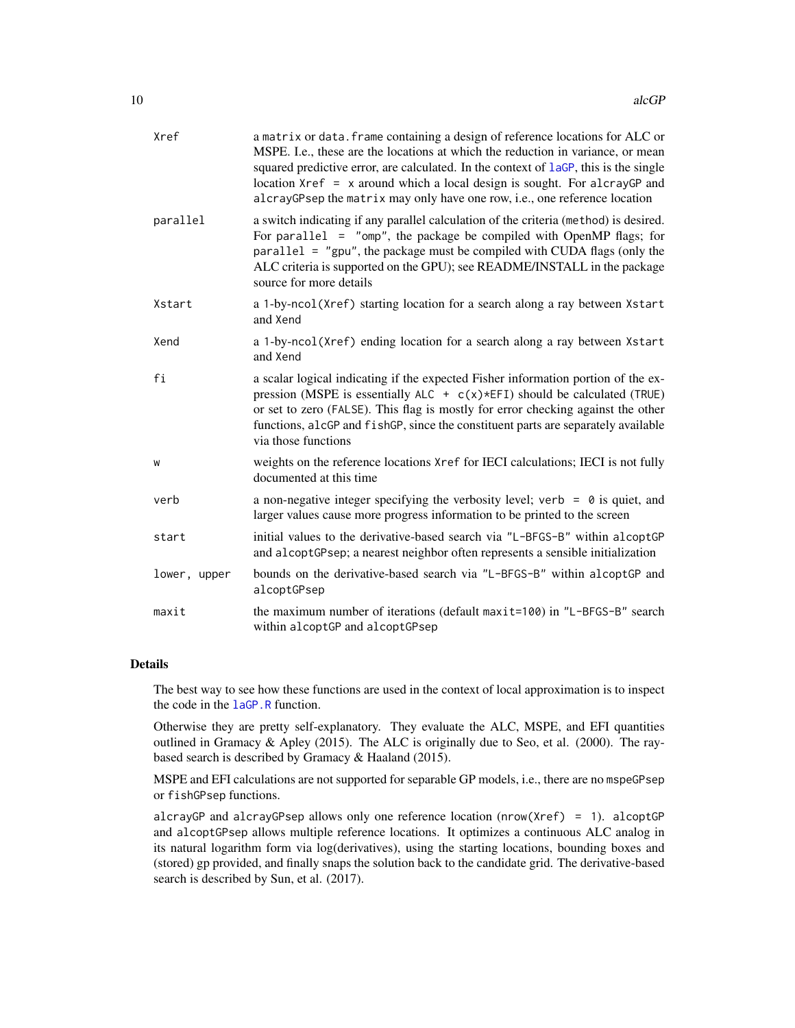<span id="page-9-0"></span>

| Xref         | a matrix or data. frame containing a design of reference locations for ALC or<br>MSPE. I.e., these are the locations at which the reduction in variance, or mean<br>squared predictive error, are calculated. In the context of laGP, this is the single<br>location $Xref = x$ around which a local design is sought. For alcrayGP and<br>alcrayGPsep the matrix may only have one row, i.e., one reference location |
|--------------|-----------------------------------------------------------------------------------------------------------------------------------------------------------------------------------------------------------------------------------------------------------------------------------------------------------------------------------------------------------------------------------------------------------------------|
| parallel     | a switch indicating if any parallel calculation of the criteria (method) is desired.<br>For parallel $=$ "omp", the package be compiled with OpenMP flags; for<br>$parallel = "gpu",$ the package must be compiled with CUDA flags (only the<br>ALC criteria is supported on the GPU); see README/INSTALL in the package<br>source for more details                                                                   |
| Xstart       | a 1-by-ncol(Xref) starting location for a search along a ray between Xstart<br>and Xend                                                                                                                                                                                                                                                                                                                               |
| Xend         | a 1-by-ncol(Xref) ending location for a search along a ray between Xstart<br>and Xend                                                                                                                                                                                                                                                                                                                                 |
| fi           | a scalar logical indicating if the expected Fisher information portion of the ex-<br>pression (MSPE is essentially ALC + $c(x)$ *EFI) should be calculated (TRUE)<br>or set to zero (FALSE). This flag is mostly for error checking against the other<br>functions, alcGP and fishGP, since the constituent parts are separately available<br>via those functions                                                     |
| W            | weights on the reference locations Xref for IECI calculations; IECI is not fully<br>documented at this time                                                                                                                                                                                                                                                                                                           |
| verb         | a non-negative integer specifying the verbosity level; verb = $\theta$ is quiet, and<br>larger values cause more progress information to be printed to the screen                                                                                                                                                                                                                                                     |
| start        | initial values to the derivative-based search via "L-BFGS-B" within alcoptGP<br>and alcoptGPsep; a nearest neighbor often represents a sensible initialization                                                                                                                                                                                                                                                        |
| lower, upper | bounds on the derivative-based search via "L-BFGS-B" within alcoptGP and<br>alcoptGPsep                                                                                                                                                                                                                                                                                                                               |
| maxit        | the maximum number of iterations (default maxit=100) in "L-BFGS-B" search<br>within alcoptGP and alcoptGPsep                                                                                                                                                                                                                                                                                                          |

# Details

The best way to see how these functions are used in the context of local approximation is to inspect the code in the [laGP.R](#page-28-2) function.

Otherwise they are pretty self-explanatory. They evaluate the ALC, MSPE, and EFI quantities outlined in Gramacy & Apley (2015). The ALC is originally due to Seo, et al. (2000). The raybased search is described by Gramacy & Haaland (2015).

MSPE and EFI calculations are not supported for separable GP models, i.e., there are no mspeGPsep or fishGPsep functions.

alcrayGP and alcrayGPsep allows only one reference location (nrow(Xref) = 1). alcoptGP and alcoptGPsep allows multiple reference locations. It optimizes a continuous ALC analog in its natural logarithm form via log(derivatives), using the starting locations, bounding boxes and (stored) gp provided, and finally snaps the solution back to the candidate grid. The derivative-based search is described by Sun, et al. (2017).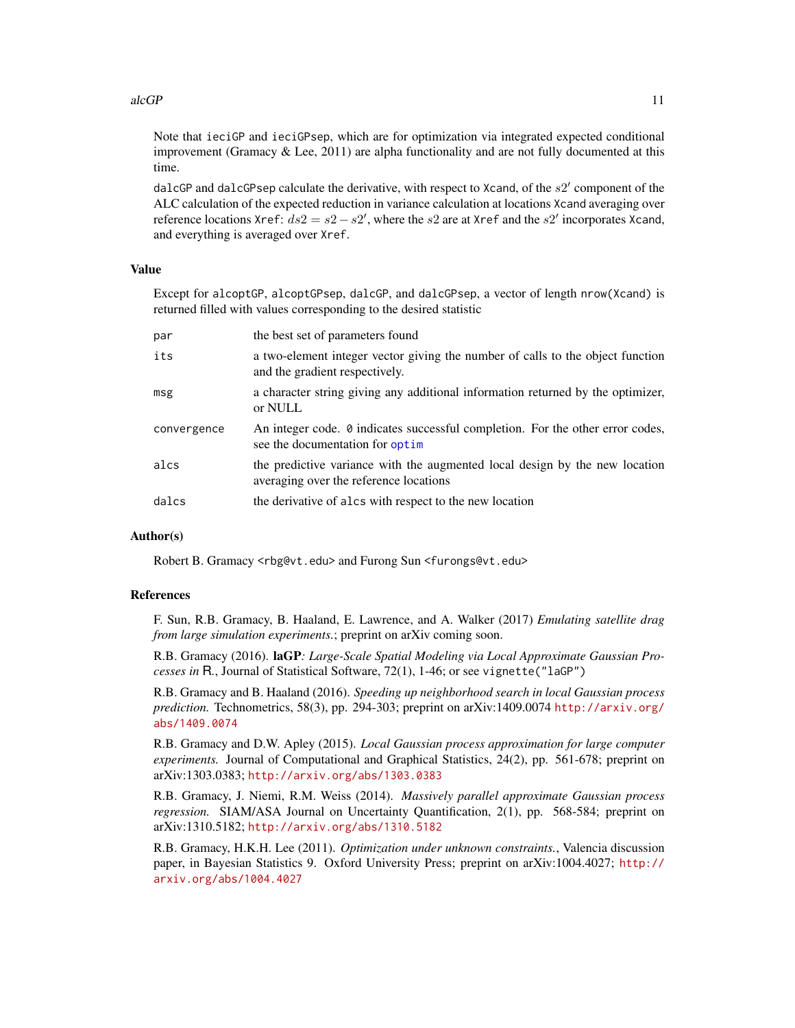#### <span id="page-10-0"></span> $alcGP$  11

Note that ieciGP and ieciGPsep, which are for optimization via integrated expected conditional improvement (Gramacy  $&$  Lee, 2011) are alpha functionality and are not fully documented at this time.

dalcGP and dalcGPsep calculate the derivative, with respect to Xcand, of the  $s2'$  component of the ALC calculation of the expected reduction in variance calculation at locations Xcand averaging over reference locations Xref:  $ds2 = s2 - s2'$ , where the s2 are at Xref and the s2' incorporates Xcand, and everything is averaged over Xref.

#### Value

Except for alcoptGP, alcoptGPsep, dalcGP, and dalcGPsep, a vector of length nrow(Xcand) is returned filled with values corresponding to the desired statistic

| par         | the best set of parameters found                                                                                         |
|-------------|--------------------------------------------------------------------------------------------------------------------------|
| its         | a two-element integer vector giving the number of calls to the object function<br>and the gradient respectively.         |
| msg         | a character string giving any additional information returned by the optimizer,<br>or NULL                               |
| convergence | An integer code. $\theta$ indicates successful completion. For the other error codes,<br>see the documentation for optim |
| alcs        | the predictive variance with the augmented local design by the new location<br>averaging over the reference locations    |
| dalcs       | the derivative of alcs with respect to the new location                                                                  |

#### Author(s)

Robert B. Gramacy <rbg@vt.edu> and Furong Sun <furongs@vt.edu>

#### References

F. Sun, R.B. Gramacy, B. Haaland, E. Lawrence, and A. Walker (2017) *Emulating satellite drag from large simulation experiments.*; preprint on arXiv coming soon.

R.B. Gramacy (2016). laGP*: Large-Scale Spatial Modeling via Local Approximate Gaussian Processes in* R*.*, Journal of Statistical Software, 72(1), 1-46; or see vignette("laGP")

R.B. Gramacy and B. Haaland (2016). *Speeding up neighborhood search in local Gaussian process prediction.* Technometrics, 58(3), pp. 294-303; preprint on arXiv:1409.0074 [http://arxiv.org/](http://arxiv.org/abs/1409.0074) [abs/1409.0074](http://arxiv.org/abs/1409.0074)

R.B. Gramacy and D.W. Apley (2015). *Local Gaussian process approximation for large computer experiments.* Journal of Computational and Graphical Statistics, 24(2), pp. 561-678; preprint on arXiv:1303.0383; <http://arxiv.org/abs/1303.0383>

R.B. Gramacy, J. Niemi, R.M. Weiss (2014). *Massively parallel approximate Gaussian process regression.* SIAM/ASA Journal on Uncertainty Quantification, 2(1), pp. 568-584; preprint on arXiv:1310.5182; <http://arxiv.org/abs/1310.5182>

R.B. Gramacy, H.K.H. Lee (2011). *Optimization under unknown constraints.*, Valencia discussion paper, in Bayesian Statistics 9. Oxford University Press; preprint on arXiv:1004.4027; [http://](http://arxiv.org/abs/1004.4027) [arxiv.org/abs/1004.4027](http://arxiv.org/abs/1004.4027)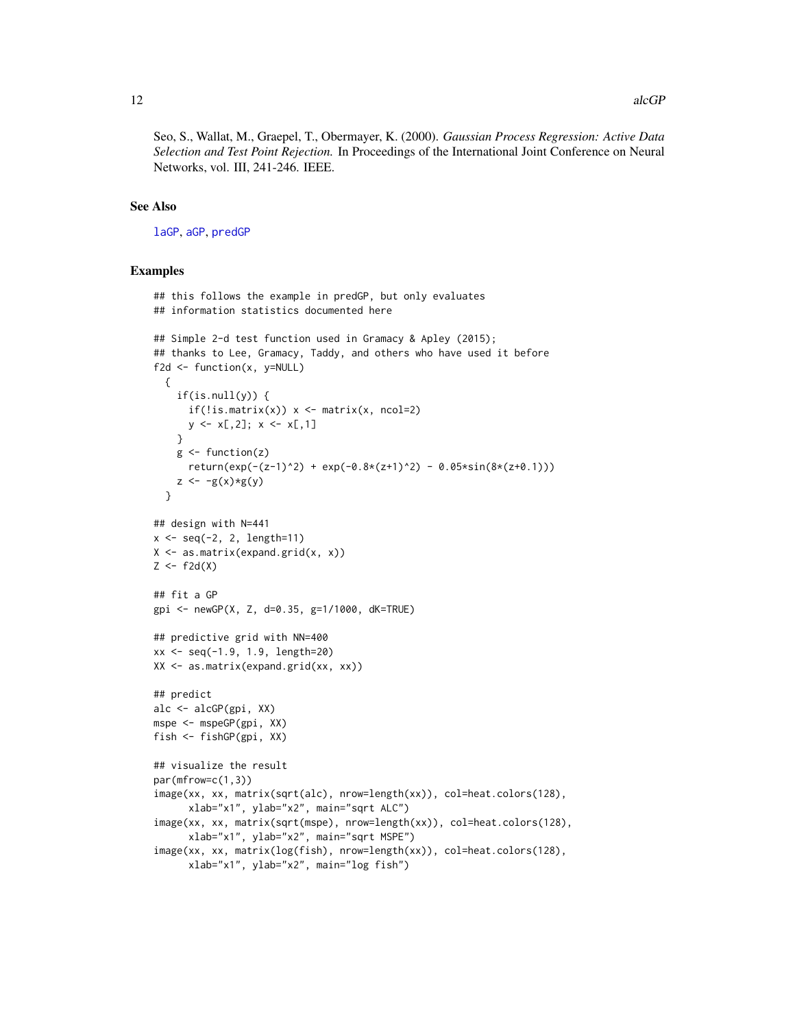<span id="page-11-0"></span>Seo, S., Wallat, M., Graepel, T., Obermayer, K. (2000). *Gaussian Process Regression: Active Data Selection and Test Point Rejection.* In Proceedings of the International Joint Conference on Neural Networks, vol. III, 241-246. IEEE.

# See Also

[laGP](#page-28-1), [aGP](#page-1-1), [predGP](#page-48-1)

#### Examples

```
## this follows the example in predGP, but only evaluates
## information statistics documented here
## Simple 2-d test function used in Gramacy & Apley (2015);
## thanks to Lee, Gramacy, Taddy, and others who have used it before
f2d \leftarrow function(x, y=NULL){
    if(is.null(y)) {
      if(!is.mathrix(x)) \times \leftarrow matrix(x, noch=2)y \leq x[, 2]; x \leq x[, 1]}
    g \leftarrow function(z)return(exp(-(z-1)^2) + exp(-0.8*(z+1)^2) - 0.05*sin(8*(z+0.1)))z \leftarrow -g(x)*g(y)}
## design with N=441
x \le - seq(-2, 2, length=11)
X \leftarrow \text{as_matrix}(\text{expand.grid}(x, x))Z \leftarrow f2d(X)## fit a GP
gpi <- newGP(X, Z, d=0.35, g=1/1000, dK=TRUE)
## predictive grid with NN=400
xx <- seq(-1.9, 1.9, length=20)
XX <- as.matrix(expand.grid(xx, xx))
## predict
alc <- alcGP(gpi, XX)
mspe <- mspeGP(gpi, XX)
fish <- fishGP(gpi, XX)
## visualize the result
par(mfrow=c(1,3))
image(xx, xx, matrix(sqrt(alc), nrow=length(xx)), col=heat.colors(128),
      xlab="x1", ylab="x2", main="sqrt ALC")
image(xx, xx, matrix(sqrt(mspe), nrow=length(xx)), col=heat.colors(128),
      xlab="x1", ylab="x2", main="sqrt MSPE")
image(xx, xx, matrix(log(fish), nrow=length(xx)), col=heat.colors(128),
      xlab="x1", ylab="x2", main="log fish")
```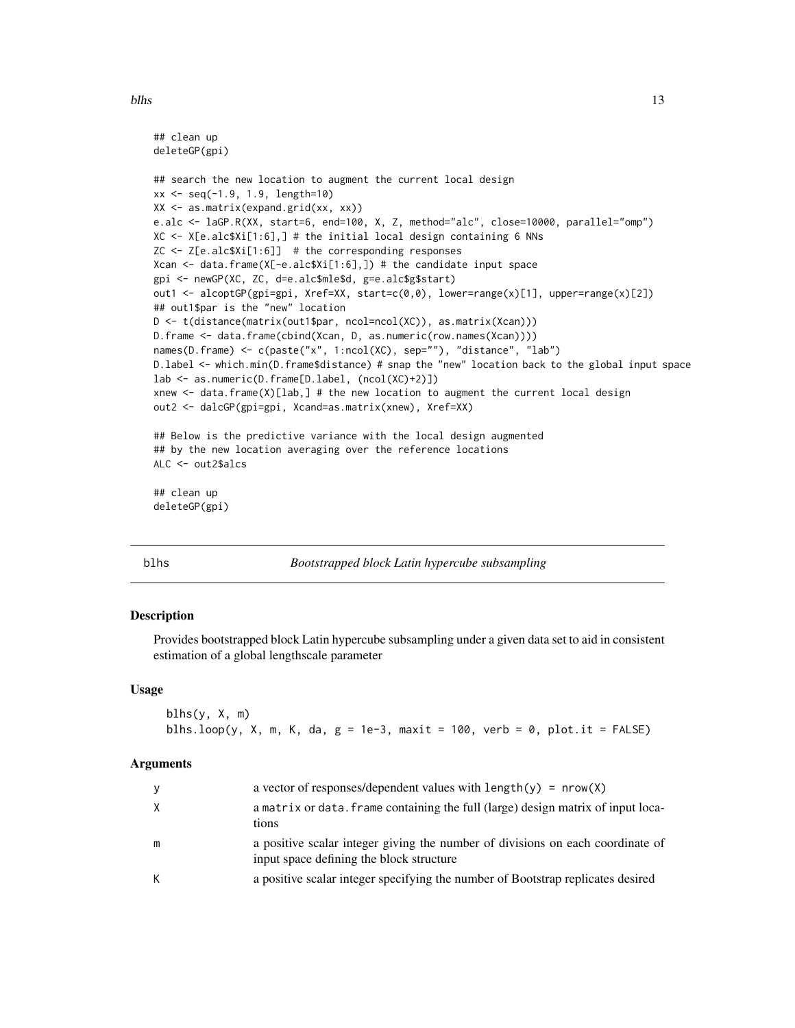#### <span id="page-12-0"></span>blhs and the state of the state of the state of the state of the state of the state of the state of the state of the state of the state of the state of the state of the state of the state of the state of the state of the s

```
## clean up
deleteGP(gpi)
## search the new location to augment the current local design
xx <- seq(-1.9, 1.9, length=10)
XX <- as.matrix(expand.grid(xx, xx))
e.alc <- laGP.R(XX, start=6, end=100, X, Z, method="alc", close=10000, parallel="omp")
XC <- X[e.alc$Xi[1:6],] # the initial local design containing 6 NNs
ZC <- Z[e.alc$Xi[1:6]] # the corresponding responses
Xcan <- data.frame(X[-e.alc$Xi[1:6],]) # the candidate input space
gpi <- newGP(XC, ZC, d=e.alc$mle$d, g=e.alc$g$start)
out1 <- alcoptGP(gpi=gpi, Xref=XX, start=c(0,0), lower=range(x)[1], upper=range(x)[2])
## out1$par is the "new" location
D <- t(distance(matrix(out1$par, ncol=ncol(XC)), as.matrix(Xcan)))
D.frame <- data.frame(cbind(Xcan, D, as.numeric(row.names(Xcan))))
names(D.frame) <- c(paste("x", 1:ncol(XC), sep=""), "distance", "lab")
D.label <- which.min(D.frame$distance) # snap the "new" location back to the global input space
lab <- as.numeric(D.frame[D.label, (ncol(XC)+2)])
xnew <- data.frame(X)[lab,] # the new location to augment the current local design
out2 <- dalcGP(gpi=gpi, Xcand=as.matrix(xnew), Xref=XX)
## Below is the predictive variance with the local design augmented
## by the new location averaging over the reference locations
ALC <- out2$alcs
## clean up
deleteGP(gpi)
```
#### blhs *Bootstrapped block Latin hypercube subsampling*

#### Description

Provides bootstrapped block Latin hypercube subsampling under a given data set to aid in consistent estimation of a global lengthscale parameter

#### Usage

```
blhs(y, X, m)
blhs.loop(y, X, m, K, da, g = 1e-3, maxit = 100, verb = 0, plot.it = FALSE)
```
#### Arguments

| y | a vector of responses/dependent values with $length(y) = nrow(X)$                                                          |
|---|----------------------------------------------------------------------------------------------------------------------------|
| X | a matrix or data, frame containing the full (large) design matrix of input loca-<br>tions                                  |
| m | a positive scalar integer giving the number of divisions on each coordinate of<br>input space defining the block structure |
| К | a positive scalar integer specifying the number of Bootstrap replicates desired                                            |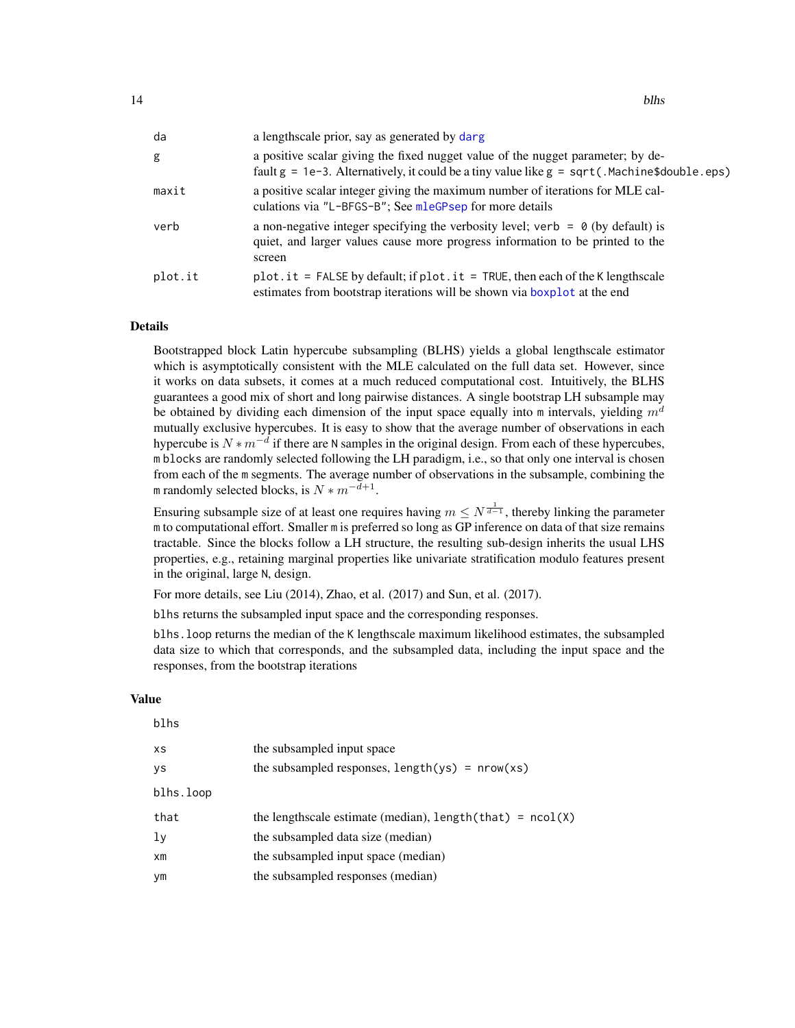<span id="page-13-0"></span>

| da      | a lengthscale prior, say as generated by darg                                                                                                                                            |
|---------|------------------------------------------------------------------------------------------------------------------------------------------------------------------------------------------|
| g       | a positive scalar giving the fixed nugget value of the nugget parameter; by de-<br>fault $g = 1e-3$ . Alternatively, it could be a tiny value like $g = \sqrt{3}$ . Machine\$double.eps) |
| maxit   | a positive scalar integer giving the maximum number of iterations for MLE cal-<br>culations via "L-BFGS-B"; See mleGPsep for more details                                                |
| verb    | a non-negative integer specifying the verbosity level; verb = $\theta$ (by default) is<br>quiet, and larger values cause more progress information to be printed to the<br>screen        |
| plot.it | $plot.it$ = FALSE by default; if $plot.it$ = TRUE, then each of the K lengthscale<br>estimates from bootstrap iterations will be shown via boxplot at the end                            |

#### Details

Bootstrapped block Latin hypercube subsampling (BLHS) yields a global lengthscale estimator which is asymptotically consistent with the MLE calculated on the full data set. However, since it works on data subsets, it comes at a much reduced computational cost. Intuitively, the BLHS guarantees a good mix of short and long pairwise distances. A single bootstrap LH subsample may be obtained by dividing each dimension of the input space equally into m intervals, yielding  $m<sup>d</sup>$ mutually exclusive hypercubes. It is easy to show that the average number of observations in each hypercube is  $N * m^{-d}$  if there are N samples in the original design. From each of these hypercubes, m blocks are randomly selected following the LH paradigm, i.e., so that only one interval is chosen from each of the m segments. The average number of observations in the subsample, combining the m randomly selected blocks, is  $N * m^{-d+1}$ .

Ensuring subsample size of at least one requires having  $m \leq N^{\frac{1}{d-1}}$ , thereby linking the parameter m to computational effort. Smaller m is preferred so long as GP inference on data of that size remains tractable. Since the blocks follow a LH structure, the resulting sub-design inherits the usual LHS properties, e.g., retaining marginal properties like univariate stratification modulo features present in the original, large N, design.

For more details, see Liu (2014), Zhao, et al. (2017) and Sun, et al. (2017).

blhs returns the subsampled input space and the corresponding responses.

blhs.loop returns the median of the K lengthscale maximum likelihood estimates, the subsampled data size to which that corresponds, and the subsampled data, including the input space and the responses, from the bootstrap iterations

#### Value

| blhs           |                                                                            |
|----------------|----------------------------------------------------------------------------|
| XS             | the subsampled input space                                                 |
| ys             | the subsampled responses, $length(ys) = new(xs)$                           |
| blhs.loop      |                                                                            |
| that           | the lengthscale estimate (median), length $(\text{that}) = \text{ncol}(X)$ |
| ly             | the subsampled data size (median)                                          |
| x <sub>m</sub> | the subsampled input space (median)                                        |
| уm             | the subsampled responses (median)                                          |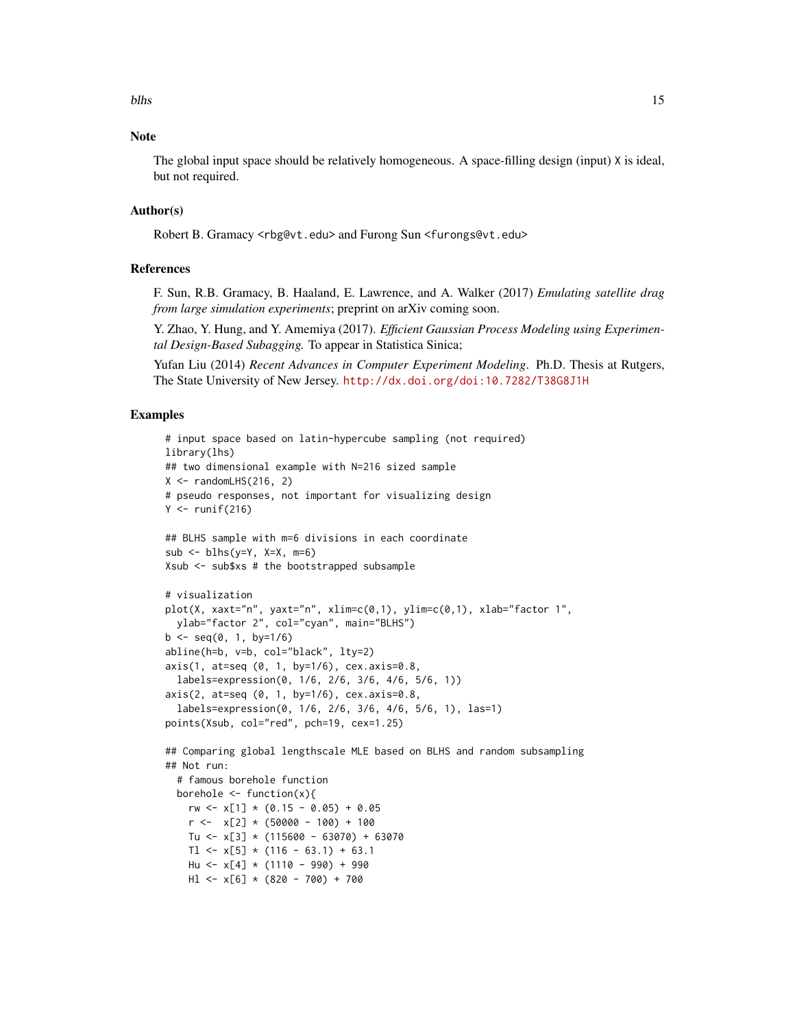# **Note**

The global input space should be relatively homogeneous. A space-filling design (input) X is ideal, but not required.

# Author(s)

Robert B. Gramacy <rbg@vt.edu> and Furong Sun <furongs@vt.edu>

### References

F. Sun, R.B. Gramacy, B. Haaland, E. Lawrence, and A. Walker (2017) *Emulating satellite drag from large simulation experiments*; preprint on arXiv coming soon.

Y. Zhao, Y. Hung, and Y. Amemiya (2017). *Efficient Gaussian Process Modeling using Experimental Design-Based Subagging.* To appear in Statistica Sinica;

Yufan Liu (2014) *Recent Advances in Computer Experiment Modeling*. Ph.D. Thesis at Rutgers, The State University of New Jersey. <http://dx.doi.org/doi:10.7282/T38G8J1H>

# Examples

```
# input space based on latin-hypercube sampling (not required)
library(lhs)
## two dimensional example with N=216 sized sample
X \leq randomLHS(216, 2)
# pseudo responses, not important for visualizing design
Y \le- runif(216)
## BLHS sample with m=6 divisions in each coordinate
sub < - blhs(y=Y, X=X, m=6)
Xsub <- sub$xs # the bootstrapped subsample
# visualization
plot(X, xaxt="n", yaxt="n", xlim=c(0,1), ylim=c(0,1), xlab="factor 1",
 ylab="factor 2", col="cyan", main="BLHS")
b \leq -\text{seq}(0, 1, \text{ by} = 1/6)abline(h=b, v=b, col="black", lty=2)
axis(1, at=seq (0, 1, by=1/6), cex.axis=0.8,
  labels=expression(0, 1/6, 2/6, 3/6, 4/6, 5/6, 1))
axis(2, at=seq (0, 1, by=1/6), cex.axis=0.8,
  labels=expression(0, 1/6, 2/6, 3/6, 4/6, 5/6, 1), las=1)
points(Xsub, col="red", pch=19, cex=1.25)
## Comparing global lengthscale MLE based on BLHS and random subsampling
## Not run:
  # famous borehole function
 borehole \leq function(x){
    rw \leftarrow x[1] * (0.15 - 0.05) + 0.05r \leftarrow x[2] * (50000 - 100) + 100Tu <- x[3] * (115600 - 63070) + 63070
    Tl <- x[5] * (116 - 63.1) + 63.1
    Hu <- x[4] * (1110 - 990) + 990
    Hl <- x[6] * (820 - 700) + 700
```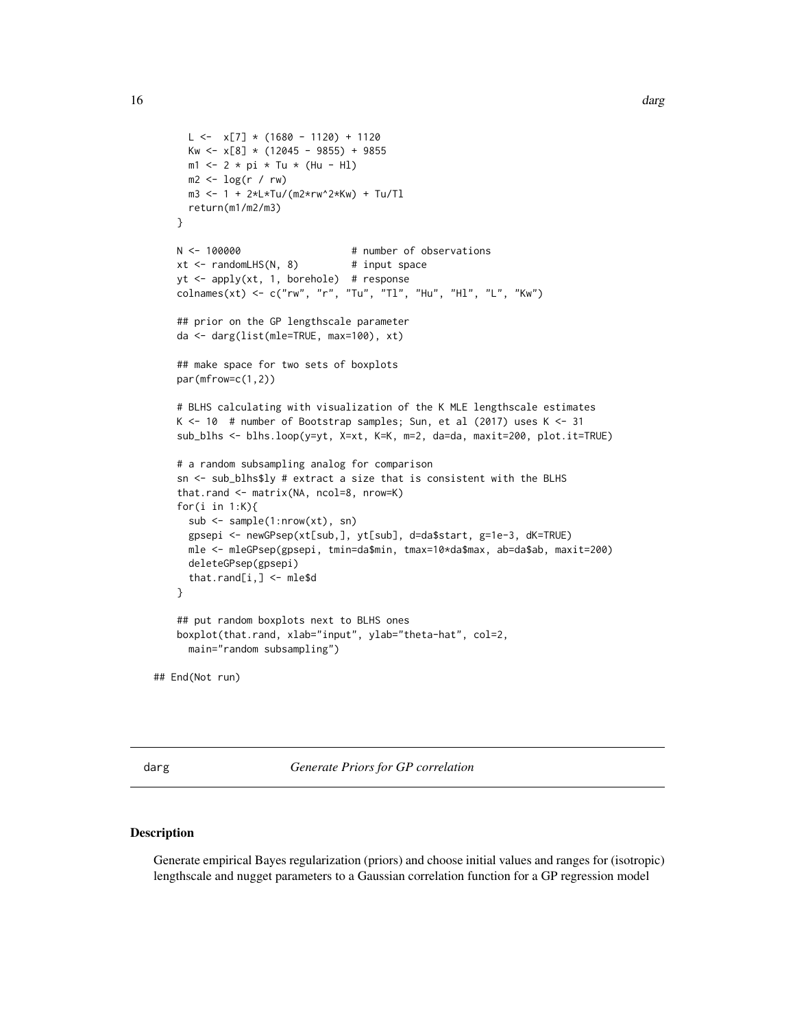```
L \leftarrow x[7] * (1680 - 1120) + 1120Kw <- x[8] * (12045 - 9855) + 9855
     m1 < -2 * pi * Tu * (Hu - HI)m2 \leftarrow \log(r / rw)m3 <- 1 + 2*L*Tu/(m2*rw^2*Kw) + Tu/Tl
     return(m1/m2/m3)
   }
   N <- 100000 # number of observations
   xt <- randomLHS(N, 8) # input space
   yt <- apply(xt, 1, borehole) # response
   \text{colnames}(\text{xt}) \leq c("rw", "r", "Tu", "TI", "Hu", "Hl", "L", "Kw")## prior on the GP lengthscale parameter
   da <- darg(list(mle=TRUE, max=100), xt)
   ## make space for two sets of boxplots
   par(mfrow=c(1,2))
   # BLHS calculating with visualization of the K MLE lengthscale estimates
   K <- 10 # number of Bootstrap samples; Sun, et al (2017) uses K <- 31
   sub_blhs <- blhs.loop(y=yt, X=xt, K=K, m=2, da=da, maxit=200, plot.it=TRUE)
   # a random subsampling analog for comparison
   sn <- sub_blhs$ly # extract a size that is consistent with the BLHS
   that.rand <- matrix(NA, ncol=8, nrow=K)
   for(i in 1:K){
     sub < - sample(1: nrow(xt), sn)gpsepi <- newGPsep(xt[sub,], yt[sub], d=da$start, g=1e-3, dK=TRUE)
     mle <- mleGPsep(gpsepi, tmin=da$min, tmax=10*da$max, ab=da$ab, maxit=200)
     deleteGPsep(gpsepi)
     that.rand[i,] <- mle$d
   }
   ## put random boxplots next to BLHS ones
   boxplot(that.rand, xlab="input", ylab="theta-hat", col=2,
     main="random subsampling")
## End(Not run)
```
<span id="page-15-1"></span>

darg *Generate Priors for GP correlation*

#### <span id="page-15-2"></span>Description

Generate empirical Bayes regularization (priors) and choose initial values and ranges for (isotropic) lengthscale and nugget parameters to a Gaussian correlation function for a GP regression model

<span id="page-15-0"></span>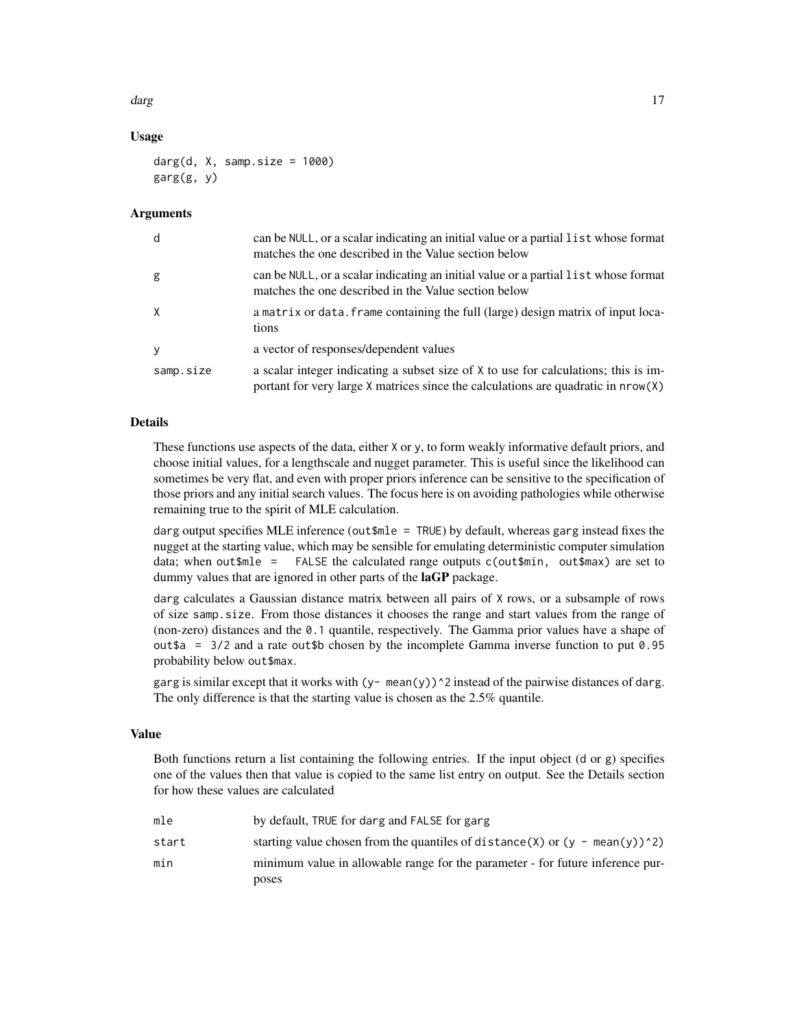darg the contract of the contract of the contract of the contract of the contract of the contract of the contract of the contract of the contract of the contract of the contract of the contract of the contract of the contr

# Usage

```
darg(d, X, samp.size = 1000)
garg(g, y)
```
# **Arguments**

| d            | can be NULL, or a scalar indicating an initial value or a partial list whose format<br>matches the one described in the Value section below                                  |
|--------------|------------------------------------------------------------------------------------------------------------------------------------------------------------------------------|
| g            | can be NULL, or a scalar indicating an initial value or a partial list whose format<br>matches the one described in the Value section below                                  |
| $\mathsf{X}$ | a matrix or data. Frame containing the full (large) design matrix of input loca-<br>tions                                                                                    |
| y            | a vector of responses/dependent values                                                                                                                                       |
| samp.size    | a scalar integer indicating a subset size of X to use for calculations; this is im-<br>portant for very large $X$ matrices since the calculations are quadratic in $nrow(X)$ |

# Details

These functions use aspects of the data, either X or y, to form weakly informative default priors, and choose initial values, for a lengthscale and nugget parameter. This is useful since the likelihood can sometimes be very flat, and even with proper priors inference can be sensitive to the specification of those priors and any initial search values. The focus here is on avoiding pathologies while otherwise remaining true to the spirit of MLE calculation.

darg output specifies MLE inference (out\$mle = TRUE) by default, whereas garg instead fixes the nugget at the starting value, which may be sensible for emulating deterministic computer simulation data; when out $\text{mle}$  = FALSE the calculated range outputs c(out $\text{min}$ , out $\text{max}$ ) are set to dummy values that are ignored in other parts of the **laGP** package.

darg calculates a Gaussian distance matrix between all pairs of X rows, or a subsample of rows of size samp.size. From those distances it chooses the range and start values from the range of (non-zero) distances and the 0.1 quantile, respectively. The Gamma prior values have a shape of out \$a =  $3/2$  and a rate out \$b chosen by the incomplete Gamma inverse function to put 0.95 probability below out\$max.

garg is similar except that it works with  $(y - \text{mean}(y))^2$  instead of the pairwise distances of darg. The only difference is that the starting value is chosen as the 2.5% quantile.

# Value

Both functions return a list containing the following entries. If the input object (d or g) specifies one of the values then that value is copied to the same list entry on output. See the Details section for how these values are calculated

| mle   | by default. TRUE for darg and FALSE for garg                                           |
|-------|----------------------------------------------------------------------------------------|
| start | starting value chosen from the quantiles of distance $(X)$ or $(y - \text{mean}(y))^2$ |
| min   | minimum value in allowable range for the parameter - for future inference pur-         |
|       | poses                                                                                  |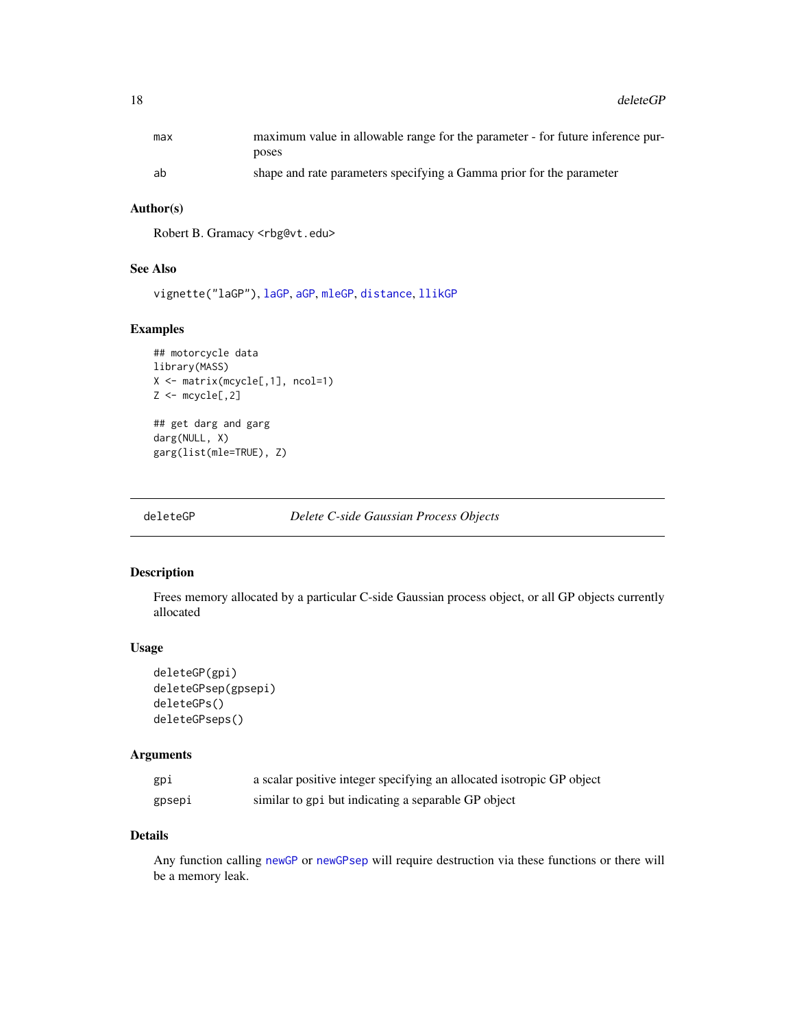<span id="page-17-0"></span>18 deleteGP

| max | maximum value in allowable range for the parameter - for future inference pur- |
|-----|--------------------------------------------------------------------------------|
|     | poses                                                                          |
| ab  | shape and rate parameters specifying a Gamma prior for the parameter           |

# Author(s)

Robert B. Gramacy <rbg@vt.edu>

# See Also

vignette("laGP"), [laGP](#page-28-1), [aGP](#page-1-1), [mleGP](#page-36-2), [distance](#page-23-1), [llikGP](#page-35-1)

# Examples

```
## motorcycle data
library(MASS)
X <- matrix(mcycle[,1], ncol=1)
Z \leftarrow mcycle[, 2]## get darg and garg
darg(NULL, X)
```
garg(list(mle=TRUE), Z)

<span id="page-17-1"></span>deleteGP *Delete C-side Gaussian Process Objects*

# <span id="page-17-2"></span>Description

Frees memory allocated by a particular C-side Gaussian process object, or all GP objects currently allocated

#### Usage

```
deleteGP(gpi)
deleteGPsep(gpsepi)
deleteGPs()
deleteGPseps()
```
# Arguments

| gpi    | a scalar positive integer specifying an allocated isotropic GP object |
|--------|-----------------------------------------------------------------------|
| gpsepi | similar to gpi but indicating a separable GP object                   |

# Details

Any function calling [newGP](#page-40-1) or [newGPsep](#page-40-2) will require destruction via these functions or there will be a memory leak.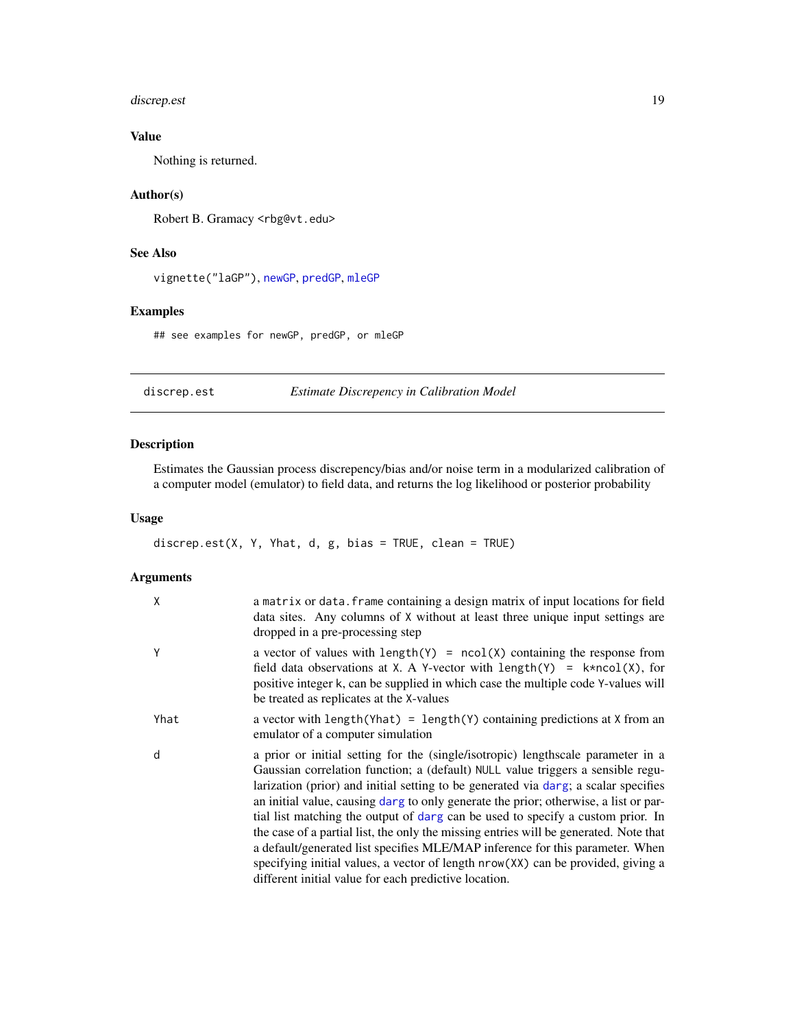# <span id="page-18-0"></span>discrep.est 19

# Value

Nothing is returned.

# Author(s)

Robert B. Gramacy <rbg@vt.edu>

# See Also

vignette("laGP"), [newGP](#page-40-1), [predGP](#page-48-1), [mleGP](#page-36-2)

# Examples

## see examples for newGP, predGP, or mleGP

<span id="page-18-1"></span>discrep.est *Estimate Discrepency in Calibration Model*

# Description

Estimates the Gaussian process discrepency/bias and/or noise term in a modularized calibration of a computer model (emulator) to field data, and returns the log likelihood or posterior probability

# Usage

discrep.est(X, Y, Yhat, d, g, bias = TRUE, clean = TRUE)

# Arguments

| X    | a matrix or data. frame containing a design matrix of input locations for field<br>data sites. Any columns of X without at least three unique input settings are<br>dropped in a pre-processing step                                                                                                                                                                                                                                                                                                                                                                                                                                                                                                                                                         |
|------|--------------------------------------------------------------------------------------------------------------------------------------------------------------------------------------------------------------------------------------------------------------------------------------------------------------------------------------------------------------------------------------------------------------------------------------------------------------------------------------------------------------------------------------------------------------------------------------------------------------------------------------------------------------------------------------------------------------------------------------------------------------|
| Y    | a vector of values with $length(Y) = ncol(X)$ containing the response from<br>field data observations at X. A Y-vector with length(Y) = $k*ncol(X)$ , for<br>positive integer k, can be supplied in which case the multiple code Y-values will<br>be treated as replicates at the X-values                                                                                                                                                                                                                                                                                                                                                                                                                                                                   |
| Yhat | a vector with length (Yhat) = length (Y) containing predictions at X from an<br>emulator of a computer simulation                                                                                                                                                                                                                                                                                                                                                                                                                                                                                                                                                                                                                                            |
| d    | a prior or initial setting for the (single/isotropic) lengthscale parameter in a<br>Gaussian correlation function; a (default) NULL value triggers a sensible regu-<br>larization (prior) and initial setting to be generated via darg; a scalar specifies<br>an initial value, causing darg to only generate the prior; otherwise, a list or par-<br>tial list matching the output of darg can be used to specify a custom prior. In<br>the case of a partial list, the only the missing entries will be generated. Note that<br>a default/generated list specifies MLE/MAP inference for this parameter. When<br>specifying initial values, a vector of length nrow(XX) can be provided, giving a<br>different initial value for each predictive location. |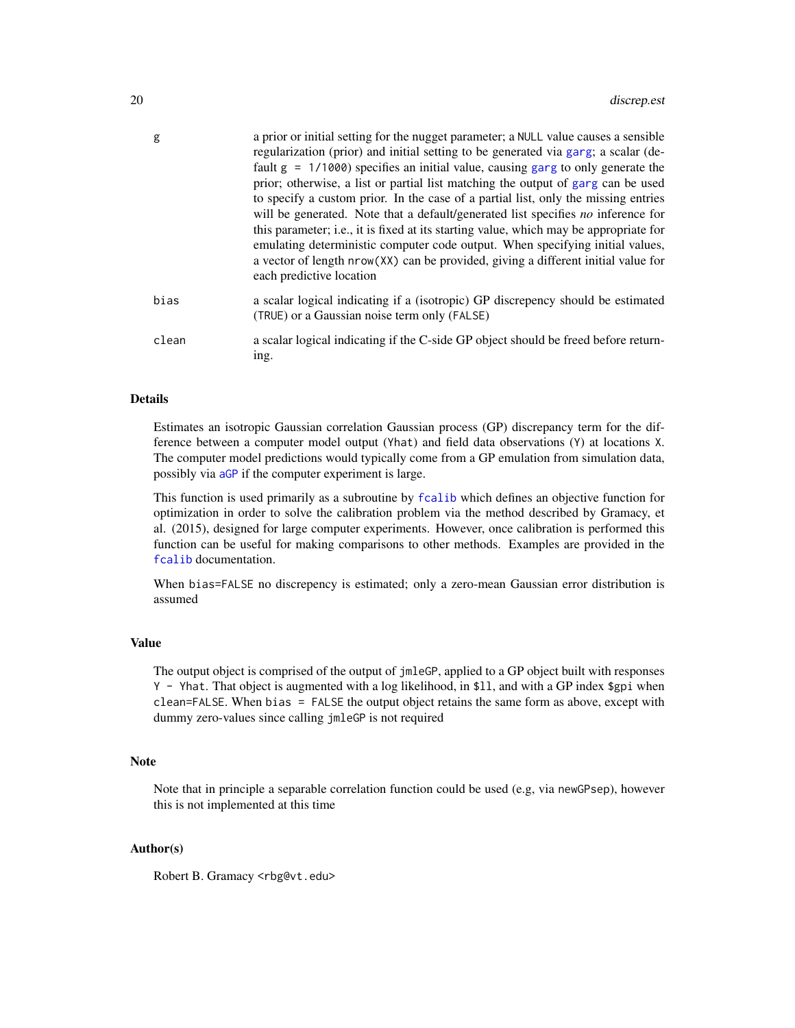<span id="page-19-0"></span>

| g     | a prior or initial setting for the nugget parameter; a NULL value causes a sensible<br>regularization (prior) and initial setting to be generated via garg; a scalar (de-<br>fault $g = 1/1000$ specifies an initial value, causing garg to only generate the<br>prior; otherwise, a list or partial list matching the output of garg can be used<br>to specify a custom prior. In the case of a partial list, only the missing entries<br>will be generated. Note that a default/generated list specifies no inference for<br>this parameter; i.e., it is fixed at its starting value, which may be appropriate for<br>emulating deterministic computer code output. When specifying initial values,<br>a vector of length nrow(XX) can be provided, giving a different initial value for |
|-------|--------------------------------------------------------------------------------------------------------------------------------------------------------------------------------------------------------------------------------------------------------------------------------------------------------------------------------------------------------------------------------------------------------------------------------------------------------------------------------------------------------------------------------------------------------------------------------------------------------------------------------------------------------------------------------------------------------------------------------------------------------------------------------------------|
|       | each predictive location                                                                                                                                                                                                                                                                                                                                                                                                                                                                                                                                                                                                                                                                                                                                                                   |
| bias  | a scalar logical indicating if a (isotropic) GP discrepency should be estimated<br>(TRUE) or a Gaussian noise term only (FALSE)                                                                                                                                                                                                                                                                                                                                                                                                                                                                                                                                                                                                                                                            |
| clean | a scalar logical indicating if the C-side GP object should be freed before return-<br>ing.                                                                                                                                                                                                                                                                                                                                                                                                                                                                                                                                                                                                                                                                                                 |

# Details

Estimates an isotropic Gaussian correlation Gaussian process (GP) discrepancy term for the difference between a computer model output (Yhat) and field data observations (Y) at locations X. The computer model predictions would typically come from a GP emulation from simulation data, possibly via [aGP](#page-1-1) if the computer experiment is large.

This function is used primarily as a subroutine by [fcalib](#page-24-1) which defines an objective function for optimization in order to solve the calibration problem via the method described by Gramacy, et al. (2015), designed for large computer experiments. However, once calibration is performed this function can be useful for making comparisons to other methods. Examples are provided in the [fcalib](#page-24-1) documentation.

When bias=FALSE no discrepency is estimated; only a zero-mean Gaussian error distribution is assumed

# Value

The output object is comprised of the output of jmleGP, applied to a GP object built with responses Y - Yhat. That object is augmented with a log likelihood, in \$ll, and with a GP index \$gpi when clean=FALSE. When bias = FALSE the output object retains the same form as above, except with dummy zero-values since calling jmleGP is not required

#### Note

Note that in principle a separable correlation function could be used (e.g, via newGPsep), however this is not implemented at this time

# Author(s)

Robert B. Gramacy <rbg@vt.edu>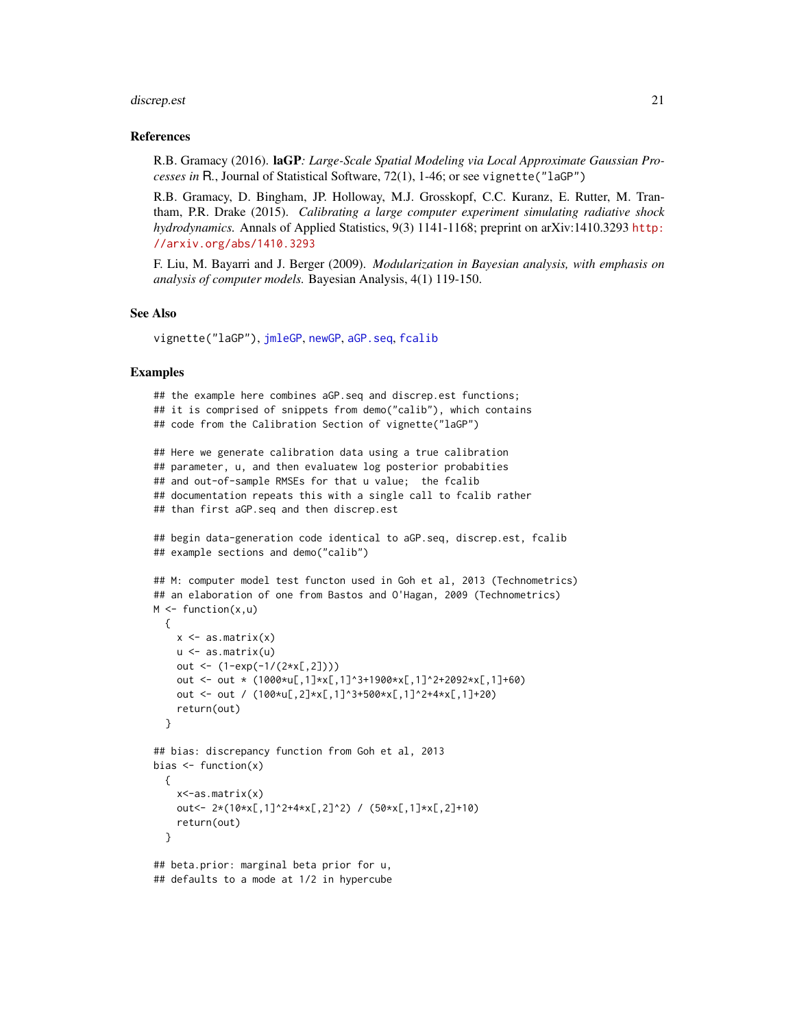#### <span id="page-20-0"></span>discrep.est 21

#### References

R.B. Gramacy (2016). laGP*: Large-Scale Spatial Modeling via Local Approximate Gaussian Processes in* R*.*, Journal of Statistical Software, 72(1), 1-46; or see vignette("laGP")

R.B. Gramacy, D. Bingham, JP. Holloway, M.J. Grosskopf, C.C. Kuranz, E. Rutter, M. Trantham, P.R. Drake (2015). *Calibrating a large computer experiment simulating radiative shock hydrodynamics.* Annals of Applied Statistics, 9(3) 1141-1168; preprint on arXiv:1410.3293 [http:](http://arxiv.org/abs/1410.3293) [//arxiv.org/abs/1410.3293](http://arxiv.org/abs/1410.3293)

F. Liu, M. Bayarri and J. Berger (2009). *Modularization in Bayesian analysis, with emphasis on analysis of computer models.* Bayesian Analysis, 4(1) 119-150.

# See Also

vignette("laGP"), [jmleGP](#page-36-1), [newGP](#page-40-1), [aGP.seq](#page-1-2), [fcalib](#page-24-1)

#### Examples

```
## the example here combines aGP.seq and discrep.est functions;
## it is comprised of snippets from demo("calib"), which contains
## code from the Calibration Section of vignette("laGP")
## Here we generate calibration data using a true calibration
## parameter, u, and then evaluatew log posterior probabities
## and out-of-sample RMSEs for that u value; the fcalib
## documentation repeats this with a single call to fcalib rather
## than first aGP.seq and then discrep.est
## begin data-generation code identical to aGP.seq, discrep.est, fcalib
## example sections and demo("calib")
## M: computer model test functon used in Goh et al, 2013 (Technometrics)
## an elaboration of one from Bastos and O'Hagan, 2009 (Technometrics)
M \leftarrow function(x, u){
   x \leftarrow as.matrix(x)u <- as.matrix(u)
   out <- (1-exp(-1/(2*x[,2])))
   out <- out * (1000*u[,1]*x[,1]^3+1900*x[,1]^2+2092*x[,1]+60)
   out <- out / (100*u[,2]*x[,1]^3+500*x[,1]^2+4*x[,1]+20)
    return(out)
  }
## bias: discrepancy function from Goh et al, 2013
bias <- function(x)
  {
    x<-as.matrix(x)
    out<- 2*(10*x[,1]^2+4*x[,2]^2) / (50*x[,1]*x[,2]+10)
    return(out)
  }
## beta.prior: marginal beta prior for u,
## defaults to a mode at 1/2 in hypercube
```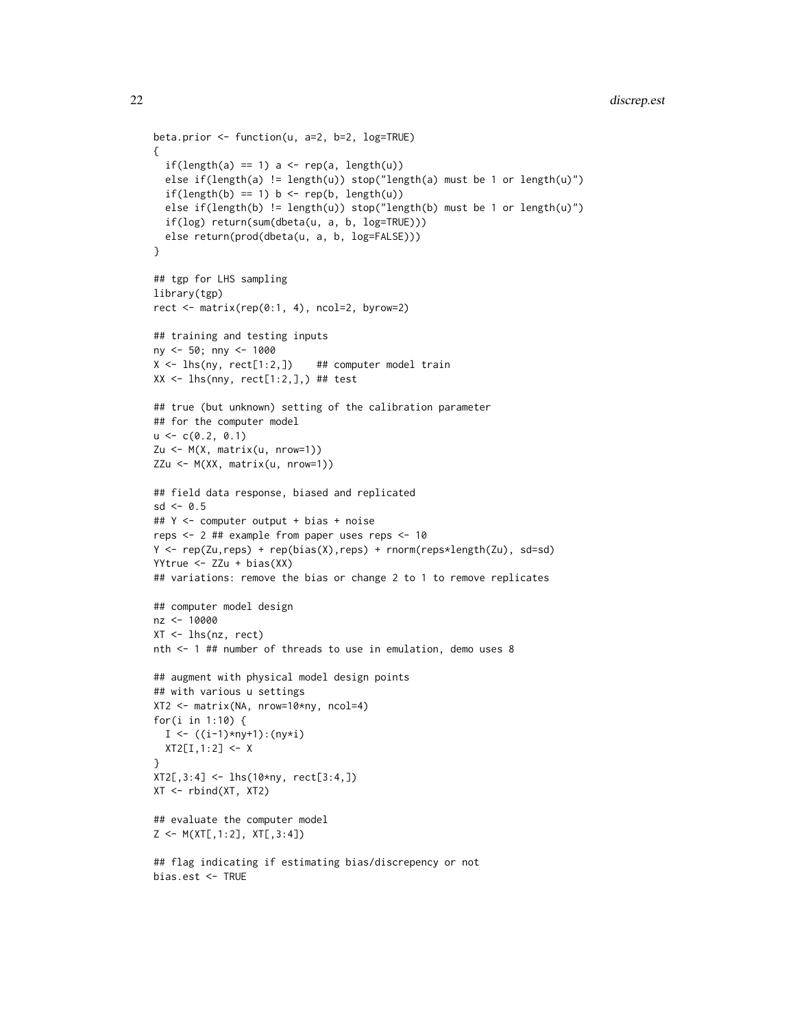```
beta.prior <- function(u, a=2, b=2, log=TRUE)
{
  if(length(a) == 1) a < - rep(a, length(u))else if(length(a) != length(u)) stop("length(a) must be 1 or length(u)")
  if(length(b) == 1) b \leftarrow rep(b, length(u))else if(length(b) != length(u)) stop("length(b) must be 1 or length(u)")
  if(log) return(sum(dbeta(u, a, b, log=TRUE)))
  else return(prod(dbeta(u, a, b, log=FALSE)))
}
## tgp for LHS sampling
library(tgp)
rect \leq matrix(rep(0:1, 4), ncol=2, byrow=2)
## training and testing inputs
ny <- 50; nny <- 1000
X \leftarrow lhs(ny, rect[1:2,]) ## computer model train
XX \leftarrow lhs(nny, rect[1:2,],) ## test
## true (but unknown) setting of the calibration parameter
## for the computer model
u \leftarrow c(0.2, 0.1)Zu <- M(X, matrix(u, nrow=1))
ZZu <- M(XX, matrix(u, nrow=1))
## field data response, biased and replicated
sd < -0.5## Y <- computer output + bias + noise
reps <- 2 ## example from paper uses reps <- 10
Y <- rep(Zu,reps) + rep(bias(X),reps) + rnorm(reps*length(Zu), sd=sd)
YYtrue <- ZZu + bias(XX)
## variations: remove the bias or change 2 to 1 to remove replicates
## computer model design
nz <- 10000
XT <- lhs(nz, rect)
nth <- 1 ## number of threads to use in emulation, demo uses 8
## augment with physical model design points
## with various u settings
XT2 <- matrix(NA, nrow=10*ny, ncol=4)
for(i in 1:10) {
  I \leftarrow ((i-1)*ny+1):(ny * i)XT2[I,1:2] < - X}
XT2[,3:4] < - lhs(10*ny, rect[3:4,])
XT <- rbind(XT, XT2)
## evaluate the computer model
Z <- M(XT[,1:2], XT[,3:4])
## flag indicating if estimating bias/discrepency or not
bias.est <- TRUE
```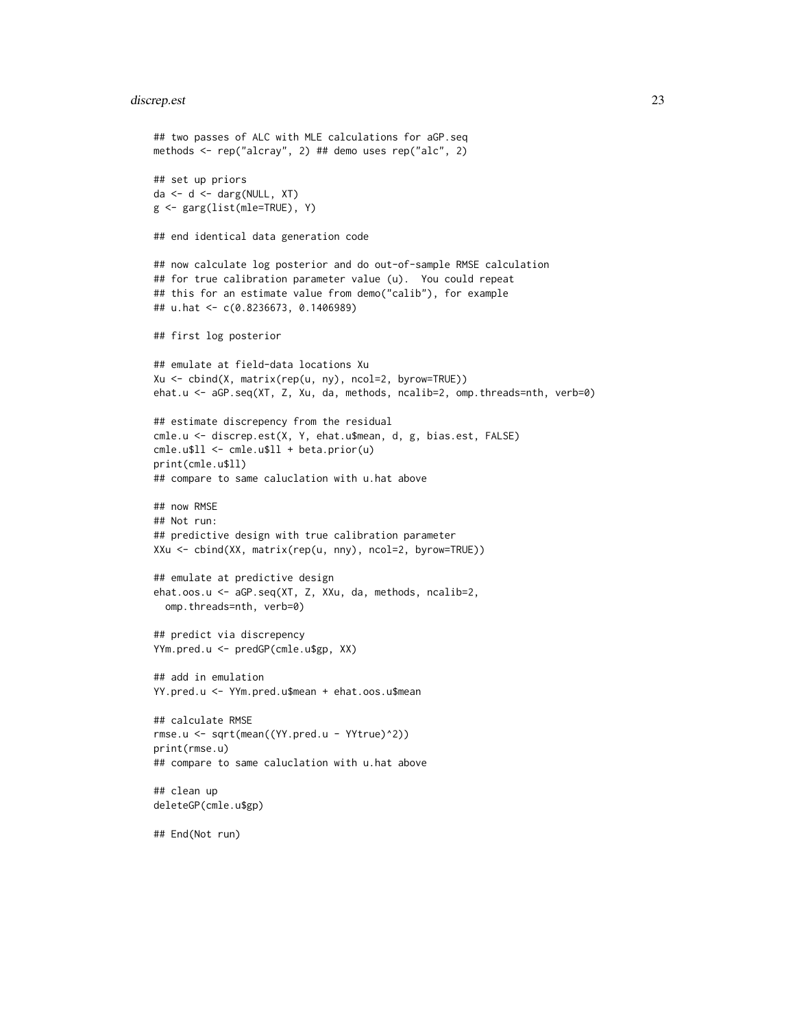#### discrep.est 23

```
## two passes of ALC with MLE calculations for aGP.seq
methods <- rep("alcray", 2) ## demo uses rep("alc", 2)
## set up priors
da <- d <- darg(NULL, XT)
g <- garg(list(mle=TRUE), Y)
## end identical data generation code
## now calculate log posterior and do out-of-sample RMSE calculation
## for true calibration parameter value (u). You could repeat
## this for an estimate value from demo("calib"), for example
## u.hat <- c(0.8236673, 0.1406989)
## first log posterior
## emulate at field-data locations Xu
Xu <- cbind(X, matrix(rep(u, ny), ncol=2, byrow=TRUE))
ehat.u <- aGP.seq(XT, Z, Xu, da, methods, ncalib=2, omp.threads=nth, verb=0)
## estimate discrepency from the residual
cmle.u <- discrep.est(X, Y, ehat.u$mean, d, g, bias.est, FALSE)
cmle.u$ll <- cmle.u$ll + beta.prior(u)
print(cmle.u$ll)
## compare to same caluclation with u.hat above
## now RMSE
## Not run:
## predictive design with true calibration parameter
XXu <- cbind(XX, matrix(rep(u, nny), ncol=2, byrow=TRUE))
## emulate at predictive design
ehat.oos.u <- aGP.seq(XT, Z, XXu, da, methods, ncalib=2,
  omp.threads=nth, verb=0)
## predict via discrepency
YYm.pred.u <- predGP(cmle.u$gp, XX)
## add in emulation
YY.pred.u <- YYm.pred.u$mean + ehat.oos.u$mean
## calculate RMSE
rmse.u <- sqrt(mean((YY.pred.u - YYtrue)^2))
print(rmse.u)
## compare to same caluclation with u.hat above
## clean up
deleteGP(cmle.u$gp)
## End(Not run)
```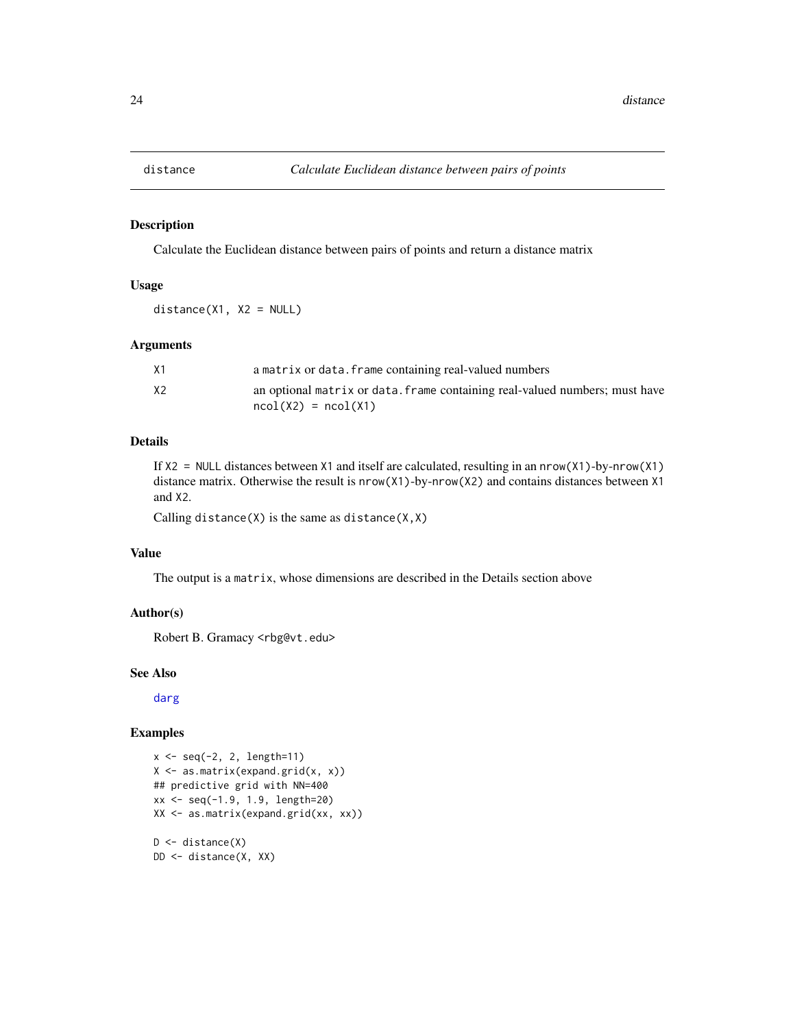<span id="page-23-1"></span><span id="page-23-0"></span>

#### Description

Calculate the Euclidean distance between pairs of points and return a distance matrix

# Usage

 $distance(X1, X2 = NULL)$ 

#### Arguments

| X1 | a matrix or data. frame containing real-valued numbers                      |
|----|-----------------------------------------------------------------------------|
| X2 | an optional matrix or data. frame containing real-valued numbers; must have |
|    | $ncol(X2) = ncol(X1)$                                                       |

# Details

If  $X2 = \text{NULL}$  distances between X1 and itself are calculated, resulting in an nrow(X1)-by-nrow(X1) distance matrix. Otherwise the result is nrow(X1)-by-nrow(X2) and contains distances between X1 and X2.

Calling distance(X) is the same as distance( $X, X$ )

# Value

The output is a matrix, whose dimensions are described in the Details section above

# Author(s)

Robert B. Gramacy <rbg@vt.edu>

## See Also

[darg](#page-15-1)

#### Examples

```
x \le - seq(-2, 2, length=11)
X \leftarrow \text{as_matrix}(\text{expand.grid}(x, x))## predictive grid with NN=400
xx <- seq(-1.9, 1.9, length=20)
XX <- as.matrix(expand.grid(xx, xx))
D \leftarrow distance(X)DD <- distance(X, XX)
```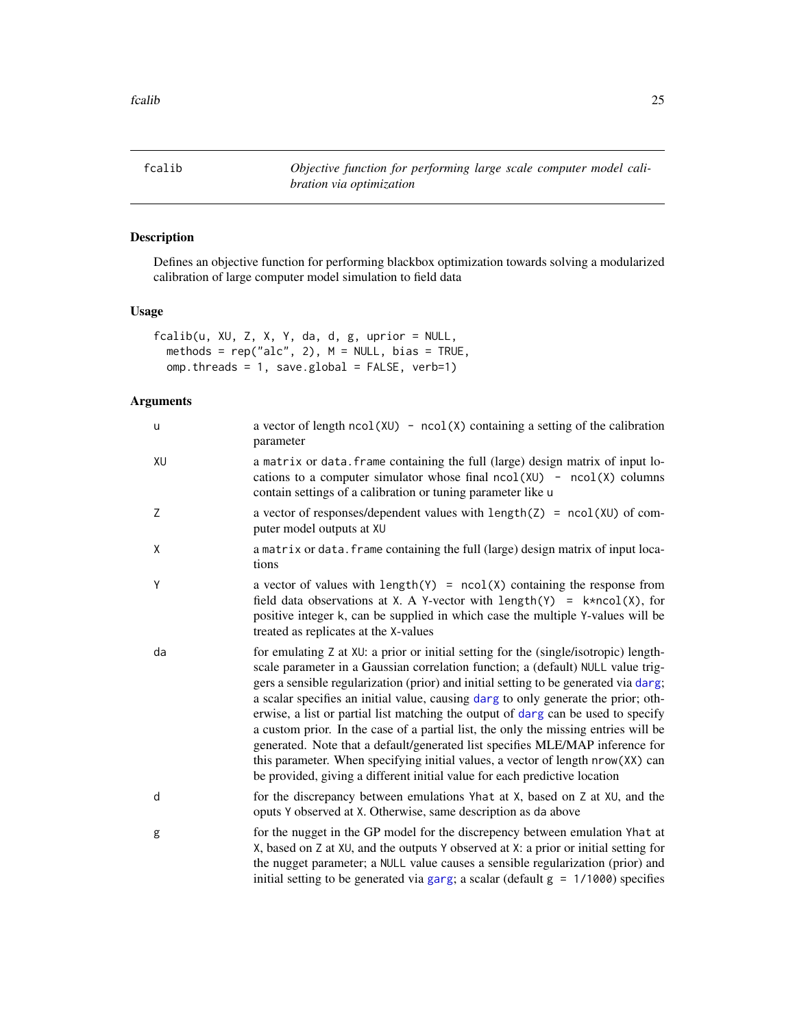<span id="page-24-1"></span><span id="page-24-0"></span>fcalib *Objective function for performing large scale computer model calibration via optimization*

# Description

Defines an objective function for performing blackbox optimization towards solving a modularized calibration of large computer model simulation to field data

### Usage

```
fcalib(u, XU, Z, X, Y, da, d, g, uprior = NULL,
  methods = rep("alc", 2), M = NULL, bias = TRUE,
 omp.threads = 1, save.global = FALSE, verb=1)
```
# Arguments

| u  | a vector of length $ncol(XU) - ncol(X)$ containing a setting of the calibration<br>parameter                                                                                                                                                                                                                                                                                                                                                                                                                                                                                                                                                                                                                                                                                         |
|----|--------------------------------------------------------------------------------------------------------------------------------------------------------------------------------------------------------------------------------------------------------------------------------------------------------------------------------------------------------------------------------------------------------------------------------------------------------------------------------------------------------------------------------------------------------------------------------------------------------------------------------------------------------------------------------------------------------------------------------------------------------------------------------------|
| XU | a matrix or data. frame containing the full (large) design matrix of input lo-<br>cations to a computer simulator whose final $ncol(XU)$ - $ncol(X)$ columns<br>contain settings of a calibration or tuning parameter like u                                                                                                                                                                                                                                                                                                                                                                                                                                                                                                                                                         |
| Ζ  | a vector of responses/dependent values with $length(Z) = ncol(XU)$ of com-<br>puter model outputs at XU                                                                                                                                                                                                                                                                                                                                                                                                                                                                                                                                                                                                                                                                              |
| χ  | a matrix or data. frame containing the full (large) design matrix of input loca-<br>tions                                                                                                                                                                                                                                                                                                                                                                                                                                                                                                                                                                                                                                                                                            |
| Y  | a vector of values with $length(Y) = ncol(X)$ containing the response from<br>field data observations at X. A Y-vector with length(Y) = $k*ncol(X)$ , for<br>positive integer k, can be supplied in which case the multiple Y-values will be<br>treated as replicates at the X-values                                                                                                                                                                                                                                                                                                                                                                                                                                                                                                |
| da | for emulating Z at XU: a prior or initial setting for the (single/isotropic) length-<br>scale parameter in a Gaussian correlation function; a (default) NULL value trig-<br>gers a sensible regularization (prior) and initial setting to be generated via darg;<br>a scalar specifies an initial value, causing darg to only generate the prior; oth-<br>erwise, a list or partial list matching the output of darg can be used to specify<br>a custom prior. In the case of a partial list, the only the missing entries will be<br>generated. Note that a default/generated list specifies MLE/MAP inference for<br>this parameter. When specifying initial values, a vector of length nrow(XX) can<br>be provided, giving a different initial value for each predictive location |
| d  | for the discrepancy between emulations Yhat at X, based on Z at XU, and the<br>oputs Y observed at X. Otherwise, same description as da above                                                                                                                                                                                                                                                                                                                                                                                                                                                                                                                                                                                                                                        |
| g  | for the nugget in the GP model for the discrepency between emulation Yhat at<br>X, based on Z at XU, and the outputs Y observed at X: a prior or initial setting for<br>the nugget parameter; a NULL value causes a sensible regularization (prior) and<br>initial setting to be generated via garg; a scalar (default $g = 1/1000$ ) specifies                                                                                                                                                                                                                                                                                                                                                                                                                                      |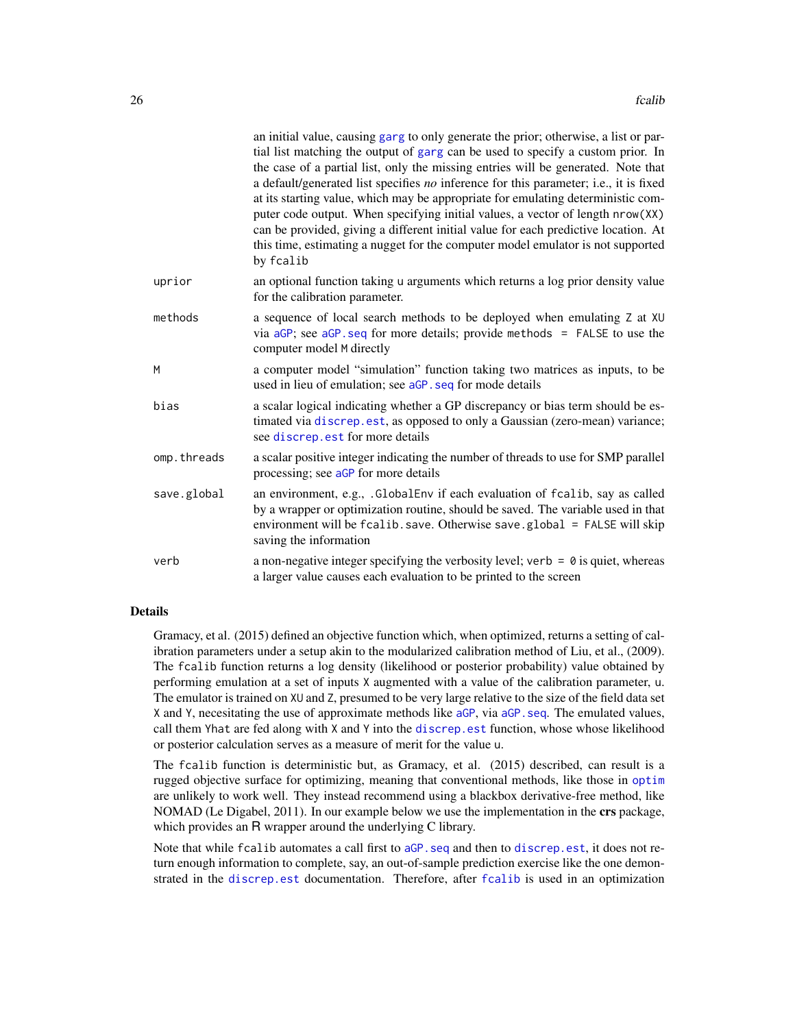<span id="page-25-0"></span>

|             | an initial value, causing garg to only generate the prior; otherwise, a list or par-<br>tial list matching the output of garg can be used to specify a custom prior. In<br>the case of a partial list, only the missing entries will be generated. Note that<br>a default/generated list specifies no inference for this parameter; i.e., it is fixed<br>at its starting value, which may be appropriate for emulating deterministic com-<br>puter code output. When specifying initial values, a vector of length nrow(XX)<br>can be provided, giving a different initial value for each predictive location. At<br>this time, estimating a nugget for the computer model emulator is not supported<br>by fcalib |
|-------------|-------------------------------------------------------------------------------------------------------------------------------------------------------------------------------------------------------------------------------------------------------------------------------------------------------------------------------------------------------------------------------------------------------------------------------------------------------------------------------------------------------------------------------------------------------------------------------------------------------------------------------------------------------------------------------------------------------------------|
| uprior      | an optional function taking u arguments which returns a log prior density value<br>for the calibration parameter.                                                                                                                                                                                                                                                                                                                                                                                                                                                                                                                                                                                                 |
| methods     | a sequence of local search methods to be deployed when emulating Z at XU<br>via $aGP$ ; see $aGP$ . seq for more details; provide methods = FALSE to use the<br>computer model M directly                                                                                                                                                                                                                                                                                                                                                                                                                                                                                                                         |
| M           | a computer model "simulation" function taking two matrices as inputs, to be<br>used in lieu of emulation; see aGP. seq for mode details                                                                                                                                                                                                                                                                                                                                                                                                                                                                                                                                                                           |
| bias        | a scalar logical indicating whether a GP discrepancy or bias term should be es-<br>timated via discrep.est, as opposed to only a Gaussian (zero-mean) variance;<br>see discrep.est for more details                                                                                                                                                                                                                                                                                                                                                                                                                                                                                                               |
| omp.threads | a scalar positive integer indicating the number of threads to use for SMP parallel<br>processing; see aGP for more details                                                                                                                                                                                                                                                                                                                                                                                                                                                                                                                                                                                        |
| save.global | an environment, e.g., .GlobalEnv if each evaluation of fcalib, say as called<br>by a wrapper or optimization routine, should be saved. The variable used in that<br>environment will be fcalib. save. Otherwise save. global = FALSE will skip<br>saving the information                                                                                                                                                                                                                                                                                                                                                                                                                                          |
| verb        | a non-negative integer specifying the verbosity level; verb = $\theta$ is quiet, whereas<br>a larger value causes each evaluation to be printed to the screen                                                                                                                                                                                                                                                                                                                                                                                                                                                                                                                                                     |

# Details

Gramacy, et al. (2015) defined an objective function which, when optimized, returns a setting of calibration parameters under a setup akin to the modularized calibration method of Liu, et al., (2009). The fcalib function returns a log density (likelihood or posterior probability) value obtained by performing emulation at a set of inputs X augmented with a value of the calibration parameter, u. The emulator is trained on XU and Z, presumed to be very large relative to the size of the field data set X and Y, necesitating the use of approximate methods like [aGP](#page-1-1), via [aGP.seq](#page-1-2). The emulated values, call them Yhat are fed along with X and Y into the [discrep.est](#page-18-1) function, whose whose likelihood or posterior calculation serves as a measure of merit for the value u.

The fcalib function is deterministic but, as Gramacy, et al. (2015) described, can result is a rugged objective surface for optimizing, meaning that conventional methods, like those in [optim](#page-0-0) are unlikely to work well. They instead recommend using a blackbox derivative-free method, like NOMAD (Le Digabel, 2011). In our example below we use the implementation in the crs package, which provides an R wrapper around the underlying C library.

Note that while fcalib automates a call first to aGP. seq and then to [discrep.est](#page-18-1), it does not return enough information to complete, say, an out-of-sample prediction exercise like the one demonstrated in the [discrep.est](#page-18-1) documentation. Therefore, after [fcalib](#page-24-1) is used in an optimization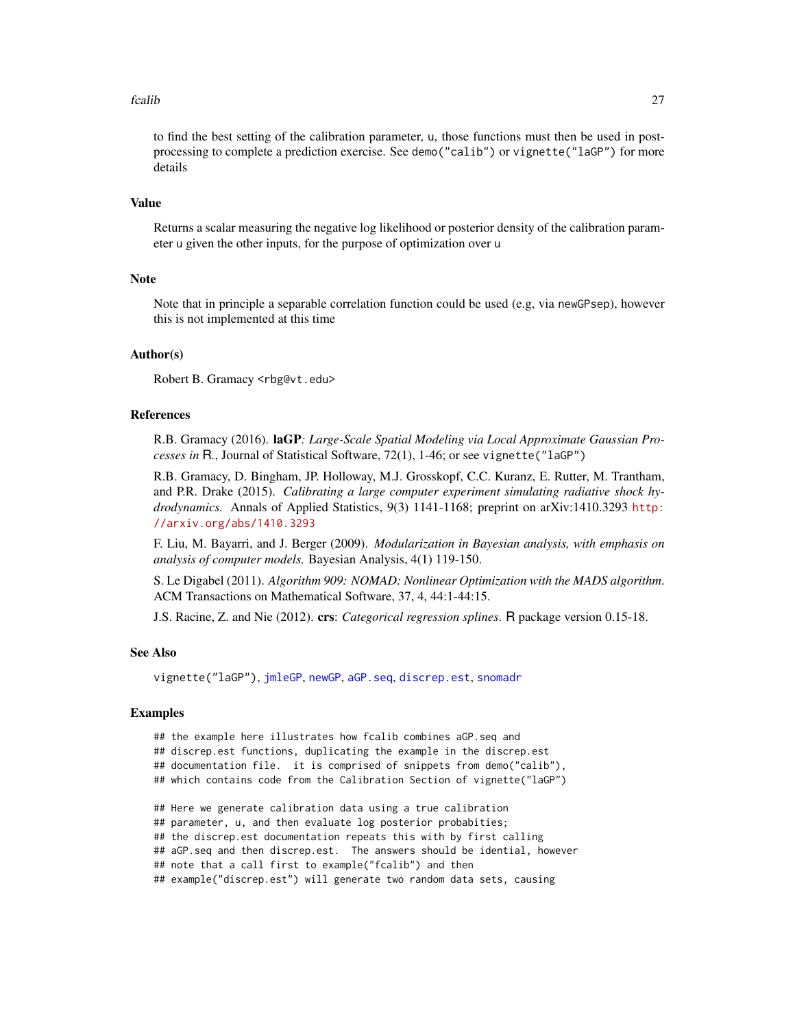#### <span id="page-26-0"></span>fcalib 27

to find the best setting of the calibration parameter, u, those functions must then be used in postprocessing to complete a prediction exercise. See demo("calib") or vignette("laGP") for more details

# Value

Returns a scalar measuring the negative log likelihood or posterior density of the calibration parameter u given the other inputs, for the purpose of optimization over u

#### **Note**

Note that in principle a separable correlation function could be used (e.g, via newGPsep), however this is not implemented at this time

#### Author(s)

Robert B. Gramacy <rbg@vt.edu>

## References

R.B. Gramacy (2016). laGP*: Large-Scale Spatial Modeling via Local Approximate Gaussian Processes in* R*.*, Journal of Statistical Software, 72(1), 1-46; or see vignette("laGP")

R.B. Gramacy, D. Bingham, JP. Holloway, M.J. Grosskopf, C.C. Kuranz, E. Rutter, M. Trantham, and P.R. Drake (2015). *Calibrating a large computer experiment simulating radiative shock hydrodynamics.* Annals of Applied Statistics, 9(3) 1141-1168; preprint on arXiv:1410.3293 [http:](http://arxiv.org/abs/1410.3293) [//arxiv.org/abs/1410.3293](http://arxiv.org/abs/1410.3293)

F. Liu, M. Bayarri, and J. Berger (2009). *Modularization in Bayesian analysis, with emphasis on analysis of computer models.* Bayesian Analysis, 4(1) 119-150.

S. Le Digabel (2011). *Algorithm 909: NOMAD: Nonlinear Optimization with the MADS algorithm*. ACM Transactions on Mathematical Software, 37, 4, 44:1-44:15.

J.S. Racine, Z. and Nie (2012). crs: *Categorical regression splines*. R package version 0.15-18.

#### See Also

vignette("laGP"), [jmleGP](#page-36-1), [newGP](#page-40-1), [aGP.seq](#page-1-2), [discrep.est](#page-18-1), [snomadr](#page-0-0)

#### Examples

- ## the example here illustrates how fcalib combines aGP.seq and
- ## discrep.est functions, duplicating the example in the discrep.est
- ## documentation file. it is comprised of snippets from demo("calib"),
- ## which contains code from the Calibration Section of vignette("laGP")
- ## Here we generate calibration data using a true calibration
- ## parameter, u, and then evaluate log posterior probabities;
- ## the discrep.est documentation repeats this with by first calling
- ## aGP.seq and then discrep.est. The answers should be idential, however
- ## note that a call first to example("fcalib") and then

## example("discrep.est") will generate two random data sets, causing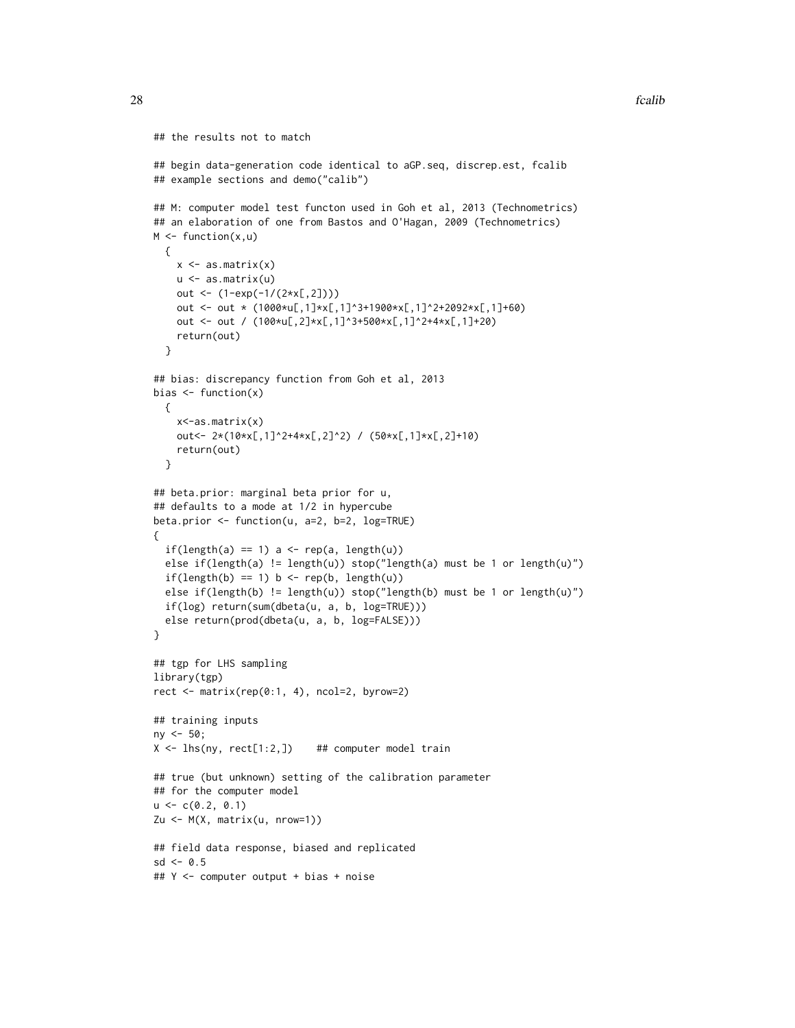```
## the results not to match
## begin data-generation code identical to aGP.seq, discrep.est, fcalib
## example sections and demo("calib")
## M: computer model test functon used in Goh et al, 2013 (Technometrics)
## an elaboration of one from Bastos and O'Hagan, 2009 (Technometrics)
M \leftarrow function(x, u){
   x \leftarrow as.matrix(x)u <- as.matrix(u)
   out <- (1-exp(-1/(2*x[,2])))
    out <- out * (1000*u[,1]*x[,1]^3+1900*x[,1]^2+2092*x[,1]+60)
    out <- out / (100*u[,2]*x[,1]^3+500*x[,1]^2+4*x[,1]+20)
   return(out)
  }
## bias: discrepancy function from Goh et al, 2013
bias \leftarrow function(x){
   x<-as.matrix(x)
   out<- 2*(10*x[,1]^2+4*x[,2]^2) / (50*x[,1]*x[,2]+10)
   return(out)
  }
## beta.prior: marginal beta prior for u,
## defaults to a mode at 1/2 in hypercube
beta.prior <- function(u, a=2, b=2, log=TRUE)
{
  if(length(a) == 1) a < - rep(a, length(u))else if(length(a) != length(u)) stop("length(a) must be 1 or length(u)")
  if(length(b) == 1) b \leftarrow rep(b, length(u))else if(length(b) != length(u)) stop("length(b) must be 1 or length(u)")
  if(log) return(sum(dbeta(u, a, b, log=TRUE)))
  else return(prod(dbeta(u, a, b, log=FALSE)))
}
## tgp for LHS sampling
library(tgp)
rect \leq matrix(rep(0:1, 4), ncol=2, byrow=2)
## training inputs
ny < -50;
X \leftarrow lhs(ny, rect[1:2,]) ## computer model train
## true (but unknown) setting of the calibration parameter
## for the computer model
u \leq -c(0.2, 0.1)Zu <- M(X, matrix(u, nrow=1))
## field data response, biased and replicated
sd < -0.5## Y <- computer output + bias + noise
```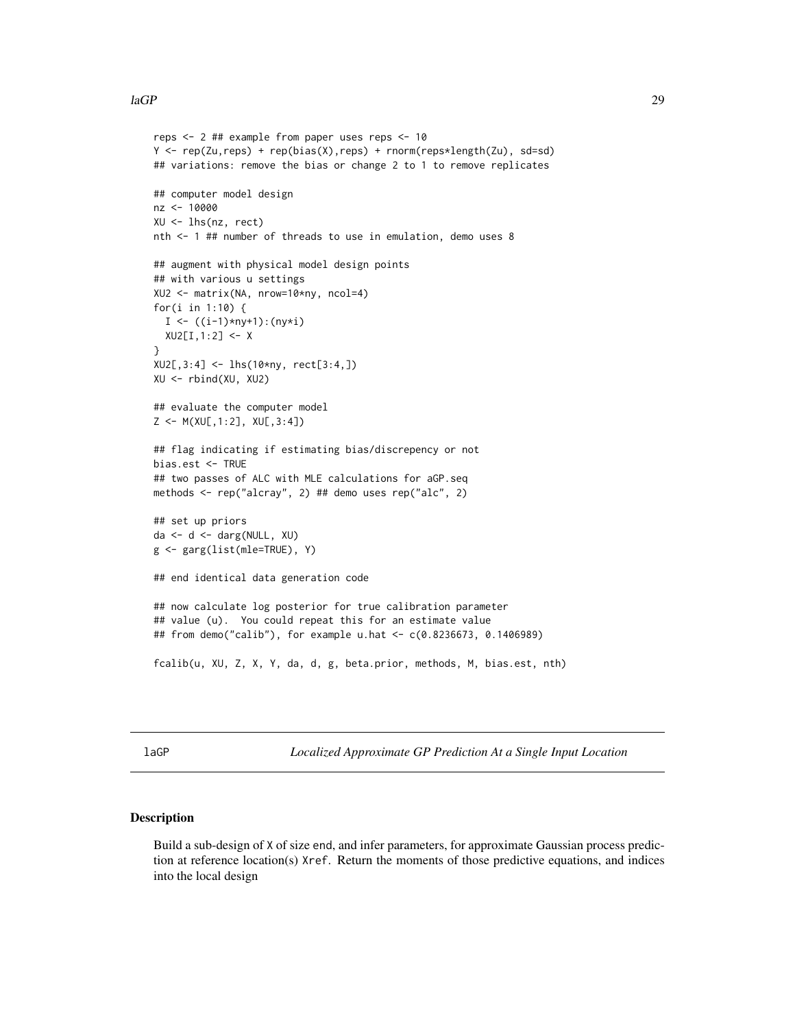```
reps <- 2 ## example from paper uses reps <- 10
Y <- rep(Zu,reps) + rep(bias(X),reps) + rnorm(reps*length(Zu), sd=sd)
## variations: remove the bias or change 2 to 1 to remove replicates
## computer model design
nz <- 10000
XU <- lhs(nz, rect)
nth <- 1 ## number of threads to use in emulation, demo uses 8
## augment with physical model design points
## with various u settings
XU2 <- matrix(NA, nrow=10*ny, ncol=4)
for(i in 1:10) {
  I \leftarrow ((i-1)*ny+1):(ny * i)XU2[I,1:2] <- X
}
XU2[,3:4] <- lhs(10*ny, rect[3:4,])
XU <- rbind(XU, XU2)
## evaluate the computer model
Z <- M(XU[,1:2], XU[,3:4])
## flag indicating if estimating bias/discrepency or not
bias.est <- TRUE
## two passes of ALC with MLE calculations for aGP.seq
methods <- rep("alcray", 2) ## demo uses rep("alc", 2)
## set up priors
da <- d <- darg(NULL, XU)
g <- garg(list(mle=TRUE), Y)
## end identical data generation code
## now calculate log posterior for true calibration parameter
## value (u). You could repeat this for an estimate value
## from demo("calib"), for example u.hat <- c(0.8236673, 0.1406989)
fcalib(u, XU, Z, X, Y, da, d, g, beta.prior, methods, M, bias.est, nth)
```
<span id="page-28-1"></span>laGP *Localized Approximate GP Prediction At a Single Input Location*

#### <span id="page-28-2"></span>Description

Build a sub-design of X of size end, and infer parameters, for approximate Gaussian process prediction at reference location(s) Xref. Return the moments of those predictive equations, and indices into the local design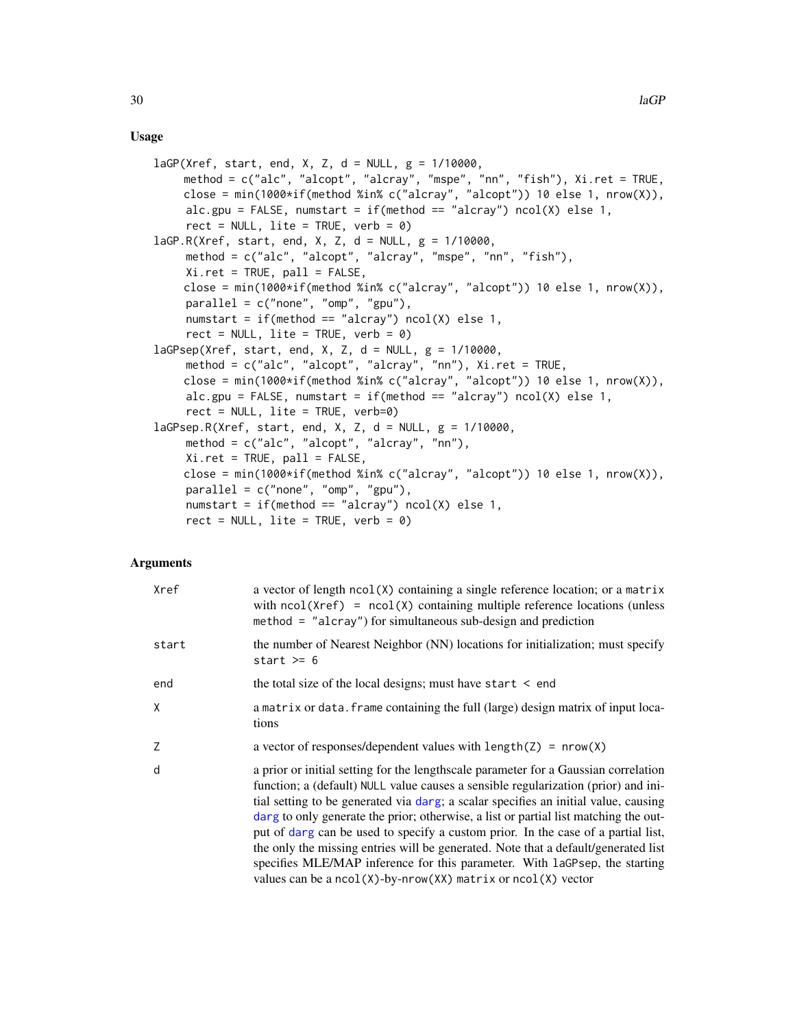#### <span id="page-29-0"></span>Usage

```
lagP(Xref, start, end, X, Z, d = NULL, g = 1/10000,method = c("alc", "alcopt", "alcray", "mspe", "nn", "fish"), Xi.ret = TRUE,
    close = min(1000*if(method %in% c("alcray", "alcopt")) 10 else 1, nrow(X)),
     alc.gpu = FALSE, numstart = if(method == "alcray") ncol(X) else 1,
     rect = NULL, lite = TRUE, verb = \theta)
laGP.R(Xref, start, end, X, Z, d = NULL, g = 1/10000,
     method = c("alc", "alcopt", "alcray", "mspe", "nn", "fish"),
     Xi.ret = TRUE, pall = FALSE,
    close = min(1000*if(method %in% c("alcray", "alcopt")) 10 else 1, nrow(X)),
     parallel = c("none", "omp", "gpu"),
     numstart = if(method == "alcray") ncol(X) else 1,rect = NULL, lite = TRUE, verb = 0)
lagPsep(Xref, start, end, X, Z, d = NULL, g = 1/10000,method = c("alc", "alcopt", "alcray", "nn"), Xi.ret = TRUE,
    close = min(1000*if(method %in% c("alcray", "alcopt")) 10 else 1, nrow(X)),
     alc.gpu = FALSE, numstart = if(method == "alcray") ncol(X) else 1,
     rect = NULL, lite = TRUE, verb=0)
lagPsep.R(Xref, start, end, X, Z, d = NULL, g = 1/10000,method = c("alc", "alcopt", "alcray", "nn"),
     Xi.ret = TRUE, pal1 = FALSE,close = min(1000*if(method %in% c("alcray", "alcopt")) 10 else 1, nrow(X)),
     parallel = c("none", "omp", "gpu"),numstart = if(method == "alcray") ncol(X) else 1,
     rect = NULL, lite = TRUE, verb = \theta)
```
# Arguments

| Xref  | a vector of length $ncol(X)$ containing a single reference location; or a matrix<br>with $ncol(Xref) = ncol(X)$ containing multiple reference locations (unless<br>$method = "alcray")$ for simultaneous sub-design and prediction                                                                                                                                                                                                                                                                                                                                                                                                                                                     |
|-------|----------------------------------------------------------------------------------------------------------------------------------------------------------------------------------------------------------------------------------------------------------------------------------------------------------------------------------------------------------------------------------------------------------------------------------------------------------------------------------------------------------------------------------------------------------------------------------------------------------------------------------------------------------------------------------------|
| start | the number of Nearest Neighbor (NN) locations for initialization; must specify<br>start $>= 6$                                                                                                                                                                                                                                                                                                                                                                                                                                                                                                                                                                                         |
| end   | the total size of the local designs; must have start $\leq$ end                                                                                                                                                                                                                                                                                                                                                                                                                                                                                                                                                                                                                        |
| X     | a matrix or data. frame containing the full (large) design matrix of input loca-<br>tions                                                                                                                                                                                                                                                                                                                                                                                                                                                                                                                                                                                              |
| Z     | a vector of responses/dependent values with $length(Z) = new(X)$                                                                                                                                                                                                                                                                                                                                                                                                                                                                                                                                                                                                                       |
| d     | a prior or initial setting for the lengthscale parameter for a Gaussian correlation<br>function; a (default) NULL value causes a sensible regularization (prior) and ini-<br>tial setting to be generated via darg; a scalar specifies an initial value, causing<br>darg to only generate the prior; otherwise, a list or partial list matching the out-<br>put of darg can be used to specify a custom prior. In the case of a partial list,<br>the only the missing entries will be generated. Note that a default/generated list<br>specifies MLE/MAP inference for this parameter. With laGPsep, the starting<br>values can be a $ncol(X)$ -by-nrow(XX) matrix or $ncol(X)$ vector |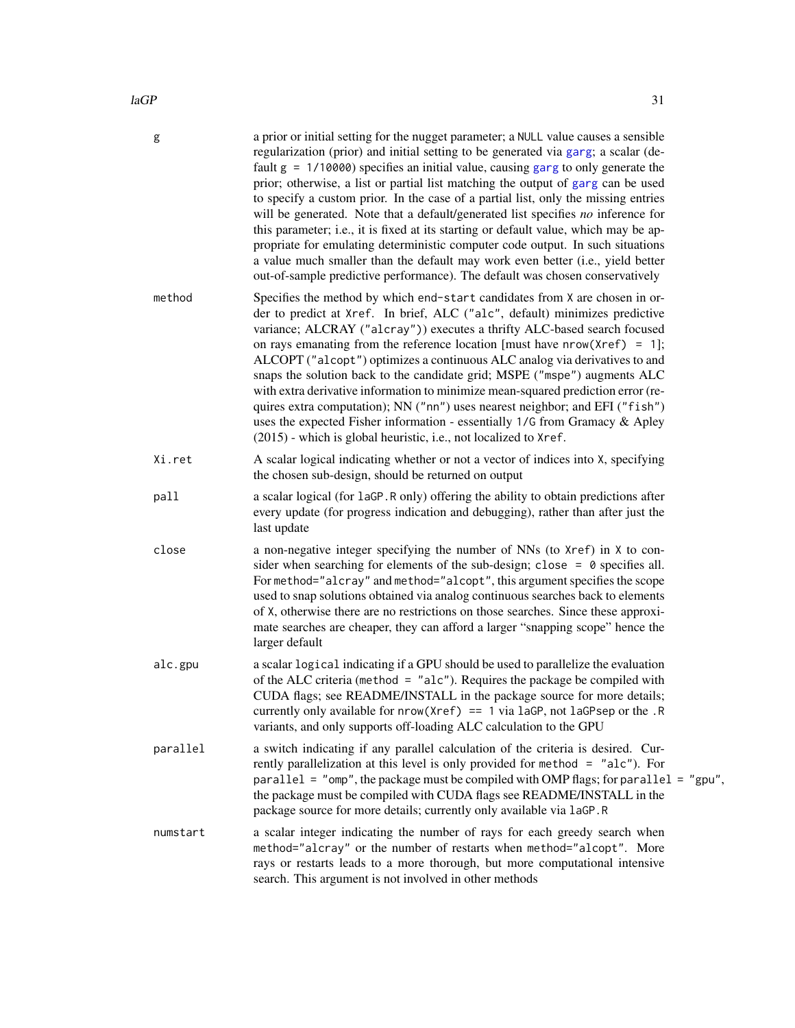<span id="page-30-0"></span>

| g        | a prior or initial setting for the nugget parameter; a NULL value causes a sensible<br>regularization (prior) and initial setting to be generated via garg; a scalar (de-<br>fault $g = 1/10000$ ) specifies an initial value, causing garg to only generate the<br>prior; otherwise, a list or partial list matching the output of garg can be used<br>to specify a custom prior. In the case of a partial list, only the missing entries<br>will be generated. Note that a default/generated list specifies no inference for<br>this parameter; i.e., it is fixed at its starting or default value, which may be ap-<br>propriate for emulating deterministic computer code output. In such situations<br>a value much smaller than the default may work even better (i.e., yield better<br>out-of-sample predictive performance). The default was chosen conservatively |
|----------|----------------------------------------------------------------------------------------------------------------------------------------------------------------------------------------------------------------------------------------------------------------------------------------------------------------------------------------------------------------------------------------------------------------------------------------------------------------------------------------------------------------------------------------------------------------------------------------------------------------------------------------------------------------------------------------------------------------------------------------------------------------------------------------------------------------------------------------------------------------------------|
| method   | Specifies the method by which end-start candidates from X are chosen in or-<br>der to predict at Xref. In brief, ALC ("alc", default) minimizes predictive<br>variance; ALCRAY ("alcray")) executes a thrifty ALC-based search focused<br>on rays emanating from the reference location [must have $nrow(Xref) = 1$ ];<br>ALCOPT ("alcopt") optimizes a continuous ALC analog via derivatives to and<br>snaps the solution back to the candidate grid; MSPE ("mspe") augments ALC<br>with extra derivative information to minimize mean-squared prediction error (re-<br>quires extra computation); NN ("nn") uses nearest neighbor; and EFI ("fish")<br>uses the expected Fisher information - essentially 1/G from Gramacy & Apley<br>(2015) - which is global heuristic, i.e., not localized to Xref.                                                                   |
| Xi.ret   | A scalar logical indicating whether or not a vector of indices into X, specifying<br>the chosen sub-design, should be returned on output                                                                                                                                                                                                                                                                                                                                                                                                                                                                                                                                                                                                                                                                                                                                   |
| pall     | a scalar logical (for 1aGP.R only) offering the ability to obtain predictions after<br>every update (for progress indication and debugging), rather than after just the<br>last update                                                                                                                                                                                                                                                                                                                                                                                                                                                                                                                                                                                                                                                                                     |
| close    | a non-negative integer specifying the number of NNs (to Xref) in X to con-<br>sider when searching for elements of the sub-design; close = $\theta$ specifies all.<br>For method="alcray" and method="alcopt", this argument specifies the scope<br>used to snap solutions obtained via analog continuous searches back to elements<br>of X, otherwise there are no restrictions on those searches. Since these approxi-<br>mate searches are cheaper, they can afford a larger "snapping scope" hence the<br>larger default                                                                                                                                                                                                                                                                                                                                               |
| alc.gpu  | a scalar logical indicating if a GPU should be used to parallelize the evaluation<br>of the ALC criteria (method = "alc"). Requires the package be compiled with<br>CUDA flags; see README/INSTALL in the package source for more details;<br>currently only available for $nrow(Xref) == 1 via$ laGP, not laGPsep or the .R<br>variants, and only supports off-loading ALC calculation to the GPU                                                                                                                                                                                                                                                                                                                                                                                                                                                                         |
| parallel | a switch indicating if any parallel calculation of the criteria is desired. Cur-<br>rently parallelization at this level is only provided for method = "alc"). For<br>parallel = "omp", the package must be compiled with OMP flags; for parallel = "gpu",<br>the package must be compiled with CUDA flags see README/INSTALL in the<br>package source for more details; currently only available via laGP.R                                                                                                                                                                                                                                                                                                                                                                                                                                                               |
| numstart | a scalar integer indicating the number of rays for each greedy search when<br>method="alcray" or the number of restarts when method="alcopt". More<br>rays or restarts leads to a more thorough, but more computational intensive<br>search. This argument is not involved in other methods                                                                                                                                                                                                                                                                                                                                                                                                                                                                                                                                                                                |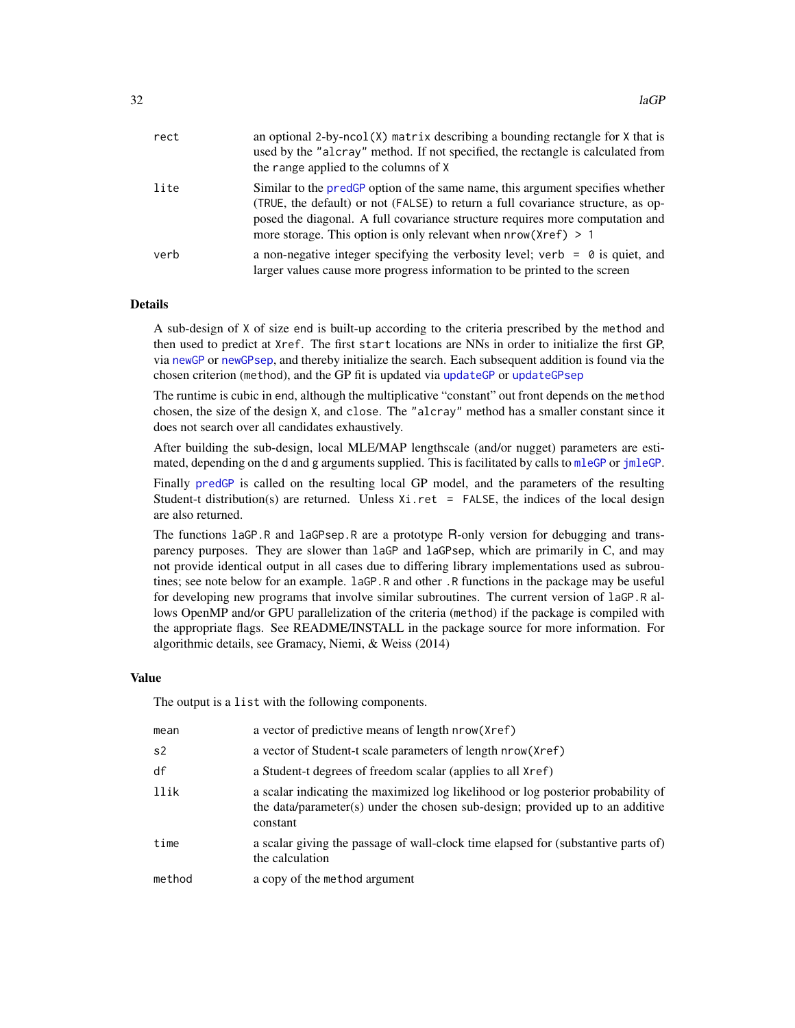<span id="page-31-0"></span>

| rect | an optional 2-by-ncol( $X$ ) matrix describing a bounding rectangle for $X$ that is<br>used by the "alcray" method. If not specified, the rectangle is calculated from<br>the range applied to the columns of X                                                                                                         |
|------|-------------------------------------------------------------------------------------------------------------------------------------------------------------------------------------------------------------------------------------------------------------------------------------------------------------------------|
| lite | Similar to the predGP option of the same name, this argument specifies whether<br>(TRUE, the default) or not (FALSE) to return a full covariance structure, as op-<br>posed the diagonal. A full covariance structure requires more computation and<br>more storage. This option is only relevant when $nrow(Xref) > 1$ |
| verb | a non-negative integer specifying the verbosity level; verb = $\theta$ is quiet, and<br>larger values cause more progress information to be printed to the screen                                                                                                                                                       |

# Details

A sub-design of X of size end is built-up according to the criteria prescribed by the method and then used to predict at Xref. The first start locations are NNs in order to initialize the first GP, via [newGP](#page-40-1) or [newGPsep](#page-40-2), and thereby initialize the search. Each subsequent addition is found via the chosen criterion (method), and the GP fit is updated via [updateGP](#page-40-2) or [updateGPsep](#page-40-2)

The runtime is cubic in end, although the multiplicative "constant" out front depends on the method chosen, the size of the design X, and close. The "alcray" method has a smaller constant since it does not search over all candidates exhaustively.

After building the sub-design, local MLE/MAP lengthscale (and/or nugget) parameters are estimated, depending on the d and g arguments supplied. This is facilitated by calls to [mleGP](#page-36-2) or [jmleGP](#page-36-1).

Finally [predGP](#page-48-1) is called on the resulting local GP model, and the parameters of the resulting Student-t distribution(s) are returned. Unless  $Xi$  ret = FALSE, the indices of the local design are also returned.

The functions laGP.R and laGPsep.R are a prototype R-only version for debugging and transparency purposes. They are slower than laGP and laGPsep, which are primarily in C, and may not provide identical output in all cases due to differing library implementations used as subroutines; see note below for an example. laGP.R and other .R functions in the package may be useful for developing new programs that involve similar subroutines. The current version of laGP.R allows OpenMP and/or GPU parallelization of the criteria (method) if the package is compiled with the appropriate flags. See README/INSTALL in the package source for more information. For algorithmic details, see Gramacy, Niemi, & Weiss (2014)

#### Value

The output is a list with the following components.

| mean   | a vector of predictive means of length nrow (Xref)                                                                                                                            |
|--------|-------------------------------------------------------------------------------------------------------------------------------------------------------------------------------|
| s2     | a vector of Student-t scale parameters of length nrow (Xref)                                                                                                                  |
| df     | a Student-t degrees of freedom scalar (applies to all Xref)                                                                                                                   |
| llik   | a scalar indicating the maximized log likelihood or log posterior probability of<br>the data/parameter(s) under the chosen sub-design; provided up to an additive<br>constant |
| time   | a scalar giving the passage of wall-clock time elapsed for (substantive parts of)<br>the calculation                                                                          |
| method | a copy of the method argument                                                                                                                                                 |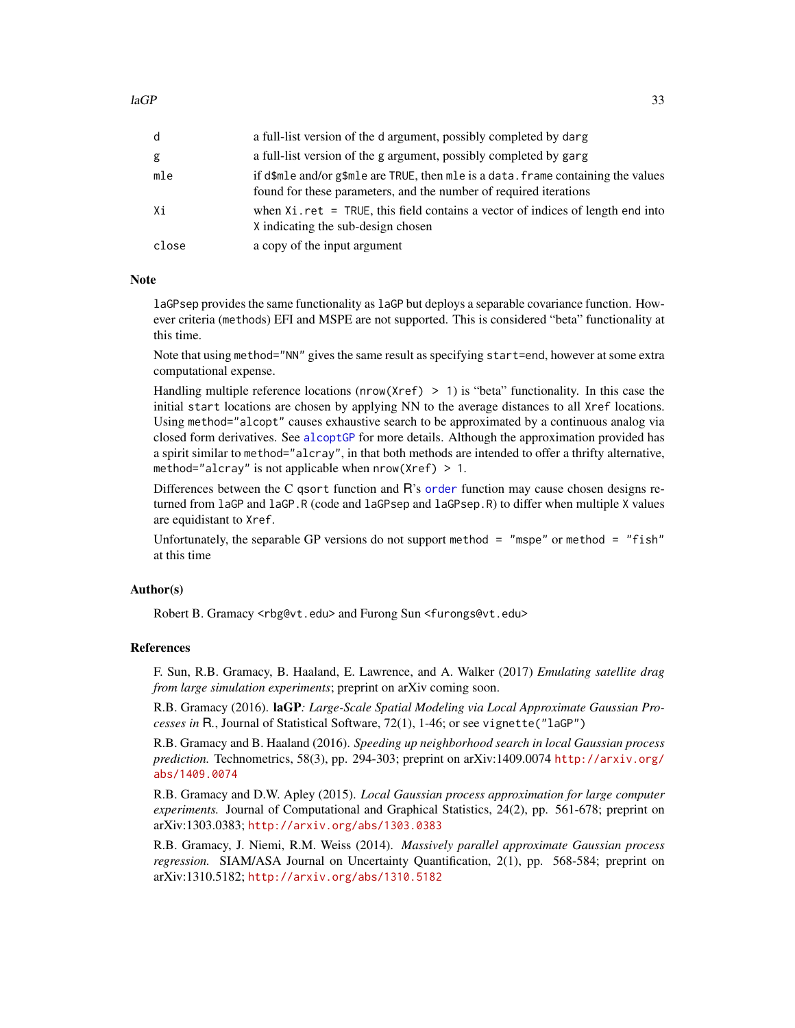<span id="page-32-0"></span>

| d     | a full-list version of the d argument, possibly completed by darg                                                                                      |
|-------|--------------------------------------------------------------------------------------------------------------------------------------------------------|
| g     | a full-list version of the g argument, possibly completed by garg                                                                                      |
| mle   | if d\$mle and/or g\$mle are TRUE, then mle is a data. frame containing the values<br>found for these parameters, and the number of required iterations |
| Xi    | when $Xi$ ret = TRUE, this field contains a vector of indices of length end into<br>X indicating the sub-design chosen                                 |
| close | a copy of the input argument                                                                                                                           |

#### Note

laGPsep provides the same functionality as laGP but deploys a separable covariance function. However criteria (methods) EFI and MSPE are not supported. This is considered "beta" functionality at this time.

Note that using method="NN" gives the same result as specifying start=end, however at some extra computational expense.

Handling multiple reference locations (nrow(Xref) > 1) is "beta" functionality. In this case the initial start locations are chosen by applying NN to the average distances to all Xref locations. Using method="alcopt" causes exhaustive search to be approximated by a continuous analog via closed form derivatives. See [alcoptGP](#page-8-2) for more details. Although the approximation provided has a spirit similar to method="alcray", in that both methods are intended to offer a thrifty alternative, method="alcray" is not applicable when  $nrow(Xref) > 1$ .

Differences between the C qsort function and R's [order](#page-0-0) function may cause chosen designs returned from laGP and laGP.R (code and laGPsep and laGPsep.R) to differ when multiple X values are equidistant to Xref.

Unfortunately, the separable GP versions do not support method  $=$  "mspe" or method  $=$  "fish" at this time

# Author(s)

Robert B. Gramacy <rbg@vt.edu> and Furong Sun <furongs@vt.edu>

#### References

F. Sun, R.B. Gramacy, B. Haaland, E. Lawrence, and A. Walker (2017) *Emulating satellite drag from large simulation experiments*; preprint on arXiv coming soon.

R.B. Gramacy (2016). laGP*: Large-Scale Spatial Modeling via Local Approximate Gaussian Processes in* R*.*, Journal of Statistical Software, 72(1), 1-46; or see vignette("laGP")

R.B. Gramacy and B. Haaland (2016). *Speeding up neighborhood search in local Gaussian process prediction.* Technometrics, 58(3), pp. 294-303; preprint on arXiv:1409.0074 [http://arxiv.org/](http://arxiv.org/abs/1409.0074) [abs/1409.0074](http://arxiv.org/abs/1409.0074)

R.B. Gramacy and D.W. Apley (2015). *Local Gaussian process approximation for large computer experiments.* Journal of Computational and Graphical Statistics, 24(2), pp. 561-678; preprint on arXiv:1303.0383; <http://arxiv.org/abs/1303.0383>

R.B. Gramacy, J. Niemi, R.M. Weiss (2014). *Massively parallel approximate Gaussian process regression.* SIAM/ASA Journal on Uncertainty Quantification, 2(1), pp. 568-584; preprint on arXiv:1310.5182; <http://arxiv.org/abs/1310.5182>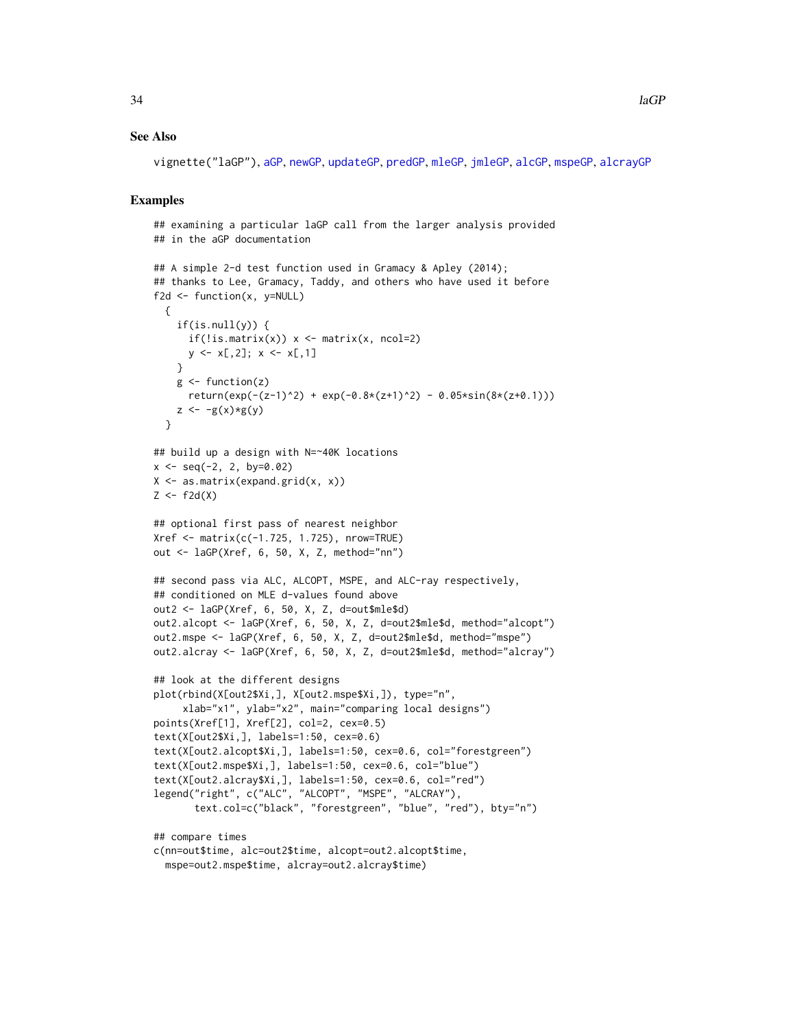#### <span id="page-33-0"></span>See Also

vignette("laGP"), [aGP](#page-1-1), [newGP](#page-40-1), [updateGP](#page-40-2), [predGP](#page-48-1), [mleGP](#page-36-2), [jmleGP](#page-36-1), [alcGP](#page-8-1), [mspeGP](#page-8-2), [alcrayGP](#page-8-2)

# Examples

```
## examining a particular laGP call from the larger analysis provided
## in the aGP documentation
## A simple 2-d test function used in Gramacy & Apley (2014);
## thanks to Lee, Gramacy, Taddy, and others who have used it before
f2d <- function(x, y=NULL)
 {
    if(is.null(y)) {
      if(!is.mathrix(x)) x <- matrix(x, ncol=2)
     y \le x[0, 2]; x \le x[0, 1]}
   g \leftarrow function(z)return(exp(-(z-1)^2) + exp(-0.8*(z+1)^2) - 0.05*sin(8*(z+0.1)))z \leftarrow -g(x)*g(y)}
## build up a design with N=~40K locations
x \le - seq(-2, 2, by=0.02)
X <- as.matrix(expand.grid(x, x))
Z \leftarrow f2d(X)## optional first pass of nearest neighbor
Xref <- matrix(c(-1.725, 1.725), nrow=TRUE)
out <- laGP(Xref, 6, 50, X, Z, method="nn")
## second pass via ALC, ALCOPT, MSPE, and ALC-ray respectively,
## conditioned on MLE d-values found above
out2 <- laGP(Xref, 6, 50, X, Z, d=out$mle$d)
out2.alcopt <- laGP(Xref, 6, 50, X, Z, d=out2$mle$d, method="alcopt")
out2.mspe <- laGP(Xref, 6, 50, X, Z, d=out2$mle$d, method="mspe")
out2.alcray <- laGP(Xref, 6, 50, X, Z, d=out2$mle$d, method="alcray")
## look at the different designs
plot(rbind(X[out2$Xi,], X[out2.mspe$Xi,]), type="n",
     xlab="x1", ylab="x2", main="comparing local designs")
points(Xref[1], Xref[2], col=2, cex=0.5)
text(X[out2$Xi,], labels=1:50, cex=0.6)
text(X[out2.alcopt$Xi,], labels=1:50, cex=0.6, col="forestgreen")
text(X[out2.mspe$Xi,], labels=1:50, cex=0.6, col="blue")
text(X[out2.alcray$Xi,], labels=1:50, cex=0.6, col="red")
legend("right", c("ALC", "ALCOPT", "MSPE", "ALCRAY"),
       text.col=c("black", "forestgreen", "blue", "red"), bty="n")
## compare times
c(nn=out$time, alc=out2$time, alcopt=out2.alcopt$time,
  mspe=out2.mspe$time, alcray=out2.alcray$time)
```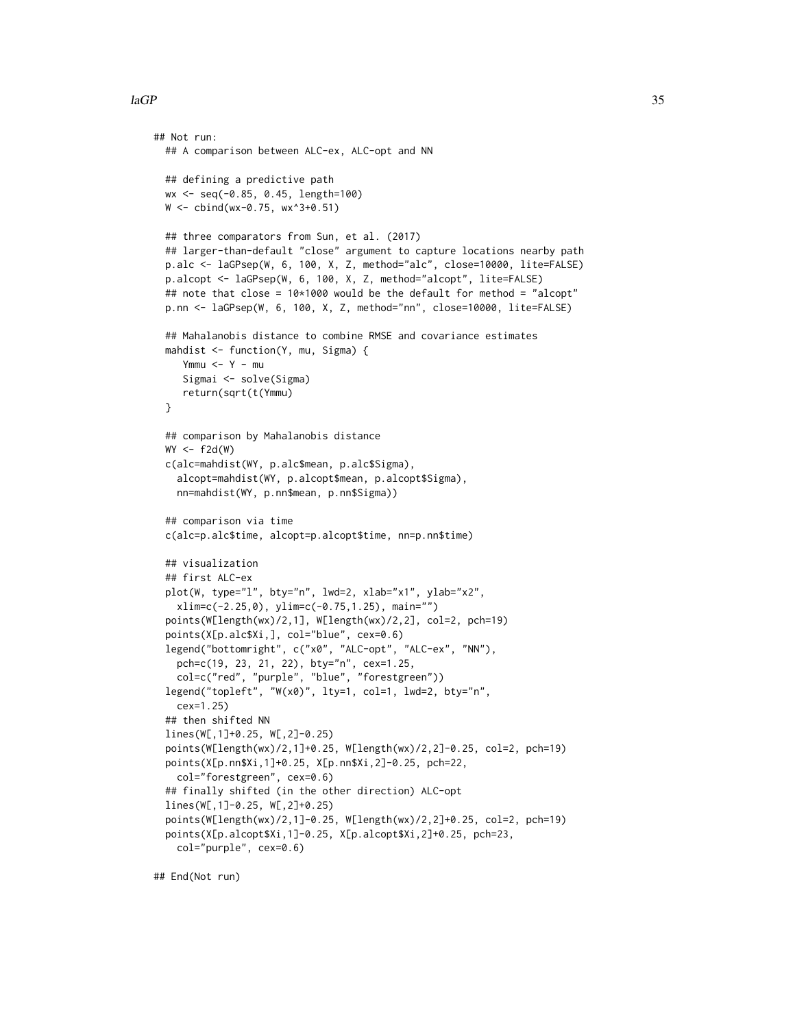```
## Not run:
 ## A comparison between ALC-ex, ALC-opt and NN
 ## defining a predictive path
 wx <- seq(-0.85, 0.45, length=100)
 W <- cbind(wx-0.75, wx^3+0.51)
 ## three comparators from Sun, et al. (2017)
 ## larger-than-default "close" argument to capture locations nearby path
 p.alc <- laGPsep(W, 6, 100, X, Z, method="alc", close=10000, lite=FALSE)
 p.alcopt <- laGPsep(W, 6, 100, X, Z, method="alcopt", lite=FALSE)
 ## note that close = 10*1000 would be the default for method = "alcopt"
 p.nn <- laGPsep(W, 6, 100, X, Z, method="nn", close=10000, lite=FALSE)
 ## Mahalanobis distance to combine RMSE and covariance estimates
 mahdist <- function(Y, mu, Sigma) {
     Ymmu < - Y - muSigmai <- solve(Sigma)
     return(sqrt(t(Ymmu)
 }
 ## comparison by Mahalanobis distance
 WY \leftarrow f2d(W)c(alc=mahdist(WY, p.alc$mean, p.alc$Sigma),
    alcopt=mahdist(WY, p.alcopt$mean, p.alcopt$Sigma),
    nn=mahdist(WY, p.nn$mean, p.nn$Sigma))
  ## comparison via time
 c(alc=p.alc$time, alcopt=p.alcopt$time, nn=p.nn$time)
 ## visualization
 ## first ALC-ex
 plot(W, type="l", bty="n", lwd=2, xlab="x1", ylab="x2",
    xlim=c(-2.25,0), ylim=c(-0.75,1.25), main="")
 points(W[length(wx)/2,1], W[length(wx)/2,2], col=2, pch=19)
 points(X[p.alc$Xi,], col="blue", cex=0.6)
 legend("bottomright", c("x0", "ALC-opt", "ALC-ex", "NN"),
   pch=c(19, 23, 21, 22), bty="n", cex=1.25,
    col=c("red", "purple", "blue", "forestgreen"))
  legend("topleft", "W(x0)", lty=1, col=1, lwd=2, bty="n",
    cex=1.25)
 ## then shifted NN
 lines(W[,1]+0.25, W[,2]-0.25)
 points(W[length(wx)/2,1]+0.25, W[length(wx)/2,2]-0.25, col=2, pch=19)
 points(X[p.nn$Xi,1]+0.25, X[p.nn$Xi,2]-0.25, pch=22,
   col="forestgreen", cex=0.6)
 ## finally shifted (in the other direction) ALC-opt
 lines(W[,1]-0.25, W[,2]+0.25)
 points(W[length(wx)/2,1]-0.25, W[length(wx)/2,2]+0.25, col=2, pch=19)
 points(X[p.alcopt$Xi,1]-0.25, X[p.alcopt$Xi,2]+0.25, pch=23,
    col="purple", cex=0.6)
```
## End(Not run)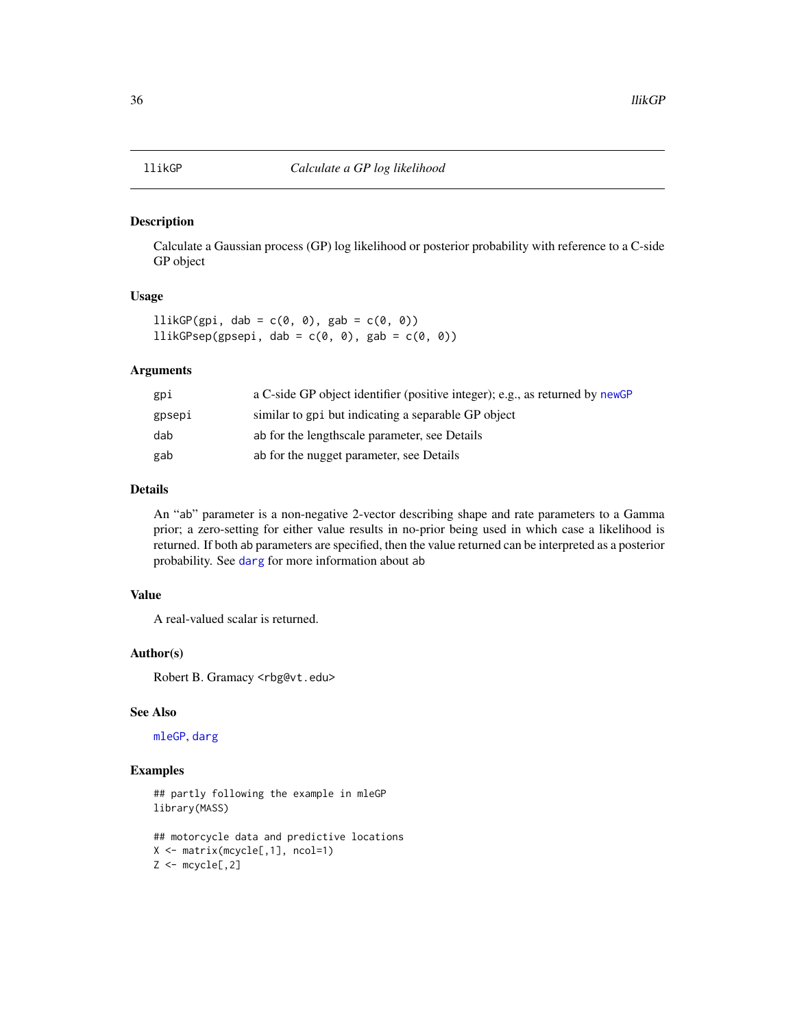#### <span id="page-35-1"></span><span id="page-35-0"></span>Description

Calculate a Gaussian process (GP) log likelihood or posterior probability with reference to a C-side GP object

#### Usage

 $llikGP(gpi, dab = c(0, 0), gab = c(0, 0))$ llikGPsep(gpsepi, dab =  $c(\emptyset, \emptyset)$ , gab =  $c(\emptyset, \emptyset)$ )

#### Arguments

| gpi    | a C-side GP object identifier (positive integer); e.g., as returned by newGP |
|--------|------------------------------------------------------------------------------|
| gpsepi | similar to gpi but indicating a separable GP object                          |
| dab    | ab for the lengthscale parameter, see Details                                |
| gab    | ab for the nugget parameter, see Details                                     |

#### Details

An "ab" parameter is a non-negative 2-vector describing shape and rate parameters to a Gamma prior; a zero-setting for either value results in no-prior being used in which case a likelihood is returned. If both ab parameters are specified, then the value returned can be interpreted as a posterior probability. See [darg](#page-15-1) for more information about ab

# Value

A real-valued scalar is returned.

#### Author(s)

Robert B. Gramacy <rbg@vt.edu>

#### See Also

[mleGP](#page-36-2), [darg](#page-15-1)

# Examples

## partly following the example in mleGP library(MASS)

```
## motorcycle data and predictive locations
X <- matrix(mcycle[,1], ncol=1)
Z \leftarrow mcycle[, 2]
```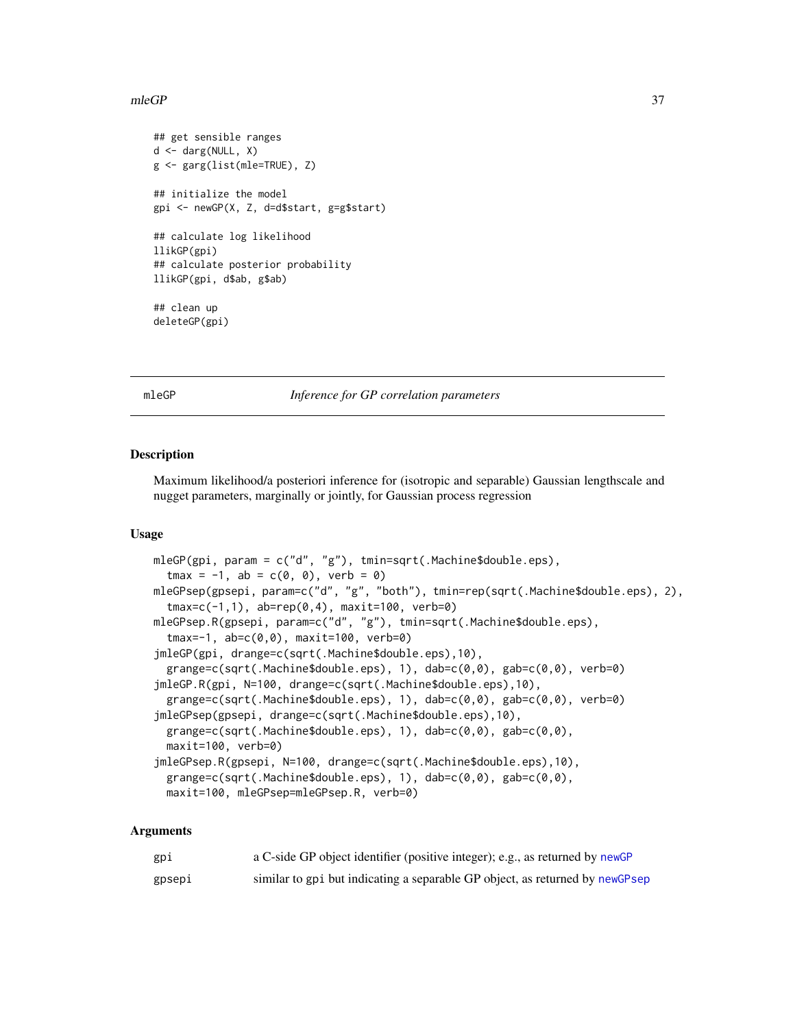#### <span id="page-36-0"></span> $mleGP$  37

```
## get sensible ranges
d <- darg(NULL, X)
g <- garg(list(mle=TRUE), Z)
## initialize the model
gpi <- newGP(X, Z, d=d$start, g=g$start)
## calculate log likelihood
llikGP(gpi)
## calculate posterior probability
llikGP(gpi, d$ab, g$ab)
## clean up
deleteGP(gpi)
```
<span id="page-36-2"></span>mleGP *Inference for GP correlation parameters*

#### <span id="page-36-1"></span>Description

Maximum likelihood/a posteriori inference for (isotropic and separable) Gaussian lengthscale and nugget parameters, marginally or jointly, for Gaussian process regression

# Usage

```
mleGP(gpi, param = c("d", "g"), tmin=sqrt(.Machine$double.eps),
  tmax = -1, ab = c(0, 0), verb = 0)
mleGPsep(gpsepi, param=c("d", "g", "both"), tmin=rep(sqrt(.Machine$double.eps), 2),
  tmax=c(-1,1), ab=rep(0,4), maxit=100, verb=0)
mleGPsep.R(gpsepi, param=c("d", "g"), tmin=sqrt(.Machine$double.eps),
  tmax=-1, ab=c(0,0), maxit=100, verb=0)
jmleGP(gpi, drange=c(sqrt(.Machine$double.eps),10),
  grange=c(sqrt(.Machine$double.eps), 1), dab=c(0,0), gab=c(0,0), verb=0)
jmleGP.R(gpi, N=100, drange=c(sqrt(.Machine$double.eps),10),
  grange=c(sqrt(.Machine$double.eps), 1), dab=c(0,0), gab=c(0,0), verb=0)
jmleGPsep(gpsepi, drange=c(sqrt(.Machine$double.eps),10),
 grange=c(sqrt(.Machine$double.eps), 1), dab=c(0,0), gab=c(0,0),
 maxit=100, verb=0)
jmleGPsep.R(gpsepi, N=100, drange=c(sqrt(.Machine$double.eps),10),
  grange=c(sqrt(.Machine$double.eps), 1), dab=c(0,0), gab=c(0,0),
 maxit=100, mleGPsep=mleGPsep.R, verb=0)
```
#### Arguments

| gpi    | a C-side GP object identifier (positive integer); e.g., as returned by newGP |
|--------|------------------------------------------------------------------------------|
| gpsepi | similar to gpi but indicating a separable GP object, as returned by newGPsep |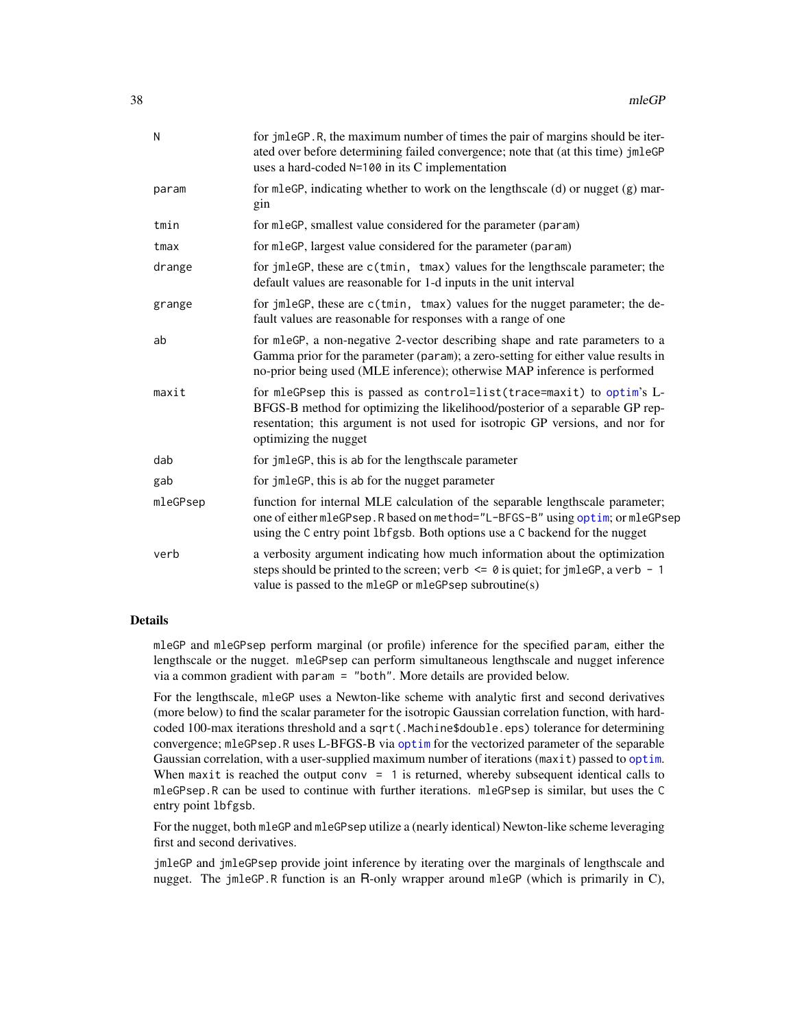<span id="page-37-0"></span>

| N        | for jmleGP.R, the maximum number of times the pair of margins should be iter-<br>ated over before determining failed convergence; note that (at this time) jmleGP<br>uses a hard-coded N=100 in its C implementation                                             |
|----------|------------------------------------------------------------------------------------------------------------------------------------------------------------------------------------------------------------------------------------------------------------------|
| param    | for mleGP, indicating whether to work on the lengthscale (d) or nugget (g) mar-<br>gin                                                                                                                                                                           |
| tmin     | for mleGP, smallest value considered for the parameter (param)                                                                                                                                                                                                   |
| tmax     | for mleGP, largest value considered for the parameter (param)                                                                                                                                                                                                    |
| drange   | for jmleGP, these are c(tmin, tmax) values for the lengthscale parameter; the<br>default values are reasonable for 1-d inputs in the unit interval                                                                                                               |
| grange   | for jmleGP, these are c(tmin, tmax) values for the nugget parameter; the de-<br>fault values are reasonable for responses with a range of one                                                                                                                    |
| ab       | for mleGP, a non-negative 2-vector describing shape and rate parameters to a<br>Gamma prior for the parameter (param); a zero-setting for either value results in<br>no-prior being used (MLE inference); otherwise MAP inference is performed                   |
| maxit    | for mleGPsep this is passed as control=list(trace=maxit) to optim's L-<br>BFGS-B method for optimizing the likelihood/posterior of a separable GP rep-<br>resentation; this argument is not used for isotropic GP versions, and nor for<br>optimizing the nugget |
| dab      | for jmleGP, this is ab for the lengthscale parameter                                                                                                                                                                                                             |
| gab      | for jmleGP, this is ab for the nugget parameter                                                                                                                                                                                                                  |
| mleGPsep | function for internal MLE calculation of the separable lengthscale parameter;<br>one of either mleGPsep. R based on method="L-BFGS-B" using optim; or mleGPsep<br>using the C entry point 1bfgsb. Both options use a C backend for the nugget                    |
| verb     | a verbosity argument indicating how much information about the optimization<br>steps should be printed to the screen; verb $\leq \theta$ is quiet; for jmleGP, a verb - 1<br>value is passed to the mleGP or mleGPsep subroutine(s)                              |

# Details

mleGP and mleGPsep perform marginal (or profile) inference for the specified param, either the lengthscale or the nugget. mleGPsep can perform simultaneous lengthscale and nugget inference via a common gradient with param = "both". More details are provided below.

For the lengthscale, mleGP uses a Newton-like scheme with analytic first and second derivatives (more below) to find the scalar parameter for the isotropic Gaussian correlation function, with hardcoded 100-max iterations threshold and a sqrt(.Machine\$double.eps) tolerance for determining convergence; mleGPsep.R uses L-BFGS-B via [optim](#page-0-0) for the vectorized parameter of the separable Gaussian correlation, with a user-supplied maximum number of iterations (maxit) passed to [optim](#page-0-0). When maxit is reached the output conv  $= 1$  is returned, whereby subsequent identical calls to mleGPsep.R can be used to continue with further iterations. mleGPsep is similar, but uses the C entry point lbfgsb.

For the nugget, both mleGP and mleGPsep utilize a (nearly identical) Newton-like scheme leveraging first and second derivatives.

jmleGP and jmleGPsep provide joint inference by iterating over the marginals of lengthscale and nugget. The jmleGP.R function is an R-only wrapper around mleGP (which is primarily in C),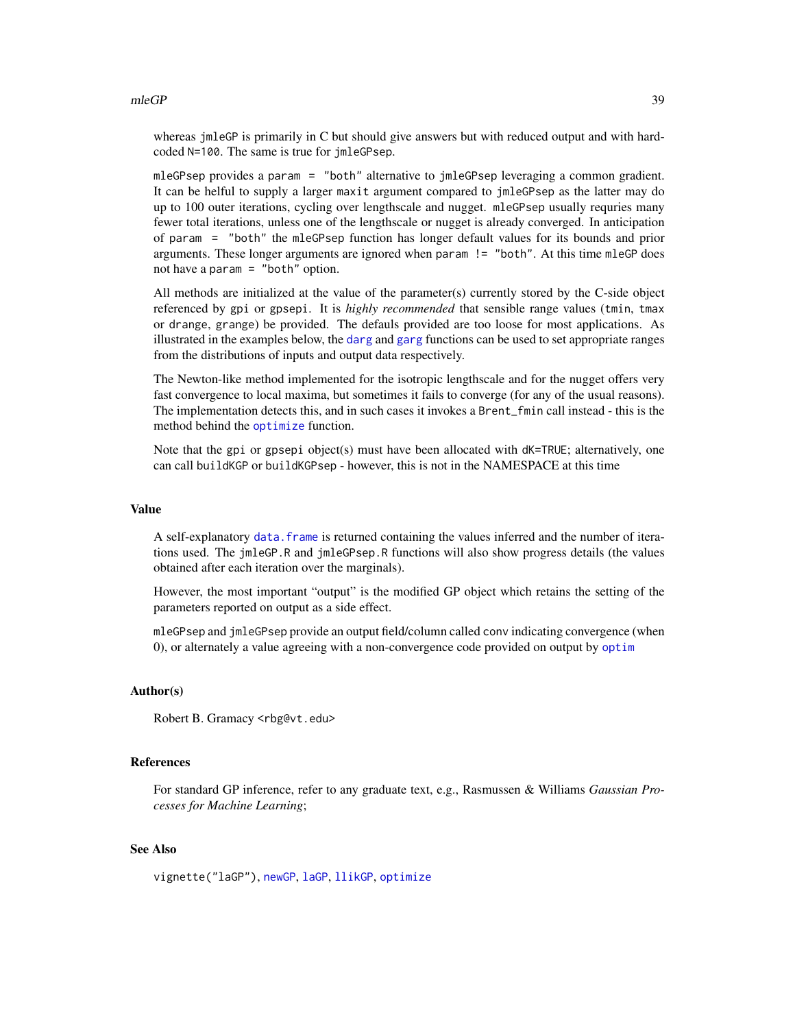#### <span id="page-38-0"></span>mleGP 39

whereas jmleGP is primarily in C but should give answers but with reduced output and with hardcoded N=100. The same is true for jmleGPsep.

mleGPsep provides a param = "both" alternative to jmleGPsep leveraging a common gradient. It can be helful to supply a larger maxit argument compared to jmleGPsep as the latter may do up to 100 outer iterations, cycling over lengthscale and nugget. mleGPsep usually requries many fewer total iterations, unless one of the lengthscale or nugget is already converged. In anticipation of param = "both" the mleGPsep function has longer default values for its bounds and prior arguments. These longer arguments are ignored when param != "both". At this time mleGP does not have a param = "both" option.

All methods are initialized at the value of the parameter(s) currently stored by the C-side object referenced by gpi or gpsepi. It is *highly recommended* that sensible range values (tmin, tmax or drange, grange) be provided. The defauls provided are too loose for most applications. As illustrated in the examples below, the [darg](#page-15-1) and [garg](#page-15-2) functions can be used to set appropriate ranges from the distributions of inputs and output data respectively.

The Newton-like method implemented for the isotropic lengthscale and for the nugget offers very fast convergence to local maxima, but sometimes it fails to converge (for any of the usual reasons). The implementation detects this, and in such cases it invokes a Brent\_fmin call instead - this is the method behind the [optimize](#page-0-0) function.

Note that the gpi or gpsepi object(s) must have been allocated with  $dK = TRUE$ ; alternatively, one can call buildKGP or buildKGPsep - however, this is not in the NAMESPACE at this time

#### Value

A self-explanatory [data.frame](#page-0-0) is returned containing the values inferred and the number of iterations used. The jmleGP.R and jmleGPsep.R functions will also show progress details (the values obtained after each iteration over the marginals).

However, the most important "output" is the modified GP object which retains the setting of the parameters reported on output as a side effect.

mleGPsep and jmleGPsep provide an output field/column called conv indicating convergence (when 0), or alternately a value agreeing with a non-convergence code provided on output by [optim](#page-0-0)

# Author(s)

Robert B. Gramacy <rbg@vt.edu>

#### **References**

For standard GP inference, refer to any graduate text, e.g., Rasmussen & Williams *Gaussian Processes for Machine Learning*;

## See Also

vignette("laGP"), [newGP](#page-40-1), [laGP](#page-28-1), [llikGP](#page-35-1), [optimize](#page-0-0)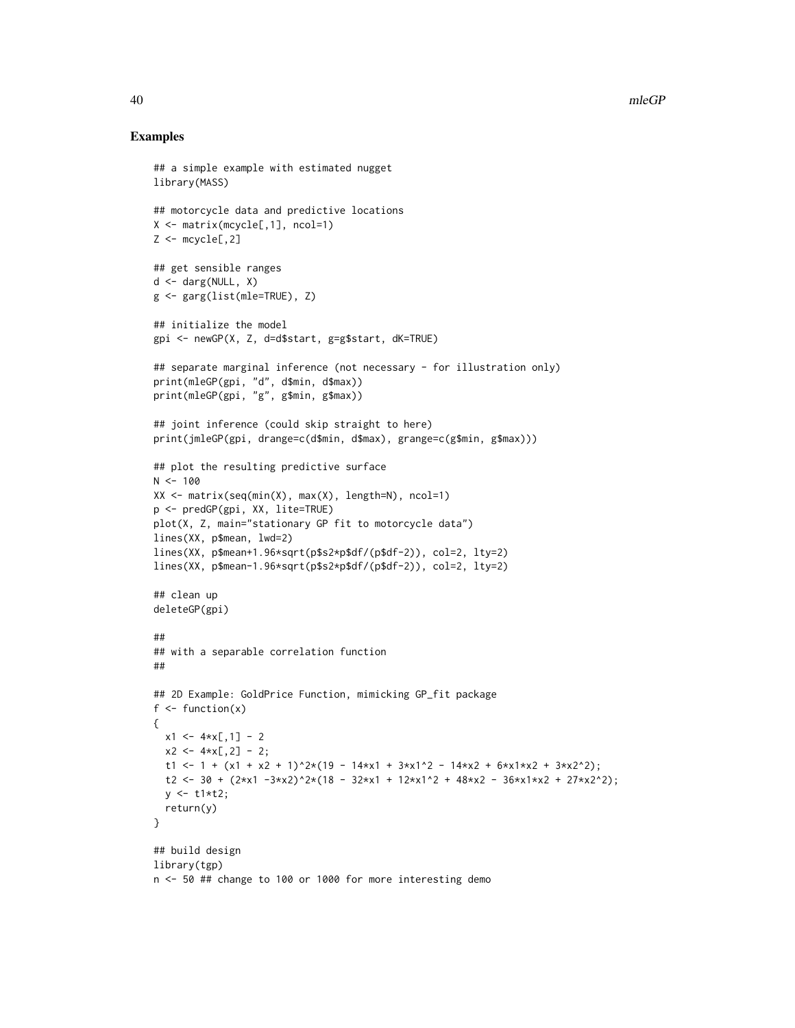#### Examples

```
## a simple example with estimated nugget
library(MASS)
## motorcycle data and predictive locations
X <- matrix(mcycle[,1], ncol=1)
Z \leftarrow mcycle[, 2]## get sensible ranges
d <- darg(NULL, X)
g <- garg(list(mle=TRUE), Z)
## initialize the model
gpi <- newGP(X, Z, d=d$start, g=g$start, dK=TRUE)
## separate marginal inference (not necessary - for illustration only)
print(mleGP(gpi, "d", d$min, d$max))
print(mleGP(gpi, "g", g$min, g$max))
## joint inference (could skip straight to here)
print(jmleGP(gpi, drange=c(d$min, d$max), grange=c(g$min, g$max)))
## plot the resulting predictive surface
N < - 100XX <- matrix(seq(min(X), max(X), length=N), ncol=1)
p <- predGP(gpi, XX, lite=TRUE)
plot(X, Z, main="stationary GP fit to motorcycle data")
lines(XX, p$mean, lwd=2)
lines(XX, p$mean+1.96*sqrt(p$s2*p$df/(p$df-2)), col=2, lty=2)
lines(XX, p$mean-1.96*sqrt(p$s2*p$df/(p$df-2)), col=2, lty=2)
## clean up
deleteGP(gpi)
##
## with a separable correlation function
##
## 2D Example: GoldPrice Function, mimicking GP_fit package
f \leftarrow function(x){
 x1 \leq -4 \times x[,1] - 2
 x2 \leftarrow 4*x[, 2] - 2;t1 <- 1 + (x1 + x2 + 1)^2*(19 - 14*x1 + 3*x1^2 - 14*x2 + 6*x1*x2 + 3*x2^2);
  t2 <- 30 + (2*x1 - 3*x2)^2*(18 - 32*x1 + 12*x1^2 + 48*x2 - 36*x1*x2 + 27*x2^2);y \le -t1*t2;return(y)
}
## build design
library(tgp)
n <- 50 ## change to 100 or 1000 for more interesting demo
```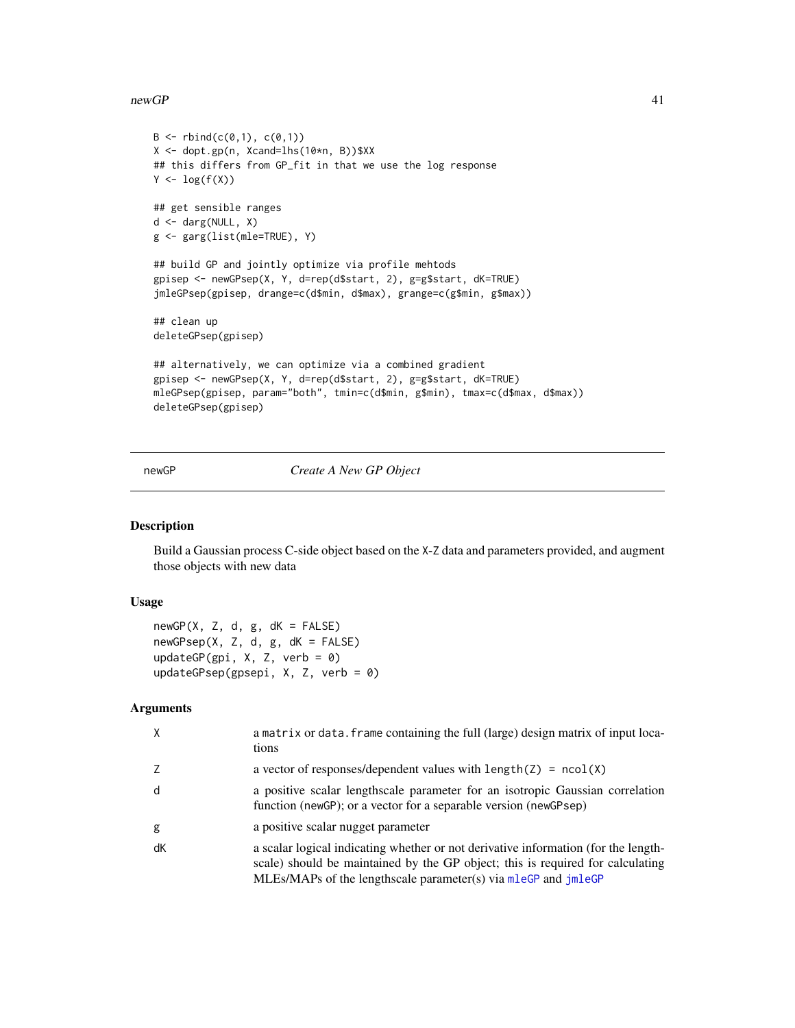#### <span id="page-40-0"></span> $newGP$  41

```
B \le - \text{rbind}(c(0,1), c(0,1))X <- dopt.gp(n, Xcand=lhs(10*n, B))$XX
## this differs from GP_fit in that we use the log response
Y \leftarrow \log(f(X))## get sensible ranges
d <- darg(NULL, X)
g <- garg(list(mle=TRUE), Y)
## build GP and jointly optimize via profile mehtods
gpisep <- newGPsep(X, Y, d=rep(d$start, 2), g=g$start, dK=TRUE)
jmleGPsep(gpisep, drange=c(d$min, d$max), grange=c(g$min, g$max))
## clean up
deleteGPsep(gpisep)
## alternatively, we can optimize via a combined gradient
gpisep <- newGPsep(X, Y, d=rep(d$start, 2), g=g$start, dK=TRUE)
mleGPsep(gpisep, param="both", tmin=c(d$min, g$min), tmax=c(d$max, d$max))
deleteGPsep(gpisep)
```
<span id="page-40-1"></span>newGP *Create A New GP Object*

#### <span id="page-40-2"></span>Description

Build a Gaussian process C-side object based on the X-Z data and parameters provided, and augment those objects with new data

# Usage

 $newGP(X, Z, d, g, dK = FALSE)$ newGPsep(X, Z, d, g, dK = FALSE) updateGP(gpi,  $X$ ,  $Z$ , verb = 0) updateGPsep(gpsepi, X, Z, verb = 0)

#### Arguments

| X  | a matrix or data. frame containing the full (large) design matrix of input loca-<br>tions                                                                                                                                              |
|----|----------------------------------------------------------------------------------------------------------------------------------------------------------------------------------------------------------------------------------------|
| 7  | a vector of responses/dependent values with $length(Z) = ncol(X)$                                                                                                                                                                      |
| d  | a positive scalar lengthscale parameter for an isotropic Gaussian correlation<br>function (newGP); or a vector for a separable version (newGPsep)                                                                                      |
| g  | a positive scalar nugget parameter                                                                                                                                                                                                     |
| dK | a scalar logical indicating whether or not derivative information (for the length-<br>scale) should be maintained by the GP object; this is required for calculating<br>MLEs/MAPs of the lengthscale parameter(s) via mleGP and jmleGP |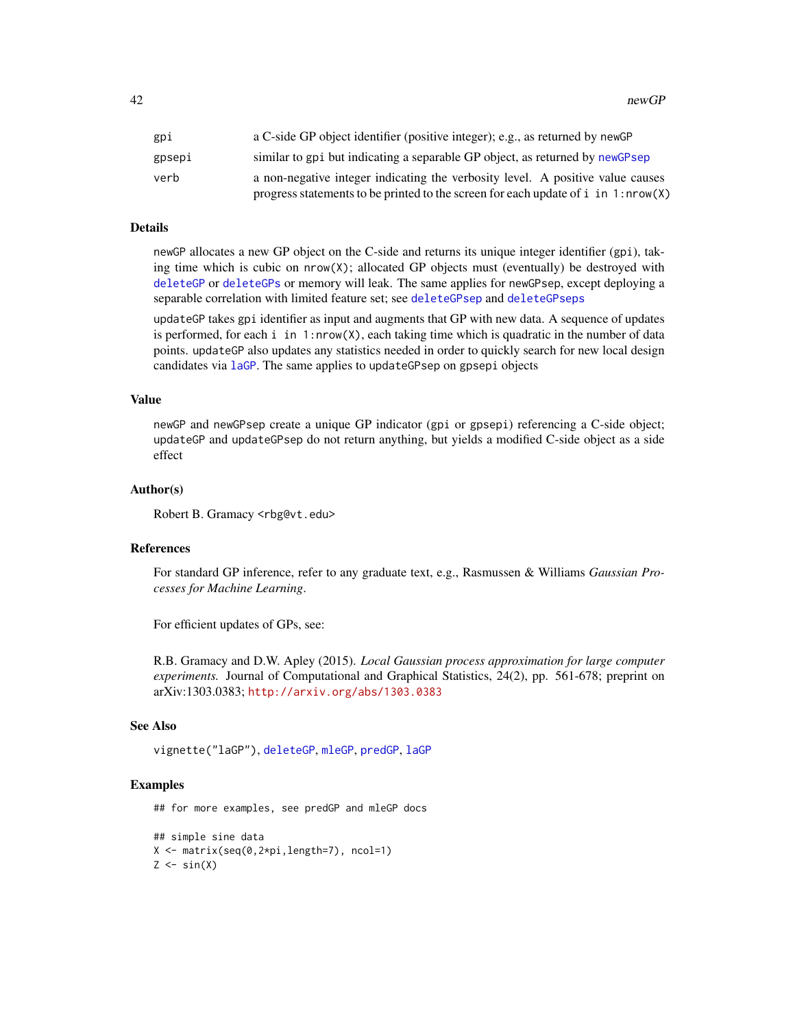<span id="page-41-0"></span>42 newGP newSP newSP newSP newSP newSP newSP newSP newSP newSP newSP newSP newSP newSP newSP newSP newSP newSP newSP newSP newSP newSP newSP newSP newSP newSP newSP newSP newSP newSP newSP newSP newSP newSP newSP newSP new

| gpi    | a C-side GP object identifier (positive integer); e.g., as returned by newGP        |
|--------|-------------------------------------------------------------------------------------|
| gpsepi | similar to gpi but indicating a separable GP object, as returned by newGPsep        |
| verb   | a non-negative integer indicating the verbosity level. A positive value causes      |
|        | progress statements to be printed to the screen for each update of $i$ in 1:nrow(X) |

# **Details**

newGP allocates a new GP object on the C-side and returns its unique integer identifier (gpi), taking time which is cubic on  $nrow(X)$ ; allocated GP objects must (eventually) be destroyed with [deleteGP](#page-17-1) or [deleteGPs](#page-17-2) or memory will leak. The same applies for newGPsep, except deploying a separable correlation with limited feature set; see [deleteGPsep](#page-17-2) and [deleteGPseps](#page-17-2)

updateGP takes gpi identifier as input and augments that GP with new data. A sequence of updates is performed, for each i in  $1:$ nrow $(X)$ , each taking time which is quadratic in the number of data points. updateGP also updates any statistics needed in order to quickly search for new local design candidates via [laGP](#page-28-1). The same applies to updateGPsep on gpsepi objects

#### Value

newGP and newGPsep create a unique GP indicator (gpi or gpsepi) referencing a C-side object; updateGP and updateGPsep do not return anything, but yields a modified C-side object as a side effect

#### Author(s)

Robert B. Gramacy <rbg@vt.edu>

# References

For standard GP inference, refer to any graduate text, e.g., Rasmussen & Williams *Gaussian Processes for Machine Learning*.

For efficient updates of GPs, see:

R.B. Gramacy and D.W. Apley (2015). *Local Gaussian process approximation for large computer experiments.* Journal of Computational and Graphical Statistics, 24(2), pp. 561-678; preprint on arXiv:1303.0383; <http://arxiv.org/abs/1303.0383>

#### See Also

vignette("laGP"), [deleteGP](#page-17-1), [mleGP](#page-36-2), [predGP](#page-48-1), [laGP](#page-28-1)

#### Examples

## for more examples, see predGP and mleGP docs

```
## simple sine data
X <- matrix(seq(0,2*pi,length=7), ncol=1)
Z \leftarrow \sin(X)
```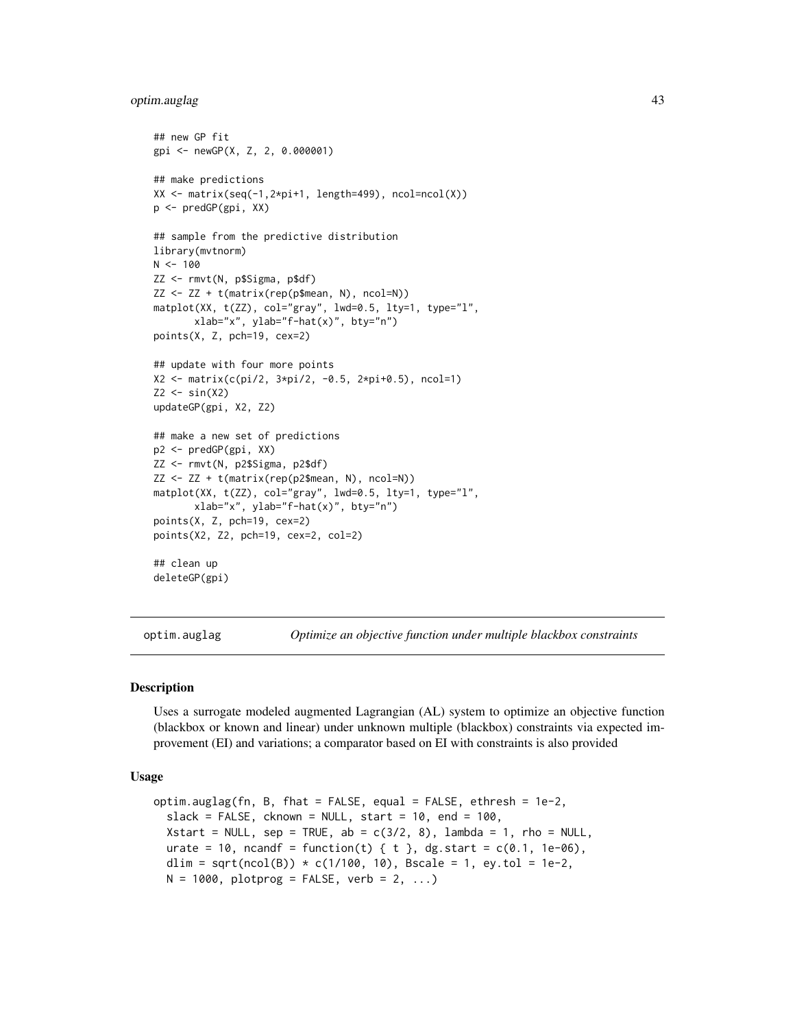#### <span id="page-42-0"></span>optim.auglag 43

```
## new GP fit
gpi <- newGP(X, Z, 2, 0.000001)
## make predictions
XX \le matrix(seq(-1,2*pi+1, length=499), ncol=ncol(X))
p <- predGP(gpi, XX)
## sample from the predictive distribution
library(mvtnorm)
N < - 100ZZ <- rmvt(N, p$Sigma, p$df)
ZZ <- ZZ + t(matrix(rep(p$mean, N), ncol=N))
matplot(XX, t(ZZ), col="gray", lwd=0.5, lty=1, type="l",
       xlab="x", ylab="f-hat(x)", bty="n")
points(X, Z, pch=19, cex=2)
## update with four more points
X2 <- matrix(c(pi/2, 3*pi/2, -0.5, 2*pi+0.5), ncol=1)
Z2 \leftarrow \sin(X2)updateGP(gpi, X2, Z2)
## make a new set of predictions
p2 <- predGP(gpi, XX)
ZZ <- rmvt(N, p2$Sigma, p2$df)
ZZ <- ZZ + t(matrix(rep(p2$mean, N), ncol=N))
matplot(XX, t(ZZ), col="gray", lwd=0.5, lty=1, type="l",
       xlab="x", ylab="f-hat(x)", bty="n")
points(X, Z, pch=19, cex=2)
points(X2, Z2, pch=19, cex=2, col=2)
## clean up
deleteGP(gpi)
```
optim.auglag *Optimize an objective function under multiple blackbox constraints*

#### **Description**

Uses a surrogate modeled augmented Lagrangian (AL) system to optimize an objective function (blackbox or known and linear) under unknown multiple (blackbox) constraints via expected improvement (EI) and variations; a comparator based on EI with constraints is also provided

#### Usage

```
optim.auglag(fn, B, fhat = FALSE, equal = FALSE, ethresh = 1e-2,
  slack = FALSE, cknown = NULL, start = 10, end = 100,
 Xstart = NULL, sep = TRUE, ab = c(3/2, 8), lambda = 1, rho = NULL,
 urate = 10, ncandf = function(t) { t }, dg.start = c(0.1, 1e-06),
  dlim = sqrt(ncol(B)) * c(1/100, 10), Bscale = 1, ey.tol = 1e-2,
 N = 1000, plotprog = FALSE, verb = 2, ...)
```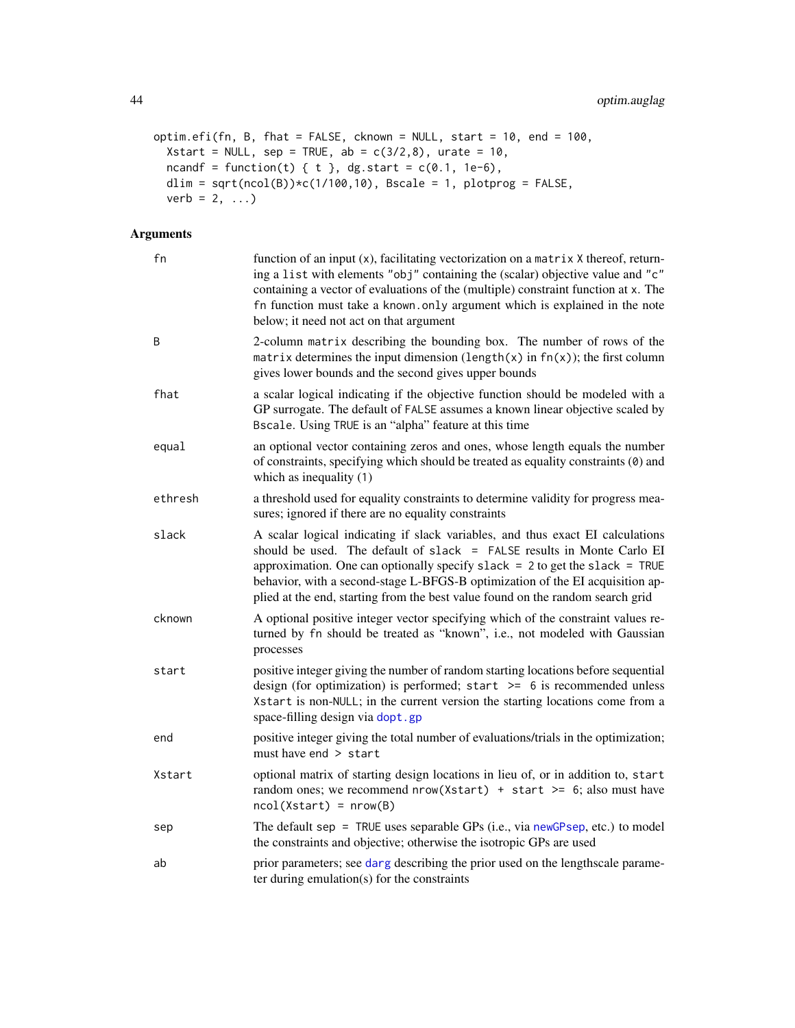```
optim.efi(fn, B, fhat = FALSE, cknown = NULL, start = 10, end = 100,
 Xstart = NULL, sep = TRUE, ab = c(3/2,8), urate = 10,
 ncandf = function(t) { t }, dg.start = c(0.1, 1e-6),
 dlim = sqrt(ncol(B)) *c(1/100,10), Bscale = 1, plotprog = FALSE,
 verb = 2, ...)
```
# Arguments

| fn      | function of an input (x), facilitating vectorization on a matrix X thereof, return-<br>ing a list with elements "obj" containing the (scalar) objective value and "c"<br>containing a vector of evaluations of the (multiple) constraint function at x. The<br>fn function must take a known. only argument which is explained in the note<br>below; it need not act on that argument                        |
|---------|--------------------------------------------------------------------------------------------------------------------------------------------------------------------------------------------------------------------------------------------------------------------------------------------------------------------------------------------------------------------------------------------------------------|
| B       | 2-column matrix describing the bounding box. The number of rows of the<br>matrix determines the input dimension (length(x) in $fn(x)$ ); the first column<br>gives lower bounds and the second gives upper bounds                                                                                                                                                                                            |
| fhat    | a scalar logical indicating if the objective function should be modeled with a<br>GP surrogate. The default of FALSE assumes a known linear objective scaled by<br>Bscale. Using TRUE is an "alpha" feature at this time                                                                                                                                                                                     |
| equal   | an optional vector containing zeros and ones, whose length equals the number<br>of constraints, specifying which should be treated as equality constraints (0) and<br>which as inequality (1)                                                                                                                                                                                                                |
| ethresh | a threshold used for equality constraints to determine validity for progress mea-<br>sures; ignored if there are no equality constraints                                                                                                                                                                                                                                                                     |
| slack   | A scalar logical indicating if slack variables, and thus exact EI calculations<br>should be used. The default of slack = FALSE results in Monte Carlo EI<br>approximation. One can optionally specify slack = $2$ to get the slack = TRUE<br>behavior, with a second-stage L-BFGS-B optimization of the EI acquisition ap-<br>plied at the end, starting from the best value found on the random search grid |
| cknown  | A optional positive integer vector specifying which of the constraint values re-<br>turned by fn should be treated as "known", i.e., not modeled with Gaussian<br>processes                                                                                                                                                                                                                                  |
| start   | positive integer giving the number of random starting locations before sequential<br>design (for optimization) is performed; start $\ge$ 6 is recommended unless<br>Xstart is non-NULL; in the current version the starting locations come from a<br>space-filling design via dopt.gp                                                                                                                        |
| end     | positive integer giving the total number of evaluations/trials in the optimization;<br>must have end > start                                                                                                                                                                                                                                                                                                 |
| Xstart  | optional matrix of starting design locations in lieu of, or in addition to, start<br>random ones; we recommend $nrow(Xstart) + start \ge 6$ ; also must have<br>$ncol(Xstart) = nrow(B)$                                                                                                                                                                                                                     |
| sep     | The default sep = TRUE uses separable GPs (i.e., via newGPsep, etc.) to model<br>the constraints and objective; otherwise the isotropic GPs are used                                                                                                                                                                                                                                                         |
| ab      | prior parameters; see darg describing the prior used on the lengthscale parame-<br>ter during emulation(s) for the constraints                                                                                                                                                                                                                                                                               |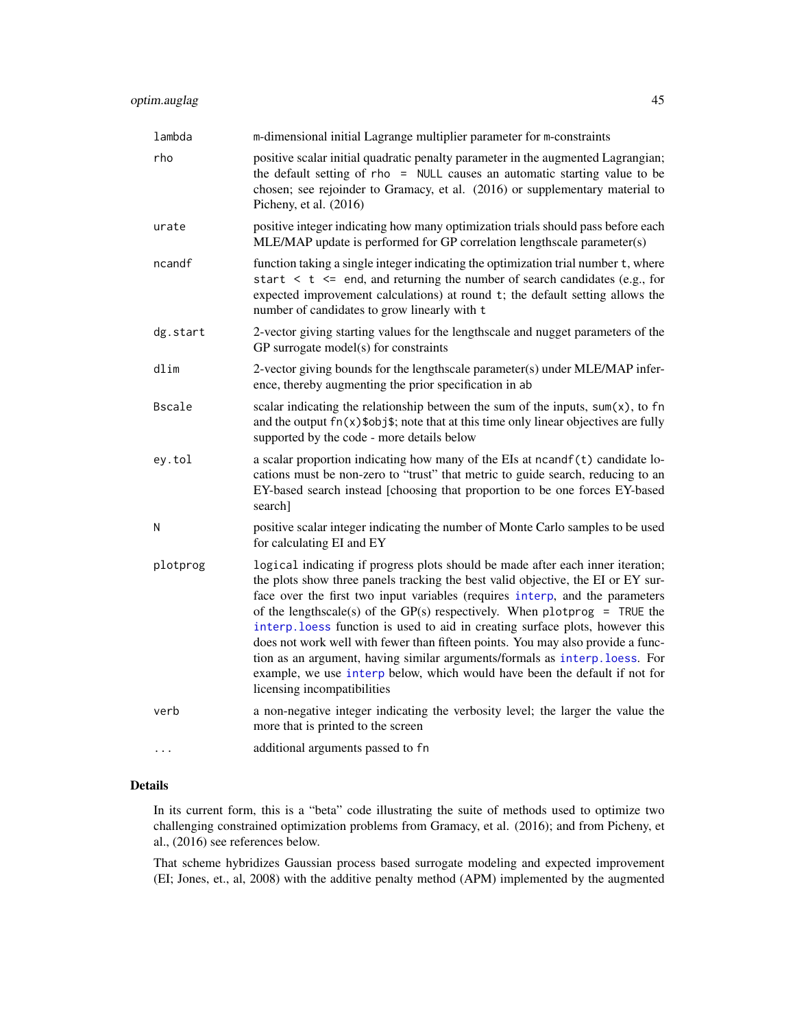<span id="page-44-0"></span>

| lambda        | m-dimensional initial Lagrange multiplier parameter for m-constraints                                                                                                                                                                                                                                                                                                                                                                                                                                                                                                                                                                                                                            |
|---------------|--------------------------------------------------------------------------------------------------------------------------------------------------------------------------------------------------------------------------------------------------------------------------------------------------------------------------------------------------------------------------------------------------------------------------------------------------------------------------------------------------------------------------------------------------------------------------------------------------------------------------------------------------------------------------------------------------|
| rho           | positive scalar initial quadratic penalty parameter in the augmented Lagrangian;<br>the default setting of rho = NULL causes an automatic starting value to be<br>chosen; see rejoinder to Gramacy, et al. (2016) or supplementary material to<br>Picheny, et al. (2016)                                                                                                                                                                                                                                                                                                                                                                                                                         |
| urate         | positive integer indicating how many optimization trials should pass before each<br>MLE/MAP update is performed for GP correlation lengthscale parameter(s)                                                                                                                                                                                                                                                                                                                                                                                                                                                                                                                                      |
| ncandf        | function taking a single integer indicating the optimization trial number t, where<br>start $\lt t \lt$ = end, and returning the number of search candidates (e.g., for<br>expected improvement calculations) at round t; the default setting allows the<br>number of candidates to grow linearly with t                                                                                                                                                                                                                                                                                                                                                                                         |
| dg.start      | 2-vector giving starting values for the lengthscale and nugget parameters of the<br>GP surrogate model(s) for constraints                                                                                                                                                                                                                                                                                                                                                                                                                                                                                                                                                                        |
| dlim          | 2-vector giving bounds for the lengthscale parameter(s) under MLE/MAP infer-<br>ence, thereby augmenting the prior specification in ab                                                                                                                                                                                                                                                                                                                                                                                                                                                                                                                                                           |
| <b>Bscale</b> | scalar indicating the relationship between the sum of the inputs, $sum(x)$ , to fn<br>and the output $fn(x)$ sobjs; note that at this time only linear objectives are fully<br>supported by the code - more details below                                                                                                                                                                                                                                                                                                                                                                                                                                                                        |
| ey.tol        | a scalar proportion indicating how many of the EIs at ncandf(t) candidate lo-<br>cations must be non-zero to "trust" that metric to guide search, reducing to an<br>EY-based search instead [choosing that proportion to be one forces EY-based<br>search]                                                                                                                                                                                                                                                                                                                                                                                                                                       |
| Ν             | positive scalar integer indicating the number of Monte Carlo samples to be used<br>for calculating EI and EY                                                                                                                                                                                                                                                                                                                                                                                                                                                                                                                                                                                     |
| plotprog      | logical indicating if progress plots should be made after each inner iteration;<br>the plots show three panels tracking the best valid objective, the EI or EY sur-<br>face over the first two input variables (requires interp, and the parameters<br>of the lengthscale(s) of the GP(s) respectively. When plotprog = TRUE the<br>interp. loess function is used to aid in creating surface plots, however this<br>does not work well with fewer than fifteen points. You may also provide a func-<br>tion as an argument, having similar arguments/formals as interp. loess. For<br>example, we use interp below, which would have been the default if not for<br>licensing incompatibilities |
| verb          | a non-negative integer indicating the verbosity level; the larger the value the<br>more that is printed to the screen                                                                                                                                                                                                                                                                                                                                                                                                                                                                                                                                                                            |
|               | additional arguments passed to fn                                                                                                                                                                                                                                                                                                                                                                                                                                                                                                                                                                                                                                                                |

# Details

In its current form, this is a "beta" code illustrating the suite of methods used to optimize two challenging constrained optimization problems from Gramacy, et al. (2016); and from Picheny, et al., (2016) see references below.

That scheme hybridizes Gaussian process based surrogate modeling and expected improvement (EI; Jones, et., al, 2008) with the additive penalty method (APM) implemented by the augmented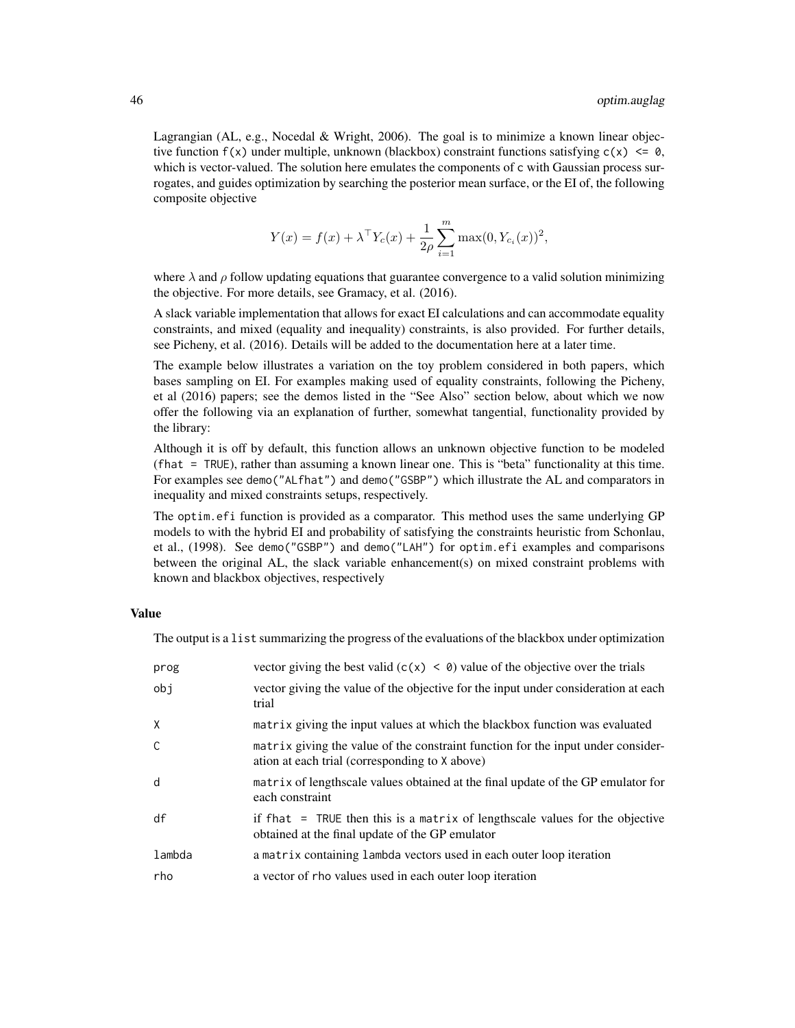Lagrangian (AL, e.g., Nocedal & Wright, 2006). The goal is to minimize a known linear objective function  $f(x)$  under multiple, unknown (blackbox) constraint functions satisfying  $c(x) \leq 0$ , which is vector-valued. The solution here emulates the components of c with Gaussian process surrogates, and guides optimization by searching the posterior mean surface, or the EI of, the following composite objective

$$
Y(x) = f(x) + \lambda^{\top} Y_c(x) + \frac{1}{2\rho} \sum_{i=1}^{m} \max(0, Y_{c_i}(x))^2,
$$

where  $\lambda$  and  $\rho$  follow updating equations that guarantee convergence to a valid solution minimizing the objective. For more details, see Gramacy, et al. (2016).

A slack variable implementation that allows for exact EI calculations and can accommodate equality constraints, and mixed (equality and inequality) constraints, is also provided. For further details, see Picheny, et al. (2016). Details will be added to the documentation here at a later time.

The example below illustrates a variation on the toy problem considered in both papers, which bases sampling on EI. For examples making used of equality constraints, following the Picheny, et al (2016) papers; see the demos listed in the "See Also" section below, about which we now offer the following via an explanation of further, somewhat tangential, functionality provided by the library:

Although it is off by default, this function allows an unknown objective function to be modeled (fhat = TRUE), rather than assuming a known linear one. This is "beta" functionality at this time. For examples see demo("ALfhat") and demo("GSBP") which illustrate the AL and comparators in inequality and mixed constraints setups, respectively.

The optim.efi function is provided as a comparator. This method uses the same underlying GP models to with the hybrid EI and probability of satisfying the constraints heuristic from Schonlau, et al., (1998). See demo("GSBP") and demo("LAH") for optim.efi examples and comparisons between the original AL, the slack variable enhancement(s) on mixed constraint problems with known and blackbox objectives, respectively

# Value

The output is a list summarizing the progress of the evaluations of the blackbox under optimization

| prog         | vector giving the best valid $(c(x) < 0)$ value of the objective over the trials                                                   |
|--------------|------------------------------------------------------------------------------------------------------------------------------------|
| obj          | vector giving the value of the objective for the input under consideration at each<br>trial                                        |
| X            | matrix giving the input values at which the blackbox function was evaluated                                                        |
| $\mathsf{C}$ | matrix giving the value of the constraint function for the input under consider-<br>ation at each trial (corresponding to X above) |
| d            | matrix of lengthscale values obtained at the final update of the GP emulator for<br>each constraint                                |
| df           | if fhat = TRUE then this is a matrix of lengthscale values for the objective<br>obtained at the final update of the GP emulator    |
| lambda       | a matrix containing lambda vectors used in each outer loop iteration                                                               |
| rho          | a vector of rho values used in each outer loop iteration                                                                           |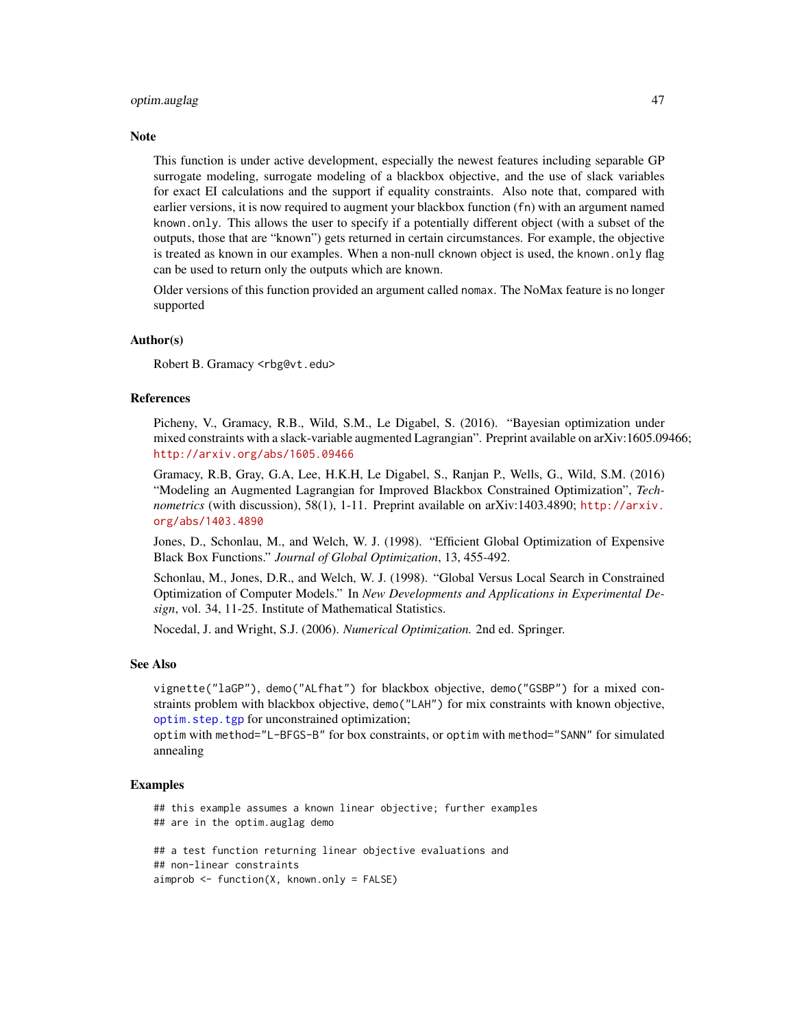#### <span id="page-46-0"></span>optim.auglag 47

#### **Note**

This function is under active development, especially the newest features including separable GP surrogate modeling, surrogate modeling of a blackbox objective, and the use of slack variables for exact EI calculations and the support if equality constraints. Also note that, compared with earlier versions, it is now required to augment your blackbox function (fn) with an argument named known.only. This allows the user to specify if a potentially different object (with a subset of the outputs, those that are "known") gets returned in certain circumstances. For example, the objective is treated as known in our examples. When a non-null cknown object is used, the known. only flag can be used to return only the outputs which are known.

Older versions of this function provided an argument called nomax. The NoMax feature is no longer supported

#### Author(s)

Robert B. Gramacy <rbg@vt.edu>

# References

Picheny, V., Gramacy, R.B., Wild, S.M., Le Digabel, S. (2016). "Bayesian optimization under mixed constraints with a slack-variable augmented Lagrangian". Preprint available on arXiv:1605.09466; <http://arxiv.org/abs/1605.09466>

Gramacy, R.B, Gray, G.A, Lee, H.K.H, Le Digabel, S., Ranjan P., Wells, G., Wild, S.M. (2016) "Modeling an Augmented Lagrangian for Improved Blackbox Constrained Optimization", *Technometrics* (with discussion), 58(1), 1-11. Preprint available on arXiv:1403.4890; [http://arxiv.](http://arxiv.org/abs/1403.4890) [org/abs/1403.4890](http://arxiv.org/abs/1403.4890)

Jones, D., Schonlau, M., and Welch, W. J. (1998). "Efficient Global Optimization of Expensive Black Box Functions." *Journal of Global Optimization*, 13, 455-492.

Schonlau, M., Jones, D.R., and Welch, W. J. (1998). "Global Versus Local Search in Constrained Optimization of Computer Models." In *New Developments and Applications in Experimental Design*, vol. 34, 11-25. Institute of Mathematical Statistics.

Nocedal, J. and Wright, S.J. (2006). *Numerical Optimization.* 2nd ed. Springer.

#### See Also

vignette("laGP"), demo("ALfhat") for blackbox objective, demo("GSBP") for a mixed constraints problem with blackbox objective, demo("LAH") for mix constraints with known objective, [optim.step.tgp](#page-0-0) for unconstrained optimization;

optim with method="L-BFGS-B" for box constraints, or optim with method="SANN" for simulated annealing

#### Examples

## this example assumes a known linear objective; further examples ## are in the optim.auglag demo ## a test function returning linear objective evaluations and ## non-linear constraints

aimprob <- function(X, known.only = FALSE)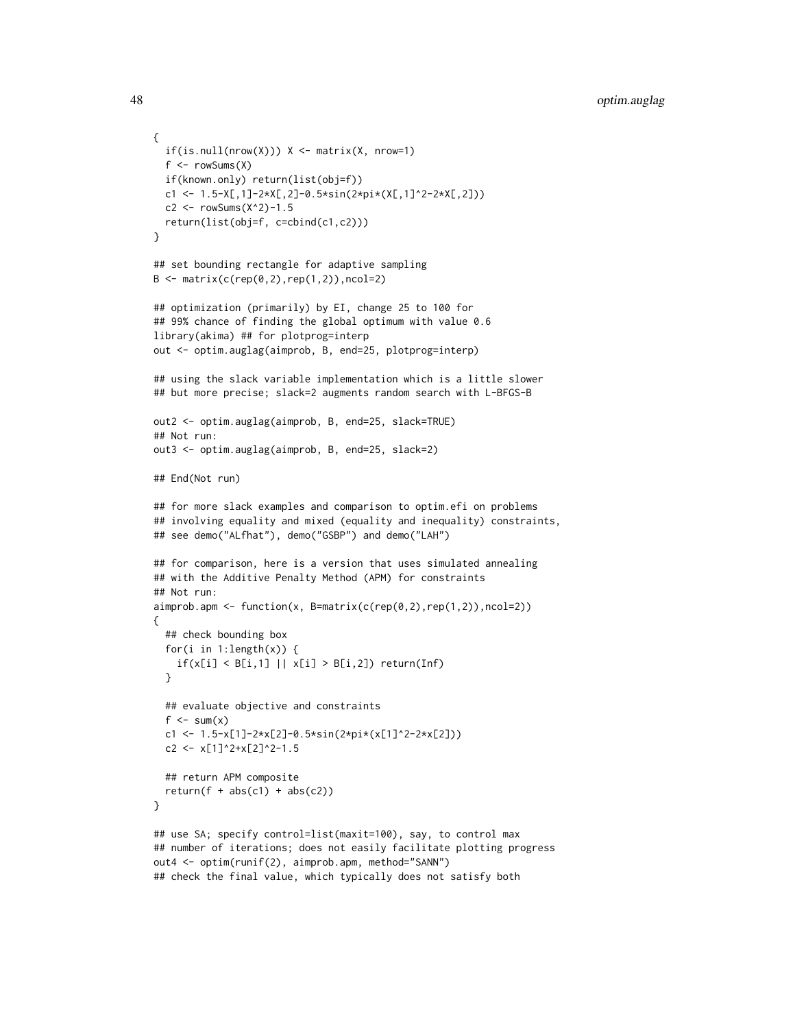```
{
 if(is.null(nrow(X))) X \leftarrow matrix(X, nrow=1)f \leftarrow rowSums(X)if(known.only) return(list(obj=f))
 c1 <- 1.5-X[,1]-2*X[,2]-0.5*sin(2*pi*(X[,1]^2-2*X[,2]))
 c2 <- rowsums(X^2)-1.5return(list(obj=f, c=cbind(c1,c2)))
}
## set bounding rectangle for adaptive sampling
B \le - matrix(c(rep(0,2),rep(1,2)),ncol=2)
## optimization (primarily) by EI, change 25 to 100 for
## 99% chance of finding the global optimum with value 0.6
library(akima) ## for plotprog=interp
out <- optim.auglag(aimprob, B, end=25, plotprog=interp)
## using the slack variable implementation which is a little slower
## but more precise; slack=2 augments random search with L-BFGS-B
out2 <- optim.auglag(aimprob, B, end=25, slack=TRUE)
## Not run:
out3 <- optim.auglag(aimprob, B, end=25, slack=2)
## End(Not run)
## for more slack examples and comparison to optim.efi on problems
## involving equality and mixed (equality and inequality) constraints,
## see demo("ALfhat"), demo("GSBP") and demo("LAH")
## for comparison, here is a version that uses simulated annealing
## with the Additive Penalty Method (APM) for constraints
## Not run:
aimprob.apm <- function(x, B=matrix(c(rep(0,2),rep(1,2)),ncol=2))
{
 ## check bounding box
 for(i in 1:length(x)) {
    if(x[i] < B[i,1] || x[i] > B[i,2]) return(Inf)
 }
 ## evaluate objective and constraints
 f \leq sum(x)c1 <- 1.5-x[1]-2*x[2]-0.5*sin(2*pi*(x[1]^2-2*x[2]))
 c2 <- x[1]<sup>2+x[2]^2-1.5</sup>
 ## return APM composite
 return(f + abs(c1) + abs(c2))}
## use SA; specify control=list(maxit=100), say, to control max
## number of iterations; does not easily facilitate plotting progress
out4 <- optim(runif(2), aimprob.apm, method="SANN")
```

```
## check the final value, which typically does not satisfy both
```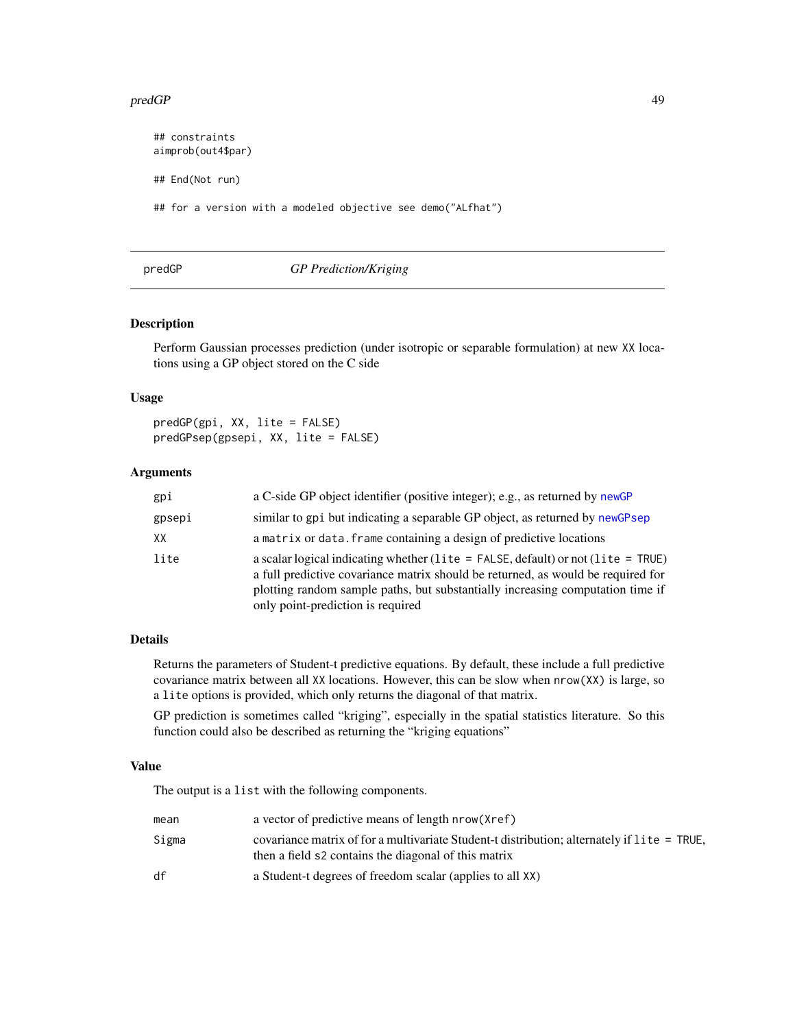#### <span id="page-48-0"></span>predGP and the set of the set of the set of the set of the set of the set of the set of the set of the set of the set of the set of the set of the set of the set of the set of the set of the set of the set of the set of th

## constraints aimprob(out4\$par) ## End(Not run) ## for a version with a modeled objective see demo("ALfhat")

### <span id="page-48-1"></span>predGP *GP Prediction/Kriging*

#### Description

Perform Gaussian processes prediction (under isotropic or separable formulation) at new XX locations using a GP object stored on the C side

#### Usage

predGP(gpi, XX, lite = FALSE) predGPsep(gpsepi, XX, lite = FALSE)

#### Arguments

| gpi    | a C-side GP object identifier (positive integer); e.g., as returned by newGP                                                                                                                                                                                                                      |
|--------|---------------------------------------------------------------------------------------------------------------------------------------------------------------------------------------------------------------------------------------------------------------------------------------------------|
| gpsepi | similar to gpi but indicating a separable GP object, as returned by newGPsep                                                                                                                                                                                                                      |
| XX     | a matrix or data. frame containing a design of predictive locations                                                                                                                                                                                                                               |
| lite   | a scalar logical indicating whether (lite = $FALSE$ , default) or not (lite = $TRUE$ )<br>a full predictive covariance matrix should be returned, as would be required for<br>plotting random sample paths, but substantially increasing computation time if<br>only point-prediction is required |

#### Details

Returns the parameters of Student-t predictive equations. By default, these include a full predictive covariance matrix between all XX locations. However, this can be slow when nrow(XX) is large, so a lite options is provided, which only returns the diagonal of that matrix.

GP prediction is sometimes called "kriging", especially in the spatial statistics literature. So this function could also be described as returning the "kriging equations"

#### Value

The output is a list with the following components.

| mean  | a vector of predictive means of length nrow (Xref)                                                                                                  |
|-------|-----------------------------------------------------------------------------------------------------------------------------------------------------|
| Sigma | covariance matrix of for a multivariate Student-t distribution; alternately if lite = TRUE,<br>then a field s2 contains the diagonal of this matrix |
| df    | a Student-t degrees of freedom scalar (applies to all XX)                                                                                           |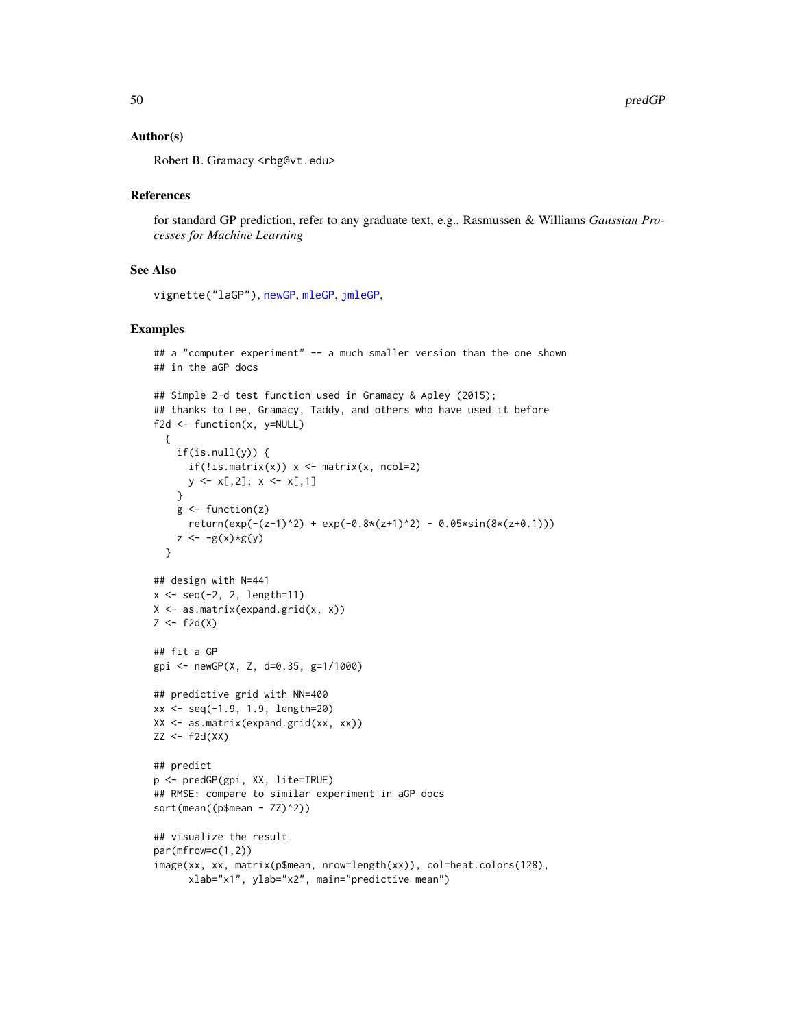#### <span id="page-49-0"></span>Author(s)

Robert B. Gramacy <rbg@vt.edu>

#### References

for standard GP prediction, refer to any graduate text, e.g., Rasmussen & Williams *Gaussian Processes for Machine Learning*

#### See Also

vignette("laGP"), [newGP](#page-40-1), [mleGP](#page-36-2), [jmleGP](#page-36-1),

#### Examples

```
## a "computer experiment" -- a much smaller version than the one shown
## in the aGP docs
## Simple 2-d test function used in Gramacy & Apley (2015);
## thanks to Lee, Gramacy, Taddy, and others who have used it before
f2d <- function(x, y=NULL)
  {
    if(is.null(y)) {
      if(!is.mathrix(x)) x <- matrix(x, ncol=2)
      y \le x[, 2]; x \le x[, 1]}
    g \leftarrow function(z)return(exp(-(z-1)^2) + exp(-0.8*(z+1)^2) - 0.05*sin(8*(z+0.1)))z \leftarrow -g(x)*g(y)}
## design with N=441
x \le - seq(-2, 2, length=11)
X \leftarrow \text{as_matrix}(\text{expand.grid}(x, x))Z \leftarrow f2d(X)## fit a GP
gpi <- newGP(X, Z, d=0.35, g=1/1000)
## predictive grid with NN=400
xx < - seq(-1.9, 1.9, length=20)
XX <- as.matrix(expand.grid(xx, xx))
ZZ < - f2d(XX)## predict
p <- predGP(gpi, XX, lite=TRUE)
## RMSE: compare to similar experiment in aGP docs
sqrt(mean((p$mean - ZZ)^2))
## visualize the result
par(mfrow=c(1,2))
image(xx, xx, matrix(p$mean, nrow=length(xx)), col=heat.colors(128),
      xlab="x1", ylab="x2", main="predictive mean")
```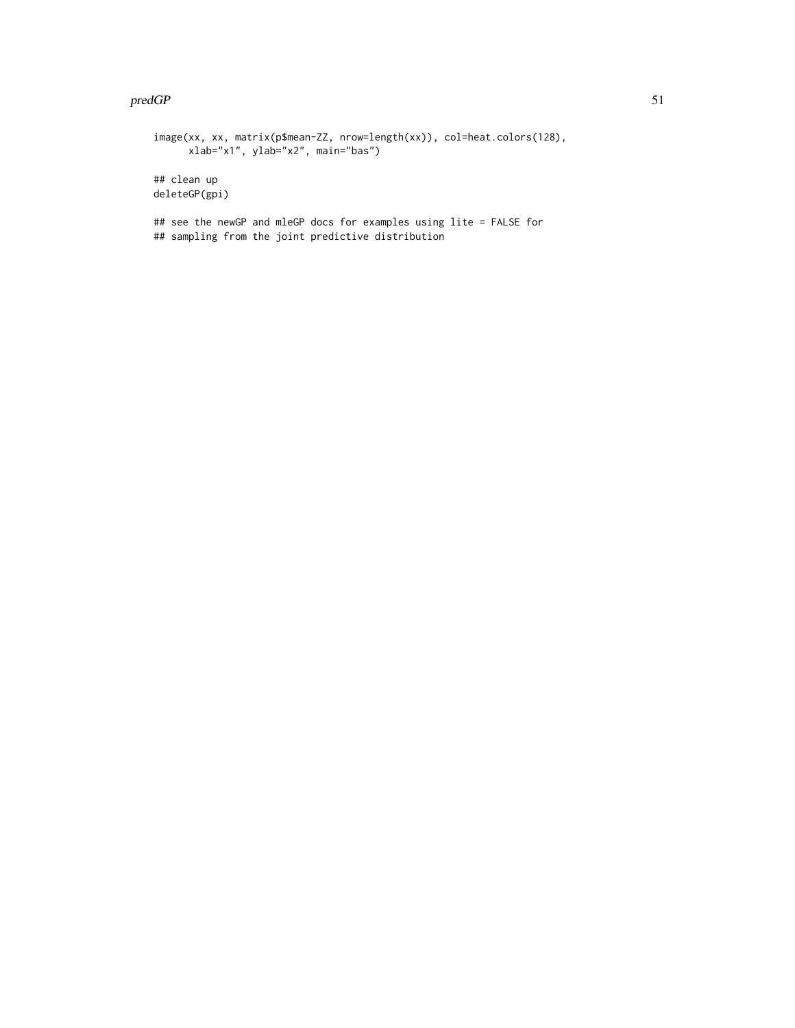#### $predGP$  51

image(xx, xx, matrix(p\$mean-ZZ, nrow=length(xx)), col=heat.colors(128), xlab="x1", ylab="x2", main="bas") ## clean up deleteGP(gpi) ## see the newGP and mleGP docs for examples using lite = FALSE for ## sampling from the joint predictive distribution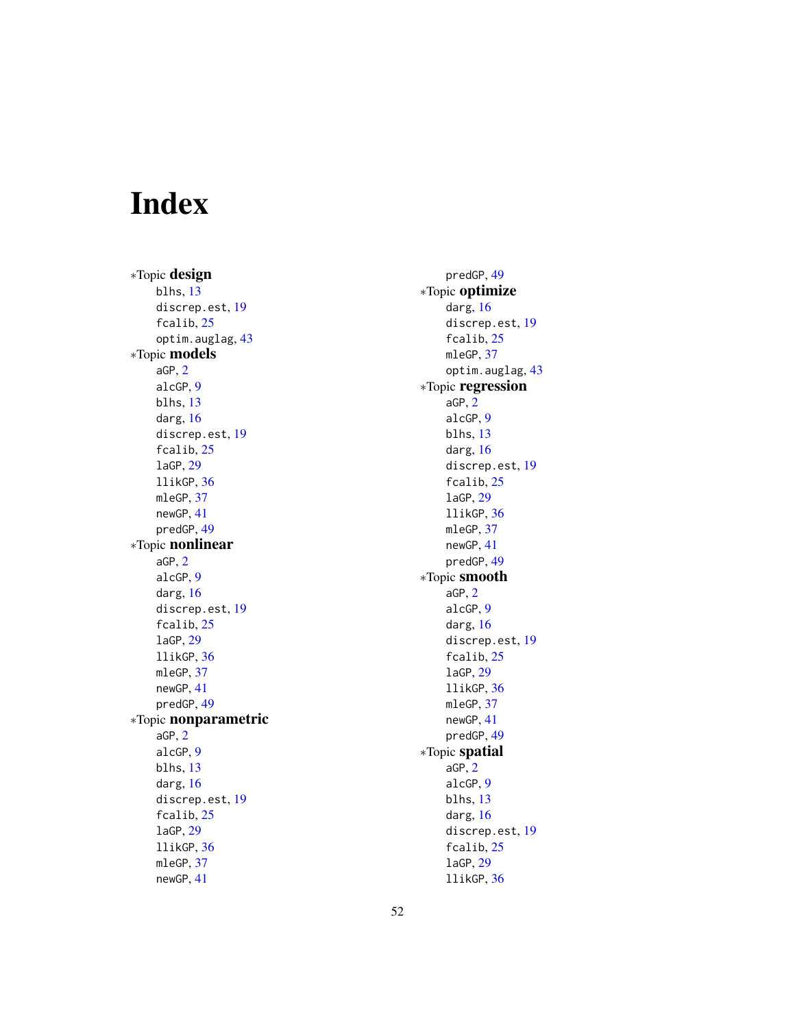# <span id="page-51-0"></span>Index

∗Topic design blhs , [13](#page-12-0) discrep.est, [19](#page-18-0) fcalib , [25](#page-24-0) optim.auglag, [43](#page-42-0) ∗Topic models aGP , [2](#page-1-0) alcGP , [9](#page-8-0) blhs , [13](#page-12-0) darg , [16](#page-15-0) discrep.est , [19](#page-18-0) fcalib , [25](#page-24-0) laGP , [29](#page-28-0) llikGP , [36](#page-35-0) mleGP, [37](#page-36-0) newGP , [41](#page-40-0) predGP , [49](#page-48-0) ∗Topic nonlinear aGP , [2](#page-1-0) alcGP , [9](#page-8-0) darg , [16](#page-15-0) discrep.est, [19](#page-18-0) fcalib , [25](#page-24-0) laGP , [29](#page-28-0) llikGP , [36](#page-35-0) mleGP, [37](#page-36-0) newGP , [41](#page-40-0) predGP , [49](#page-48-0) ∗Topic nonparametric aGP , [2](#page-1-0) alcGP , [9](#page-8-0) blhs , [13](#page-12-0) darg , [16](#page-15-0) discrep.est , [19](#page-18-0) fcalib , [25](#page-24-0) laGP , [29](#page-28-0) llikGP , [36](#page-35-0) mleGP, [37](#page-36-0) newGP , [41](#page-40-0)

predGP , [49](#page-48-0) ∗Topic optimize darg, [16](#page-15-0) discrep.est , [19](#page-18-0) fcalib, [25](#page-24-0) mleGP, [37](#page-36-0) optim.auglag , [43](#page-42-0) ∗Topic regression aGP , [2](#page-1-0) alcGP , [9](#page-8-0) blhs , [13](#page-12-0) darg , [16](#page-15-0) discrep.est , [19](#page-18-0) fcalib , [25](#page-24-0) laGP , [29](#page-28-0) llikGP , [36](#page-35-0) mleGP, [37](#page-36-0) newGP , [41](#page-40-0) predGP , [49](#page-48-0) ∗Topic smooth aGP , [2](#page-1-0) alcGP , [9](#page-8-0) darg , [16](#page-15-0) discrep.est , [19](#page-18-0) fcalib , [25](#page-24-0) laGP , [29](#page-28-0) llikGP , [36](#page-35-0) mleGP, [37](#page-36-0) newGP , [41](#page-40-0) predGP , [49](#page-48-0) ∗Topic spatial aGP , [2](#page-1-0) alcGP , [9](#page-8-0) blhs , [13](#page-12-0) darg, [16](#page-15-0) discrep.est , [19](#page-18-0) fcalib , [25](#page-24-0) laGP , [29](#page-28-0)

llikGP , [36](#page-35-0)